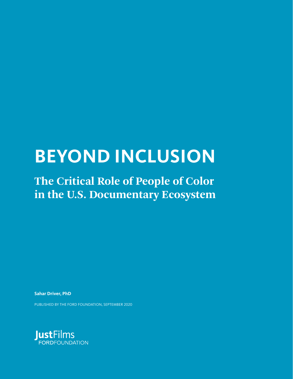# **BEYOND INCLUSION**

## **The Critical Role of People of Color in the U.S. Documentary Ecosystem**

**Sahar Driver, PhD**

PUBLISHED BY THE FORD FOUNDATION, SEPTEMBER 2020

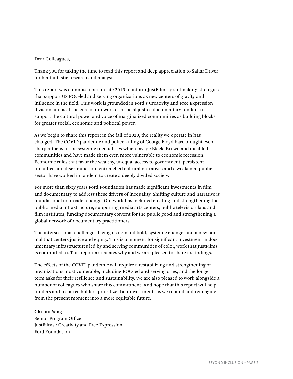#### Dear Colleagues,

Thank you for taking the time to read this report and deep appreciation to Sahar Driver for her fantastic research and analysis.

This report was commissioned in late 2019 to inform JustFilms' grantmaking strategies that support US POC-led and serving organizations as new centers of gravity and influence in the field. This work is grounded in Ford's Creativity and Free Expression division and is at the core of our work as a social justice documentary funder - to support the cultural power and voice of marginalized communities as building blocks for greater social, economic and political power.

As we begin to share this report in the fall of 2020, the reality we operate in has changed. The COVID pandemic and police killing of George Floyd have brought even sharper focus to the systemic inequalities which ravage Black, Brown and disabled communities and have made them even more vulnerable to economic recession. Economic rules that favor the wealthy, unequal access to government, persistent prejudice and discrimination, entrenched cultural narratives and a weakened public sector have worked in tandem to create a deeply divided society.

For more than sixty years Ford Foundation has made significant investments in film and documentary to address these drivers of inequality. Shifting culture and narrative is foundational to broader change. Our work has included creating and strengthening the public media infrastructure, supporting media arts centers, public television labs and film institutes, funding documentary content for the public good and strengthening a global network of documentary practitioners.

The intersectional challenges facing us demand bold, systemic change, and a new normal that centers justice and equity. This is a moment for significant investment in documentary infrastructures led by and serving communities of color, work that JustFilms is committed to. This report articulates why and we are pleased to share its findings.

The effects of the COVID pandemic will require a restabilizing and strengthening of organizations most vulnerable, including POC-led and serving ones, and the longer term asks for their resilience and sustainability. We are also pleased to work alongside a number of colleagues who share this commitment. And hope that this report will help funders and resource holders prioritize their investments as we rebuild and reimagine from the present moment into a more equitable future.

#### **Chi-hui Yang**

Senior Program Officer JustFilms / Creativity and Free Expression Ford Foundation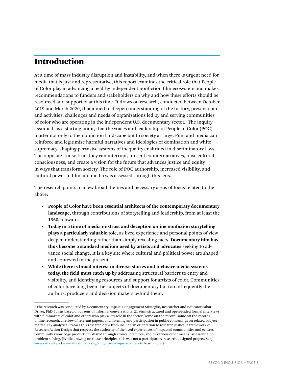## Introduction

At a time of mass industry disruption and instability, and when there is urgent need for media that is just and representative, this report examines the critical role that People of Color play in advancing a healthy independent nonfiction film ecosystem and makes recommendations to funders and stakeholders on why and how these efforts should be resourced and supported at this time. It draws on research, conducted between October 2019 and March 2020, that aimed to deepen understanding of the history, present state and activities, challenges and needs of organizations led by and serving communities of color who are operating in the independent U.S. documentary sector.<sup>1</sup> The inquiry assumed, as a starting point, that the voices and leadership of People of Color (POC) matter not only to the nonfiction landscape but to society at large. Film and media can reinforce and legitimize harmful narratives and ideologies of domination and white supremacy, shaping pervasive systems of inequality enshrined in discriminatory laws. The opposite is also true; they can interrupt, present counternarratives, raise cultural consciousness, and create a vision for the future that advances justice and equity in ways that transform society. The role of POC authorship, increased visibility, and cultural power in film and media was assessed through this lens.

The research points to a few broad themes and necessary areas of focus related to the above:

- **People of Color have been essential architects of the contemporary documentary landscape,** through contributions of storytelling and leadership, from at least the 1960s-onward.
- **Today in a time of media mistrust and deception online nonfiction storytelling plays a particularly valuable role,** as lived experience and personal points of view deepen understanding rather than simply revealing facts. **Documentary film has thus become a standard medium used by artists and advocates** seeking to advance social change. It is a key site where cultural and political power are shaped and contested in the present.
- **While there is broad interest in diverse stories and inclusive media systems today, the field must catch up** by addressing structural barriers to entry and visibility, and identifying resources and support for artists of color. Communities of color have long been the subjects of documentary but too infrequently the authors, producers and decision makers behind them.

<sup>1</sup> The research was conducted by Documentary Impact + Engagement Strategist, Researcher and Educator Sahar Driver, PhD. It was based on dozens of informal conversations, 21 semi-structured and open-ended formal interviews with filmmakers of color and others who play a key role in the sector (some on-the-record, some off-the-record), online research, a review of relevant papers, and listening and participation in public convenings on related subject matter. Key analytical frames this research drew from include an orientation to research justice, a framework of Research Action Design that respects the authority of the lived experiences of impacted communities and centers community knowledge production (shared through stories, practices, and by various other means) as essential to problem solving. (While drawing on these principles, this was not a participatory research designed project. See [www.rad.cat/](https://rad.cat/) and [www.alliedmedia.org/amc/research-justice-track](https://www.alliedmedia.org/amc/research-justice-track) to learn more.)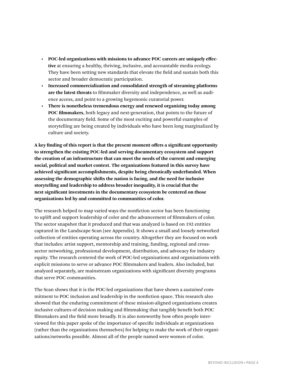- **POC-led organizations with missions to advance POC careers are uniquely effective** at ensuring a healthy, thriving, inclusive, and accountable media ecology. They have been setting new standards that elevate the field and sustain both this sector and broader democratic participation.
- **Increased commercialization and consolidated strength of streaming platforms are the latest threats** to filmmaker diversity and independence, as well as audience access, and point to a growing hegemonic curatorial power.
- **There is nonetheless tremendous energy and renewed organizing today among POC filmmakers**, both legacy and next-generation, that points to the future of the documentary field. Some of the most exciting and powerful examples of storytelling are being created by individuals who have been long marginalized by culture and society.

**A key finding of this report is that the present moment offers a significant opportunity to strengthen the existing POC-led and serving documentary ecosystem and support the creation of an infrastructure that can meet the needs of the current and emerging social, political and market context. The organizations featured in this survey have achieved significant accomplishments, despite being chronically underfunded. When assessing the demographic shifts the nation is facing, and the need for inclusive storytelling and leadership to address broader inequality, it is crucial that the next significant investments in the documentary ecosystem be centered on those organizations led by and committed to communities of color.**

The research helped to map varied ways the nonfiction sector has been functioning to uplift and support leadership of color and the advancement of filmmakers of color. The sector snapshot that it produced and that was analyzed is based on 192 entities captured in the Landscape Scan (see Appendix). It shows a small and loosely networked collection of entities operating across the country. Altogether they are focused on work that includes: artist support, mentorship and training, funding, regional and crosssector networking, professional development, distribution, and advocacy for industry equity. The research centered the work of POC-led organizations and organizations with explicit missions to serve or advance POC filmmakers and leaders. Also included, but analyzed separately, are mainstream organizations with significant diversity programs that serve POC communities.

The Scan shows that it is the POC-led organizations that have shown a *sustained* commitment to POC inclusion and leadership in the nonfiction space. This research also showed that the enduring commitment of these mission-aligned organizations creates inclusive cultures of decision making and filmmaking that tangibly benefit both POC filmmakers and the field more broadly. It is also noteworthy how often people interviewed for this paper spoke of the importance of specific individuals at organizations (rather than the organizations themselves) for helping to make the work of their organizations/networks possible. Almost all of the people named were women of color.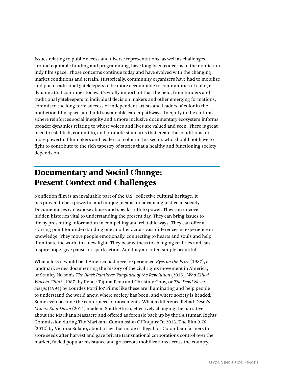Issues relating to public access and diverse representations, as well as challenges around equitable funding and programming, have long been concerns in the nonfiction indy film space. Those concerns continue today and have evolved with the changing market conditions and terrain. Historically, community organizers have had to mobilize and push traditional gatekeepers to be more accountable to communities of color, a dynamic that continues today. It's vitally important that the field, from funders and traditional gatekeepers to individual decision makers and other emerging formations, commit to the long-term success of independent artists and leaders of color in the nonfiction film space and build sustainable career pathways. Inequity in the cultural sphere reinforces social inequity and a more inclusive documentary ecosystem informs broader dynamics relating to whose voices and lives are valued and seen. There is great need to establish, commit to, and promote standards that create the conditions for more powerful filmmakers and leaders of color in this sector, who should not have to fight to contribute to the rich tapestry of stories that a healthy and functioning society depends on.

## Documentary and Social Change: Present Context and Challenges

Nonfiction film is an invaluable part of the U.S.' collective cultural heritage. It has proven to be a powerful and unique means for advancing justice in society. Documentaries can expose abuses and speak truth to power. They can uncover hidden histories vital to understanding the present day. They can bring issues to life by presenting information in compelling and relatable ways. They can offer a starting point for understanding one another across vast differences in experience or knowledge. They move people emotionally, connecting to hearts and souls and help illuminate the world in a new light. They bear witness to changing realities and can inspire hope, give pause, or spark action. And they are often simply beautiful.

What a loss it would be if America had never experienced *Eyes on the Prize* (1987), a landmark series documenting the history of the civil rights movement in America, or Stanley Nelson's *The Black Panthers: Vanguard of the Revolution* (2015), *Who Killed Vincent Chin?* (1987) by Renee Tajima Pena and Christine Choy, or *The Devil Never Sleeps* (1994) by Lourdes Portillo? Films like these are illuminating and help people to understand the world anew, where society has been, and where society is headed. Some even become the centerpiece of movements. What a difference Rehad Desai's *Miners Shot Down* (2014) made in South Africa, effectively changing the narrative about the Marikana Massacre and offered as forensic back up by the SA Human Rights Commission during The Marikana Commission Of Inquiry In 2013. The film *9.70* (2012) by Victoria Solano, about a law that made it illegal for Colombian farmers to store seeds after harvest and gave private transnational corporations control over the market, fueled popular resistance and grassroots mobilizations across the country.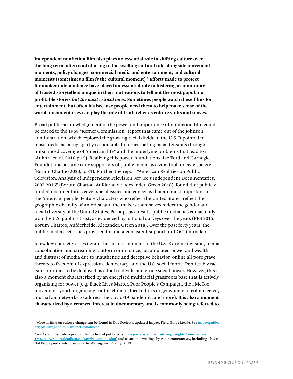**Independent nonfiction film also plays an essential role in shifting culture over the long term, often contributing to the swelling cultural tide alongside movement moments, policy changes, commercial media and entertainment, and cultural moments (sometimes a film** *is* **the cultural moment).**<sup>2</sup> **Efforts made to protect filmmaker independence have played an essential role in fostering a community of trusted storytellers unique in their motivations to tell not the most popular or profitable stories** *but the most critical ones.* **Sometimes people watch these films for entertainment, but often it's because people need them to help make sense of the world; documentaries can play the role of truth-teller as culture shifts and moves.** 

Broad public acknowledgement of the power and importance of nonfiction film could be traced to the 1968 "Kerner Commission" report that came out of the Johnson administration, which explored the growing racial divide in the U.S. It pointed to mass media as being "partly responsible for exacerbating racial tensions through imbalanced coverage of American life" and the underlying problems that lead to it (Ankhra et. al. 2018 p.15). Realizing this power, foundations like Ford and Carnegie Foundations became early supporters of public media as a vital tool for civic society (Borum Chattoo 2020, p. 31). Further, the report "American Realities on Public Television: Analysis of Independent Television Service's Independent Documentaries, 2007-2016" (Borum Chattoo, Aufderheide, Alexander, Green 2018), found that publicly funded documentaries cover social issues and concerns that are most important to the American people; feature characters who reflect the United States; reflect the geographic diversity of America; and the makers themselves reflect the gender and racial diversity of the United States. Perhaps as a result, public media has consistently won the U.S. public's trust, as evidenced by national surveys over the years (PBS 2015, Borum Chattoo, Aufderheide, Alexander, Green 2018). Over the past forty years, the public media sector has provided the most consistent support for POC filmmakers.

A few key characteristics define the current moment in the U.S. Extreme division, media consolidation and streaming platform dominance, accumulated power and wealth, and distrust of media due to inauthentic and deceptive behavior<sup>3</sup> online all pose grave threats to freedom of expression, democracy, and the U.S. social fabric. Predictably racism continues to be deployed as a tool to divide and erode social power. However, this is also a moment characterized by an energized multiracial grassroots base that is actively organizing for power (e.g. Black Lives Matter, Poor People's Campaign, the #MeToo movement, youth organizing for the climate, local efforts to get women of color elected, mutual aid networks to address the Covid-19 pandemic, and more). **It is also a moment characterized by a renewed interest in documentary and is commonly being referred to** 

 $^2$  More writing on culture change can be found in Doc Society's updated Impact Field Guide (2019). See <u>[impactguide.](https://impactguide.org/planning/the-four-impact-dynamics/)</u> [org/planning/the-four-impact-dynamics/](https://impactguide.org/planning/the-four-impact-dynamics/).

<sup>&</sup>lt;sup>3</sup> See Aspen Institute report on the decline of public trust (*[csreports.aspeninstitute.org/Knight-Commission-](https://csreports.aspeninstitute.org/Knight-Commission-TMD/2019/report/details/0283/Knight-Commission)*[TMD/2019/report/details/0283/Knight-Commission](https://csreports.aspeninstitute.org/Knight-Commission-TMD/2019/report/details/0283/Knight-Commission)) and associated writings by Peter Pomerantsev, including This Is Not Propaganda: Adventures in the War Against Reality (2019).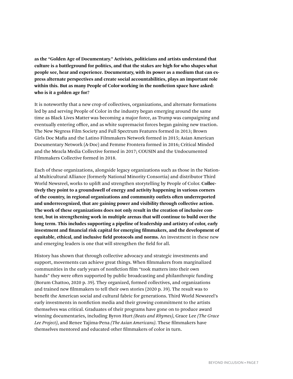**as the "Golden Age of Documentary." Activists, politicians and artists understand that culture is a battleground for politics, and that the stakes are high for who shapes what people see, hear and experience. Documentary, with its power as a medium that can express alternate perspectives and create social accountabilities, plays an important role within this. But as many People of Color working in the nonfiction space have asked: who is it a golden age for?** 

It is noteworthy that a new crop of collectives, organizations, and alternate formations led by and serving People of Color in the industry began emerging around the same time as Black Lives Matter was becoming a major force, as Trump was campaigning and eventually entering office, and as white supremacist forces began gaining new traction. The New Negress Film Society and Full Spectrum Features formed in 2013; Brown Girls Doc Mafia and the Latino Filmmakers Network formed in 2015; Asian American Documentary Network (A-Doc) and Femme Frontera formed in 2016; Critical Minded and the Mezcla Media Collective formed in 2017; COUSIN and the Undocumented Filmmakers Collective formed in 2018.

Each of these organizations, alongside legacy organizations such as those in the National Multicultural Alliance (formerly National Minority Consortia) and distributor Third World Newsreel, works to uplift and strengthen storytelling by People of Color. **Collectively they point to a groundswell of energy and activity happening in various corners of the country, in regional organizations and community outlets often underreported and underrecognized, that are gaining power and visibility through collective action. The work of these organizations does not only result in the creation of inclusive content, but in strengthening work in multiple arenas that will continue to build over the long term. This includes supporting a pipeline of leadership and artistry of color, early investment and financial risk capital for emerging filmmakers, and the development of equitable, ethical, and inclusive field protocols and norms.** An investment in these new and emerging leaders is one that will strengthen the field for all.

History has shown that through collective advocacy and strategic investments and support, movements can achieve great things. When filmmakers from marginalized communities in the early years of nonfiction film "took matters into their own hands" they were often supported by public broadcasting and philanthropic funding (Borum Chattoo, 2020 p. 39). They organized, formed collectives, and organizations and trained new filmmakers to tell their own stories (2020 p. 39). The result was to benefit the American social and cultural fabric for generations. Third World Newsreel's early investments in nonfiction media and their growing commitment to the artists themselves was critical. Graduates of their programs have gone on to produce award winning documentaries, including Byron Hurt *(Beats and Rhymes)*, Grace Lee *(The Grace Lee Project)*, and Renee Tajima-Pena *(The Asian Americans)*. These filmmakers have themselves mentored and educated other filmmakers of color in turn.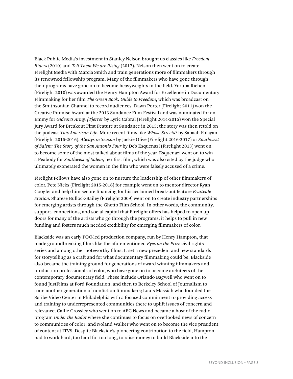Black Public Media's investment in Stanley Nelson brought us classics like *Freedom Riders* (2010) and *Tell Them We are Rising* (2017). Nelson then went on to create Firelight Media with Marcia Smith and train generations more of filmmakers through its renowned fellowship program. Many of the filmmakers who have gone through their programs have gone on to become heavyweights in the field. Yoruba Richen (Firelight 2010) was awarded the Henry Hampton Award for Excellence in Documentary Filmmaking for her film *The Green Book: Guide to Freedom*, which was broadcast on the Smithsonian Channel to record audiences. Dawn Porter (Firelight 2011) won the Creative Promise Award at the 2013 Sundance Film Festival and was nominated for an Emmy for *Gideon's Army. (T)error* by Lyric Cabral (Firelight 2014-2015) won the Special Jury Award for Breakout First Feature at Sundance in 2015; the story was then retold on the podcast *This American Life*. More recent films like *Whose Streets?* by Sabaah Folayan (Firelight 2015-2016), *Always in Season* by Jackie Olive (Firelight 2016-2017) or *Southwest of Salem: The Story of the San Antonio Four* by Deb Esquenazi (Firelight 2013) went on to become some of the most talked about films of the year. Esquenazi went on to win a Peabody for *Southwest of Salem*, her first film, which was also cited by the judge who ultimately exonerated the women in the film who were falsely accused of a crime.

Firelight Fellows have also gone on to nurture the leadership of other filmmakers of color. Pete Nicks (Firelight 2015-2016) for example went on to mentor director Ryan Coogler and help him secure financing for his acclaimed break-out feature *Fruitvale Station*. Sharese Bullock-Bailey (Firelight 2009) went on to create industry partnerships for emerging artists through the Ghetto Film School. In other words, the community, support, connections, and social capital that Firelight offers has helped to open up doors for many of the artists who go through the programs; it helps to pull in new funding and fosters much needed credibility for emerging filmmakers of color.

Blackside was an early POC-led production company, run by Henry Hampton, that made groundbreaking films like the aforementioned *Eyes on the Prize* civil rights series and among other noteworthy films. It set a new precedent and new standards for storytelling as a craft and for what documentary filmmaking could be. Blackside also became the training ground for generations of award-winning filmmakers and production professionals of color, who have gone on to become architects of the contemporary documentary field. These include Orlando Bagwell who went on to found JustFilms at Ford Foundation, and then to Berkeley School of Journalism to train another generation of nonfiction filmmakers; Louis Massiah who founded the Scribe Video Center in Philadelphia with a focused commitment to providing access and training to underrepresented communities there to uplift issues of concern and relevance; Callie Crossley who went on to ABC News and became a host of the radio program *Under the Radar* where she continues to focus on overlooked news of concern to communities of color; and Noland Walker who went on to become the vice president of content at ITVS. Despite Blackside's pioneering contribution to the field, Hampton had to work hard, too hard for too long, to raise money to build Blackside into the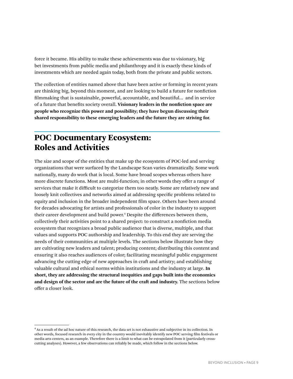force it became. His ability to make these achievements was due to visionary, big bet investments from public media and philanthropy and it is exactly these kinds of investments which are needed again today, both from the private and public sectors.

The collection of entities named above that have been active or forming in recent years are thinking big, beyond this moment, and are looking to build a future for nonfiction filmmaking that is sustainable, powerful, accountable, and beautiful… and in service of a future that benefits society overall. **Visionary leaders in the nonfiction space are people who recognize this power and possibility; they have begun discussing their shared responsibility to these emerging leaders and the future they are striving for.**

## POC Documentary Ecosystem: Roles and Activities

The size and scope of the entities that make up the ecosystem of POC-led and serving organizations that were surfaced by the Landscape Scan varies dramatically. Some work nationally, many do work that is local. Some have broad scopes whereas others have more discrete functions. Most are multi-function; in other words they offer a range of services that make it difficult to categorize them too neatly. Some are relatively new and loosely knit collectives and networks aimed at addressing specific problems related to equity and inclusion in the broader independent film space. Others have been around for decades advocating for artists and professionals of color in the industry to support their career development and build power.4 Despite the differences between them, collectively their activities point to a shared project: to construct a nonfiction media ecosystem that recognizes a broad public audience that is diverse, multiple, and that values and supports POC authorship and leadership. To this end they are serving the needs of their communities at multiple levels. The sections below illustrate how they are cultivating new leaders and talent; producing content; distributing this content and ensuring it also reaches audiences of color; facilitating meaningful public engagement advancing the cutting edge of new approaches in craft and artistry; and establishing valuable cultural and ethical norms within institutions and the industry at large. **In short, they are addressing the structural inequities and gaps built into the economics and design of the sector and are the future of the craft and industry.** The sections below offer a closer look.

<sup>4</sup> As a result of the ad hoc nature of this research, the data set is not exhaustive and subjective in its collection. In other words, focused research in every city in the country would inevitably identify new POC serving film festivals or media arts centers, as an example. Therefore there is a limit to what can be extrapolated from it (particularly crosscutting analyses). However, a few observations can reliably be made, which follow in the sections below.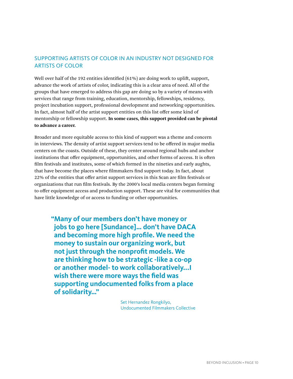#### SUPPORTING ARTISTS OF COLOR IN AN INDUSTRY NOT DESIGNED FOR ARTISTS OF COLOR

Well over half of the 192 entities identified (61%) are doing work to uplift, support, advance the work of artists of color, indicating this is a clear area of need. All of the groups that have emerged to address this gap are doing so by a variety of means with services that range from training, education, mentorship, fellowships, residency, project incubation support, professional development and networking opportunities. In fact, almost half of the artist support entities on this list offer some kind of mentorship or fellowship support. **In some cases, this support provided can be pivotal to advance a career.**

Broader and more equitable access to this kind of support was a theme and concern in interviews. The density of artist support services tend to be offered in major media centers on the coasts. Outside of these, they center around regional hubs and anchor institutions that offer equipment, opportunities, and other forms of access. It is often film festivals and institutes, some of which formed in the nineties and early aughts, that have become the places where filmmakers find support today. In fact, about 22% of the entities that offer artist support services in this Scan are film festivals or organizations that run film festivals. By the 2000's local media centers began forming to offer equipment access and production support. These are vital for communities that have little knowledge of or access to funding or other opportunities.

**"Many of our members don't have money or jobs to go here [Sundance]… don't have DACA and becoming more high profile. We need the money to sustain our organizing work, but not just through the nonprofit models. We are thinking how to be strategic -like a co-op or another model- to work collaboratively...I wish there were more ways the field was supporting undocumented folks from a place of solidarity…"**

> Set Hernandez Rongkilyo, Undocumented Filmmakers Collective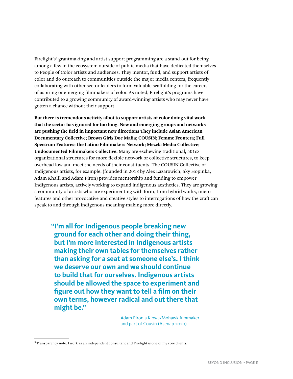Firelight's<sup>5</sup> grantmaking and artist support programming are a stand-out for being among a few in the ecosystem outside of public media that have dedicated themselves to People of Color artists and audiences. They mentor, fund, and support artists of color and do outreach to communities outside the major media centers, frequently collaborating with other sector leaders to form valuable scaffolding for the careers of aspiring or emerging filmmakers of color. As noted, Firelight's programs have contributed to a growing community of award-winning artists who may never have gotten a chance without their support.

**But there is tremendous activity afoot to support artists of color doing vital work that the sector has ignored for too long. New and emerging groups and networks are pushing the field in important new directions They include Asian American Documentary Collective; Brown Girls Doc Mafia; COUSIN; Femme Frontera; Full Spectrum Features; the Latino Filmmakers Network; Mezcla Media Collective; Undocumented Filmmakers Collective.** Many are eschewing traditional, 501c3 organizational structures for more flexible network or collective structures, to keep overhead low and meet the needs of their constituents. The COUSIN Collective of Indigenous artists, for example, (founded in 2018 by Alex Lazarowich, Sky Hopinka, Adam Khalil and Adam Piron) provides mentorship and funding to empower Indigenous artists, actively working to expand indigenous aesthetics. They are growing a community of artists who are experimenting with form, from hybrid works, micro features and other provocative and creative styles to interrogations of how the craft can speak to and through indigenous meaning-making more directly.

**"I'm all for Indigenous people breaking new ground for each other and doing their thing, but I'm more interested in Indigenous artists making their own tables for themselves rather than asking for a seat at someone else's. I think we deserve our own and we should continue to build that for ourselves. Indigenous artists should be allowed the space to experiment and figure out how they want to tell a film on their own terms, however radical and out there that might be."**

> Adam Piron a Kiowa/Mohawk filmmaker and part of Cousin (Asenap 2020)

<sup>&</sup>lt;sup>5</sup> Transparency note: I work as an independent consultant and Firelight is one of my core clients.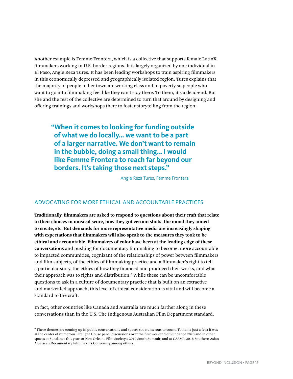Another example is Femme Frontera, which is a collective that supports female LatinX filmmakers working in U.S. border regions. It is largely organized by one individual in El Paso, Angie Reza Tures. It has been leading workshops to train aspiring filmmakers in this economically depressed and geographically isolated region. Tures explains that the majority of people in her town are working class and in poverty so people who want to go into filmmaking feel like they can't stay there. To them, it's a dead-end. But she and the rest of the collective are determined to turn that around by designing and offering trainings and workshops there to foster storytelling from the region.

**"When it comes to looking for funding outside of what we do locally… we want to be a part of a larger narrative. We don't want to remain in the bubble, doing a small thing… I would like Femme Frontera to reach far beyond our borders. It's taking those next steps."**

Angie Reza Tures, Femme Frontera

#### ADVOCATING FOR MORE ETHICAL AND ACCOUNTABLE PRACTICES

**Traditionally, filmmakers are asked to respond to questions about their craft that relate to their choices in musical score, how they got certain shots, the mood they aimed to create, etc. But demands for more representative media are increasingly shaping with expectations that filmmakers will also speak to the measures they took to be ethical and accountable. Filmmakers of color have been at the leading edge of these conversations** and pushing for documentary filmmaking to become: more accountable to impacted communities, cognizant of the relationships of power between filmmakers and film subjects, of the ethics of filmmaking practice and a filmmaker's right to tell a particular story, the ethics of how they financed and produced their works, and what their approach was to rights and distribution.<sup>6</sup> While these can be uncomfortable questions to ask in a culture of documentary practice that is built on an extractive and market led approach, this level of ethical consideration is vital and will become a standard to the craft.

In fact, other countries like Canada and Australia are much farther along in these conversations than in the U.S. The Indigenous Australian Film Department standard,

<sup>6</sup> These themes are coming up in public conversations and spaces too numerous to count. To name just a few: it was at the center of numerous Firelight House panel discussions over the first weekend of Sundance 2020 and in other spaces at Sundance this year; at New Orleans Film Society's 2019 South Summit; and at CAAM's 2018 Southern Asian American Documentary Filmmakers Convening among others.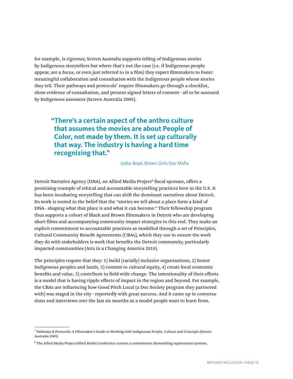for example, is rigorous; Screen Australia supports telling of Indigenous stories by Indigenous storytellers but where that's not the case (i.e. if Indigenous people appear, are a focus, or even just referred to in a film) they expect filmmakers to foster meaningful collaboration and consultation with the Indigenous people whose stories they tell. Their pathways and protocols<sup>7</sup> require filmmakers go through a checklist, show evidence of consultation, and present signed letters of consent - all to be assessed by Indigenous assessors (Screen Australia 2009).

**"There's a certain aspect of the anthro culture that assumes the movies are about People of Color, not made by them. It is set up culturally that way. The industry is having a hard time recognizing that."**

Iyabo Boyd, Brown Girls Doc Mafia

Detroit Narrative Agency (DNA), an Allied Media Project<sup>s</sup> fiscal sponsee, offers a promising example of ethical and accountable storytelling practices here in the U.S. It has been incubating storytelling that can shift the dominant narratives about Detroit. Its work is rooted in the belief that the "stories we tell about a place form a kind of DNA - shaping what that place is and what it can become." Their fellowship program thus supports a cohort of Black and Brown filmmakers in Detroit who are developing short films and accompanying community impact strategies to this end. They make an explicit commitment to accountable practices as modelled through a set of Principles, Cultural Community Benefit Agreements (CBAs), which they use to ensure the work they do with stakeholders is work that benefits the Detroit community, particularly impacted communities (Arts in a Changing America 2018).

The principles require that they: 1) build (racially) inclusive organizations, 2) honor Indigenous peoples and lands, 3) commit to cultural equity, 4) create local economic benefits and value, 5) contribute to field-wide change. The intentionality of their efforts is a model that is having ripple effects of impact in the region and beyond. For example, the CBAs are influencing how Good Pitch Local (a Doc Society program they partnered with) was staged in the city - reportedly with great success. And it came up in conversations and interviews over the last six months as a model people want to learn from.

<sup>7</sup> Pathways & Protocols: A Filmmaker's Guide to Working with Indigenous People, Culture and Concepts (Screen Australia 2009)

<sup>8</sup> The Allied Media Project/Allied Media Conference centers a commitment dismantling supremacist systems.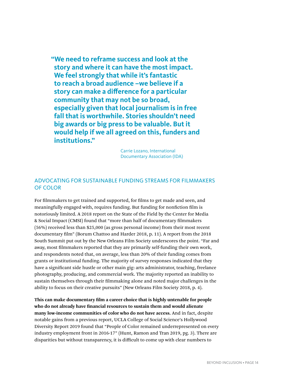**"We need to reframe success and look at the story and where it can have the most impact. We feel strongly that while it's fantastic to reach a broad audience –we believe if a story can make a difference for a particular community that may not be so broad, especially given that local journalism is in free fall that is worthwhile. Stories shouldn't need big awards or big press to be valuable. But it would help if we all agreed on this, funders and institutions."**

> Carrie Lozano, International Documentary Association (IDA)

#### ADVOCATING FOR SUSTAINABLE FUNDING STREAMS FOR FILMMAKERS OF COLOR

For filmmakers to get trained and supported, for films to get made and seen, and meaningfully engaged with, requires funding. But funding for nonfiction film is notoriously limited. A 2018 report on the State of the Field by the Center for Media & Social Impact (CMSI) found that "more than half of documentary filmmakers (56%) received less than \$25,000 (as gross personal income) from their most recent documentary film" (Borum Chattoo and Harder 2018, p. 11). A report from the 2018 South Summit put out by the New Orleans Film Society underscores the point. "Far and away, most filmmakers reported that they are primarily self-funding their own work, and respondents noted that, on average, less than 20% of their funding comes from grants or institutional funding. The majority of survey responses indicated that they have a significant side hustle or other main gig: arts administrator, teaching, freelance photography, producing, and commercial work. The majority reported an inability to sustain themselves through their filmmaking alone and noted major challenges in the ability to focus on their creative pursuits" (New Orleans Film Society 2018, p. 4).

**This can make documentary film a career choice that is highly untenable for people who do not already have financial resources to sustain them and would alienate many low-income communities of color who do not have access.** And in fact, despite notable gains from a previous report, UCLA College of Social Science's Hollywood Diversity Report 2019 found that "People of Color remained underrepresented on every industry employment front in 2016-17" (Hunt, Ramon and Tran 2019, pg. 3). There are disparities but without transparency, it is difficult to come up with clear numbers to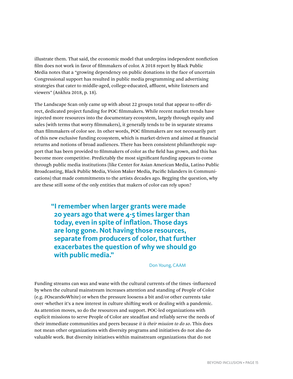illustrate them. That said, the economic model that underpins independent nonfiction film does not work in favor of filmmakers of color. A 2018 report by Black Public Media notes that a "growing dependency on public donations in the face of uncertain Congressional support has resulted in public media programming and advertising strategies that cater to middle-aged, college-educated, affluent, white listeners and viewers" (Ankhra 2018, p. 18).

The Landscape Scan only came up with about 22 groups total that appear to offer direct, dedicated project funding for POC filmmakers. While recent market trends have injected more resources into the documentary ecosystem, largely through equity and sales (with terms that worry filmmakers), it generally tends to be in separate streams than filmmakers of color see. In other words, POC filmmakers are not necessarily part of this new exclusive funding ecosystem, which is market-driven and aimed at financial returns and notions of broad audiences. There has been consistent philanthropic support that has been provided to filmmakers of color as the field has grown, and this has become more competitive. Predictably the most significant funding appears to come through public media institutions (like Center for Asian American Media, Latino Public Broadcasting, Black Public Media, Vision Maker Media, Pacific Islanders in Communications) that made commitments to the artists decades ago. Begging the question, why are these still some of the only entities that makers of color can rely upon?

**"I remember when larger grants were made 20 years ago that were 4-5 times larger than today, even in spite of inflation. Those days are long gone. Not having those resources, separate from producers of color, that further exacerbates the question of why we should go with public media."**

Don Young, CAAM

Funding streams can wax and wane with the cultural currents of the times -influenced by when the cultural mainstream increases attention and standing of People of Color (e.g. #OscarsSoWhite) or when the pressure loosens a bit and/or other currents take over -whether it's a new interest in culture shifting work or dealing with a pandemic. As attention moves, so do the resources and support. POC-led organizations with explicit missions to serve People of Color are steadfast and reliably serve the needs of their immediate communities and peers because *it is their mission to do so*. This does not mean other organizations with diversity programs and initiatives do not also do valuable work. But diversity initiatives within mainstream organizations that do not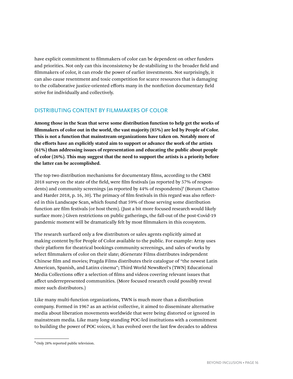have explicit commitment to filmmakers of color can be dependent on other funders and priorities. Not only can this inconsistency be de-stabilizing to the broader field and filmmakers of color, it can erode the power of earlier investments. Not surprisingly, it can also cause resentment and toxic competition for scarce resources that is damaging to the collaborative justice-oriented efforts many in the nonfiction documentary field strive for individually and collectively.

#### DISTRIBUTING CONTENT BY FILMMAKERS OF COLOR

**Among those in the Scan that serve some distribution function to help get the works of filmmakers of color out in the world, the vast majority (85%) are led by People of Color. This is not a function that mainstream organizations have taken on. Notably more of the efforts have an explicitly stated aim to support or advance the work of the artists (61%) than addressing issues of representation and educating the public about people of color (26%). This may suggest that the need to support the artists is a priority before the latter can be accomplished.** 

The top two distribution mechanisms for documentary films, according to the CMSI 2018 survey on the state of the field, were film festivals (as reported by 57% of respondents) and community screenings (as reported by 44% of respondents)<sup>9</sup> (Borum Chattoo and Harder 2018, p. 16, 30). The primacy of film festivals in this regard was also reflected in this Landscape Scan, which found that 59% of those serving some distribution function are film festivals (or host them). (Just a bit more focused research would likely surface more.) Given restrictions on public gatherings, the fall-out of the post-Covid-19 pandemic moment will be dramatically felt by most filmmakers in this ecosystem.

The research surfaced only a few distributors or sales agents explicitly aimed at making content by/for People of Color available to the public. For example: Array uses their platform for theatrical bookings community screenings, and sales of works by select filmmakers of color on their slate; dGenerate Films distributes independent Chinese film and movies; Pragda Films distributes their catalogue of "the newest Latin American, Spanish, and Latinx cinema"; Third World NewsReel's (TWN) Educational Media Collections offer a selection of films and videos covering relevant issues that affect underrepresented communities. (More focused research could possibly reveal more such distributors.)

Like many multi-function organizations, TWN is much more than a distribution company. Formed in 1967 as an activist collective, it aimed to disseminate alternative media about liberation movements worldwide that were being distorted or ignored in mainstream media. Like many long-standing POC-led institutions with a commitment to building the power of POC voices, it has evolved over the last few decades to address

<sup>&</sup>lt;sup>9</sup> Only 28% reported public television.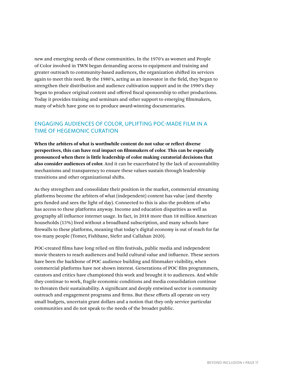new and emerging needs of these communities. In the 1970's as women and People of Color involved in TWN began demanding access to equipment and training and greater outreach to community-based audiences, the organization shifted its services again to meet this need. By the 1980's, acting as an innovator in the field, they began to strengthen their distribution and audience cultivation support and in the 1990's they began to produce original content and offered fiscal sponsorship to other productions. Today it provides training and seminars and other support to emerging filmmakers, many of which have gone on to produce award-winning documentaries.

#### ENGAGING AUDIENCES OF COLOR, UPLIFTING POC-MADE FILM IN A TIME OF HEGEMONIC CURATION

**When the arbiters of what is worthwhile content do not value or reflect diverse perspectives, this can have real impact on filmmakers of color. This can be especially pronounced when there is little leadership of color making curatorial decisions that also consider audiences of color.** And it can be exacerbated by the lack of accountability mechanisms and transparency to ensure these values sustain through leadership transitions and other organizational shifts.

As they strengthen and consolidate their position in the market, commercial streaming platforms become the arbiters of what (independent) content has value (and thereby gets funded and sees the light of day). Connected to this is also the problem of who has access to these platforms anyway. Income and education disparities as well as geography all influence internet usage. In fact, in 2018 more than 18 million American households (15%) lived without a broadband subscription, and many schools have firewalls to these platforms, meaning that today's digital economy is out of reach for far too many people (Tomer, Fishbane, Siefer and Callahan 2020).

POC-created films have long relied on film festivals, public media and independent movie theaters to reach audiences and build cultural value and influence. These sectors have been the backbone of POC audience building and filmmaker visibility, when commercial platforms have not shown interest. Generations of POC film programmers, curators and critics have championed this work and brought it to audiences. And while they continue to work, fragile economic conditions and media consolidation continue to threaten their sustainability. A significant and deeply entwined sector is community outreach and engagement programs and firms. But these efforts all operate on very small budgets, uncertain grant dollars and a notion that they only service particular communities and do not speak to the needs of the broader public.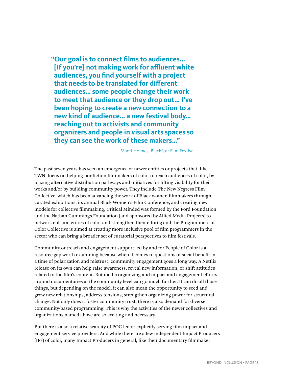**"Our goal is to connect films to audiences… [If you're] not making work for affluent white audiences, you find yourself with a project that needs to be translated for different audiences… some people change their work to meet that audience or they drop out… I've been hoping to create a new connection to a new kind of audience… a new festival body… reaching out to activists and community organizers and people in visual arts spaces so they can see the work of these makers…"**

Maori Holmes, BlackStar Film Festival

The past seven years has seen an emergence of newer entities or projects that, like TWN, focus on helping nonfiction filmmakers of color to reach audiences of color, by blazing alternative distribution pathways and initiatives for lifting visibility for their works and/or by building community power. They include The New Negress Film Collective, which has been advancing the work of Black women filmmakers through curated exhibitions, its annual Black Women's Film Conference, and creating new models for collective filmmaking; Critical Minded was formed by the Ford Foundation and the Nathan Cummings Foundation (and sponsored by Allied Media Projects) to network cultural critics of color and strengthen their efforts; and the Programmers of Color Collective is aimed at creating more inclusive pool of film programmers in the sector who can bring a broader set of curatorial perspectives to film festivals.

Community outreach and engagement support led by and for People of Color is a resource gap worth examining because when it comes to questions of social benefit in a time of polarization and mistrust, community engagement goes a long way. A Netflix release on its own can help raise awareness, reveal new information, or shift attitudes related to the film's content. But media organizing and impact and engagement efforts around documentaries at the community level can go much further. It can do all those things, but depending on the model, it can also mean the opportunity to seed and grow new relationships, address tensions, strengthen organizing power for structural change. Not only does it foster community trust, there is also demand for diverse community-based programming. This is why the activities of the newer collectives and organizations named above are so exciting and necessary.

But there is also a relative scarcity of POC-led or explicitly serving film impact and engagement service providers. And while there are a few independent Impact Producers (IPs) of color, many Impact Producers in general, like their documentary filmmaker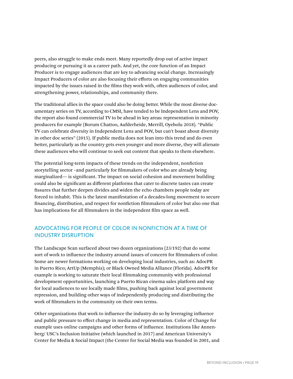peers, also struggle to make ends meet. Many reportedly drop out of active impact producing or pursuing it as a career path. And yet, the core function of an Impact Producer is to engage audiences that are key to advancing social change. Increasingly Impact Producers of color are also focusing their efforts on engaging communities impacted by the issues raised in the films they work with, often audiences of color, and strengthening power, relationships, and community there.

The traditional allies in the space could also be doing better. While the most diverse documentary series on TV, according to CMSI, have tended to be Independent Lens and POV, the report also found commercial TV to be ahead in key areas: representation in minority producers for example (Borum Chattoo, Aufderheide, Merrill, Oyebolu 2018). "Public TV can celebrate diversity in Independent Lens and POV, but can't boast about diversity in other doc series" (2015). If public media does not lean into this trend and do even better, particularly as the country gets even younger and more diverse, they will alienate these audiences who will continue to seek out content that speaks to them elsewhere.

The potential long-term impacts of these trends on the independent, nonfiction storytelling sector –and particularly for filmmakers of color who are already being marginalized— is significant. The impact on social cohesion and movement building could also be significant as different platforms that cater to discrete tastes can create fissures that further deepen divides and widen the echo chambers people today are forced to inhabit. This is the latest manifestation of a decades-long movement to secure financing, distribution, and respect for nonfiction filmmakers of color but also one that has implications for all filmmakers in the independent film space as well.

#### ADVOCATING FOR PEOPLE OF COLOR IN NONFICTION AT A TIME OF INDUSTRY DISRUPTION

The Landscape Scan surfaced about two dozen organizations (23/192) that do some sort of work to influence the industry around issues of concern for filmmakers of color. Some are newer formations working on developing local industries, such as: AdocPR in Puerto Rico; ArtUp (Memphis); or Black Owned Media Alliance (Florida). AdocPR for example is working to saturate their local filmmaking community with professional development opportunities, launching a Puerto Rican cinema sales platform and way for local audiences to see locally made films, pushing back against local government repression, and building other ways of independently producing and distributing the work of filmmakers in the community on their own terms.

Other organizations that work to influence the industry do so by leveraging influence and public pressure to effect change in media and representation. Color of Change for example uses online campaigns and other forms of influence. Institutions like Annenberg/ USC's Inclusion Initiative (which launched in 2017) and American University's Center for Media & Social Impact (the Center for Social Media was founded in 2001, and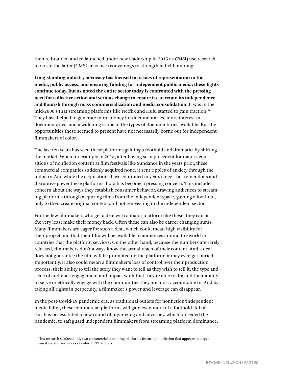then re-branded and re-launched under new leadership in 2015 as CMSI) use research to do so; the latter (CMSI) also uses convenings to strengthen field building.

**Long-standing industry advocacy has focused on issues of representation in the media, public access, and ensuring funding for independent public media; these fights continue today. But as noted the entire sector today is confronted with the pressing need for collective action and serious change to ensure it can retain its independence and flourish through mass commercialization and media consolidation.** It was in the mid-2000's that streaming platforms like Netflix and Hulu started to gain traction.10 They have helped to generate more money for documentaries, more interest in documentaries, and a widening scope of the types of documentaries available. But the opportunities these seemed to present have not necessarily borne out for independent filmmakers of color.

The last ten years has seen these platforms gaining a foothold and dramatically shifting the market. When for example in 2018, after having set a precedent for major acquisitions of nonfiction content at film festivals like Sundance in the years prior, these commercial companies suddenly acquired none, it sent ripples of anxiety through the industry. And while the acquisitions have continued in years since, the tremendous and disruptive power these platforms' hold has become a pressing concern. This includes concern about the ways they establish consumer behavior, drawing audiences to streaming platforms through acquiring films from the independent space, gaining a foothold, only to then create original content and not reinvesting in the independent sector.

For the few filmmakers who get a deal with a major platform like these, they can at the very least make their money back. Often these can also be career changing sums. Many filmmakers are eager for such a deal, which could mean high visibility for their project and that their film will be available to audiences around the world in countries that the platform services. On the other hand, because the numbers are rarely released, filmmakers don't always know the actual reach of their content. And a deal does not guarantee the film will be promoted on the platform; it may even get buried. Importantly, it also could mean a filmmaker's loss of control over their production process; their ability to tell the story they want to tell as they wish to tell it; the type and scale of audience engagement and impact work that they're able to do; and their ability to serve or ethically engage with the communities they are most accountable to. And by taking all rights in perpetuity, a filmmaker's power and leverage can disappear.

In the post-Covid-19 pandemic era, as traditional outlets for nonfiction/independent media falter, these commercial platforms will gain even more of a foothold. All of this has necessitated a new round of organizing and advocacy, which preceded the pandemic, to safeguard independent filmmakers from streaming platform dominance.

<sup>&</sup>lt;sup>10</sup> This research surfaced only two commercial streaming platforms featuring nonfiction that appears to target filmmakers and audiences of color: BET+ and Vix.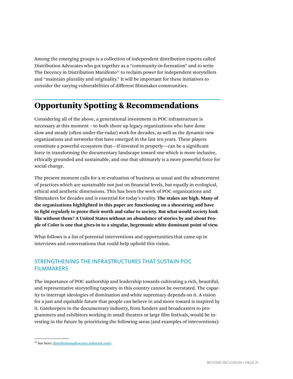Among the emerging groups is a collection of independent distribution experts called Distribution Advocates who got together as a "community-in-formation" and to write The Decency in Distribution Manifesto<sup>11</sup> to reclaim power for independent storytellers and "maintain plurality and originality." It will be important for these initiatives to consider the varying vulnerabilities of different filmmaker communities.

## Opportunity Spotting & Recommendations

Considering all of the above, a generational investment in POC infrastructure is necessary at this moment – to both shore up legacy organizations who have done slow and steady (often under-the-radar) work for decades, as well as the dynamic new organizations and networks that have emerged in the last ten years. These players constitute a powerful ecosystem that—if invested in properly—can be a significant force in transforming the documentary landscape toward one which is more inclusive, ethically grounded and sustainable, and one that ultimately is a more powerful force for social change.

The present moment calls for a re-evaluation of business as usual and the advancement of practices which are sustainable not just on financial levels, but equally in ecological, ethical and aesthetic dimensions. This has been the work of POC organizations and filmmakers for decades and is essential for today's reality. **The stakes are high. Many of the organizations highlighted in this paper are functioning on a shoestring and have to fight regularly to prove their worth and value to society. But what would society look like without them? A United States without an abundance of stories by and about People of Color is one that gives-in to a singular, hegemonic white dominant point of view.** 

What follows is a list of potential interventions and opportunities that came up in interviews and conversations that could help uphold this vision.

#### STRENGTHENING THE INFRASTRUCTURES THAT SUSTAIN POC FILMMAKERS

The importance of POC authorship and leadership towards cultivating a rich, beautiful, and representative storytelling tapestry in this country cannot be overstated. The capacity to interrupt ideologies of domination and white supremacy depends on it. A vision for a just and equitable future that people can believe in and move toward is inspired by it. Gatekeepers in the documentary industry, from funders and broadcasters to programmers and exhibitors working in small theatres or large film festivals, would be investing in the future by prioritizing the following areas (and examples of interventions):

<sup>&</sup>lt;sup>11</sup> See here[:](https://distributionadvocates.substack.com/) [distributionadvocates.substack.com/](https://distributionadvocates.substack.com/)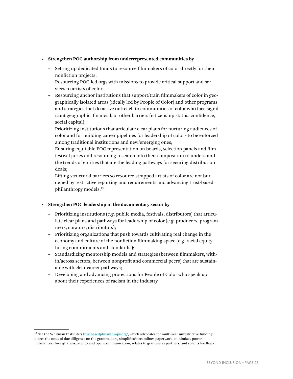#### **• Strengthen POC authorship from underrepresented communities by**

- **–** Setting up dedicated funds to resource filmmakers of color directly for their nonfiction projects;
- **–** Resourcing POC-led orgs with missions to provide critical support and services to artists of color;
- **–** Resourcing anchor institutions that support/train filmmakers of color in geographically isolated areas (ideally led by People of Color) and other programs and strategies that do active outreach to communities of color who face significant geographic, financial, or other barriers (citizenship status, confidence, social capital);
- **–** Prioritizing institutions that articulate clear plans for nurturing audiences of color and for building career pipelines for leadership of color - to be enforced among traditional institutions and new/emerging ones;
- **–** Ensuring equitable POC representation on boards, selection panels and film festival juries and resourcing research into their composition to understand the trends of entities that are the leading pathways for securing distribution deals;
- **–** Lifting structural barriers so resource-strapped artists of color are not burdened by restrictive reporting and requirements and advancing trust-based philanthropy models.12

#### **• Strengthen POC leadership in the documentary sector by**

- **–** Prioritizing institutions (e.g. public media, festivals, distributors) that articulate clear plans and pathways for leadership of color (e.g. producers, programmers, curators, distributors);
- **–** Prioritizing organizations that push towards cultivating real change in the economy and culture of the nonfiction filmmaking space (e.g. racial equity hiring commitments and standards );
- **–** Standardizing mentorship models and strategies (between filmmakers, within/across sectors, between nonprofit and commercial peers) that are sustainable with clear career pathways;
- **–** Developing and advancing protections for People of Color who speak up about their experiences of racism in the industry.

 $^{12}$  See the Whitman Institute's  $\underline{trustbasedphilanthropy.org/}$  $\underline{trustbasedphilanthropy.org/}$  $\underline{trustbasedphilanthropy.org/}$ , which advocates for multi-year unrestrictive funding, places the onus of due diligence on the grantmakers, simplifies/streamlines paperwork, minimizes power imbalances through transparency and open communication, relates to grantees as partners, and solicits feedback.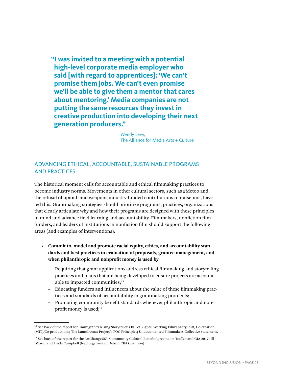**"I was invited to a meeting with a potential high-level corporate media employer who said [with regard to apprentices]: 'We can't promise them jobs. We can't even promise we'll be able to give them a mentor that cares about mentoring.' Media companies are not putting the same resources they invest in creative production into developing their next generation producers."**

> Wendy Levy, The Alliance for Media Arts + Culture

#### ADVANCING ETHICAL, ACCOUNTABLE, SUSTAINABLE PROGRAMS AND PRACTICES

The historical moment calls for accountable and ethical filmmaking practices to become industry norms. Movements in other cultural sectors, such as #Metoo and the refusal of opioid- and weapons industry-funded contributions to museums, have led this. Grantmaking strategies should prioritize programs, practices, organizations that clearly articulate why and how their programs are designed with these principles in mind and advance field learning and accountability. Filmmakers, nonfiction film funders, and leaders of institutions in nonfiction film should support the following areas (and examples of interventions):

- **• Commit to, model and promote racial equity, ethics, and accountability standards and best practices in evaluation of proposals, grantee management, and when philanthropic and nonprofit money is used by**
	- **–** Requiring that grant applications address ethical filmmaking and storytelling practices and plans that are being developed to ensure projects are accountable to impacted communities;<sup>13</sup>
	- **–** Educating funders and influencers about the value of these filmmaking practices and standards of accountability in grantmaking protocols;
	- **–** Promoting community benefit standards whenever philanthropic and nonprofit money is used;<sup>14</sup>

<sup>&</sup>lt;sup>13</sup> See back of the report for: Immigrant's Rising Storyteller's Bill of Rights; Working Film's StoryShift; Co-creation (MIT)/Co-productions; The Laundromat Project's POC Principles; Undocumented Filmmakers Collective statement.

<sup>14</sup> See back of the report for the ArtChangeUS's Community Cultural Benefit Agreements Toolkit and GIA 2017: Ill Weaver and Linda Campbell (lead organizer of Detroit CBA Coalition)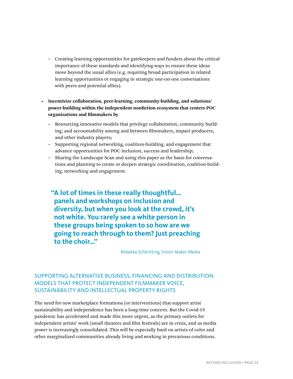**–** Creating learning opportunities for gatekeepers and funders about the critical importance of these standards and identifying ways to ensure these ideas move beyond the usual allies (e.g. requiring broad participation in related learning opportunities or engaging in strategic one-on-one conversations with peers and potential allies).

**• Incentivize collaboration, peer-learning, community-building, and solutions/ power-building within the independent nonfiction ecosystem that centers POC organizations and filmmakers by**

- **–** Resourcing innovative models that privilege collaboration, community building, and accountability among and between filmmakers, impact producers, and other industry players;
- **–** Supporting regional networking, coalition-building, and engagement that advance opportunities for POC inclusion, success and leadership;
- **–** Sharing the Landscape Scan and using this paper as the basis for conversations and planning to create or deepen strategic coordination, coalition-building, networking and engagement.

**"A lot of times in these really thoughtful… panels and workshops on inclusion and diversity, but when you look at the crowd, it's not white. You rarely see a white person in these groups being spoken to so how are we going to reach through to them? Just preaching to the choir…"**

Rebekka Schlichting, Vision Maker Media

#### SUPPORTING ALTERNATIVE BUSINESS, FINANCING AND DISTRIBUTION MODELS THAT PROTECT INDEPENDENT FILMMAKER VOICE, SUSTAINABILITY AND INTELLECTUAL PROPERTY RIGHTS

The need for new marketplace formations (or interventions) that support artist sustainability and independence has been a long-time concern. But the Covid-19 pandemic has accelerated and made this more urgent, as the primary outlets for independent artists' work (small theatres and film festivals) are in crisis, and as media power is increasingly consolidated. This will be especially hard on artists of color and other marginalized communities already living and working in precarious conditions.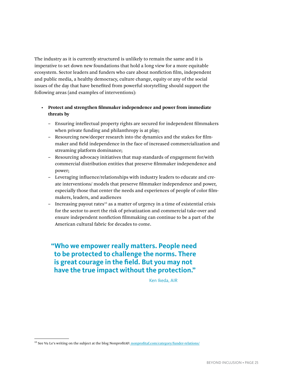The industry as it is currently structured is unlikely to remain the same and it is imperative to set down new foundations that hold a long view for a more equitable ecosystem. Sector leaders and funders who care about nonfiction film, independent and public media, a healthy democracy, culture change, equity or any of the social issues of the day that have benefited from powerful storytelling should support the following areas (and examples of interventions):

#### **• Protect and strengthen filmmaker independence and power from immediate threats by**

- **–** Ensuring intellectual property rights are secured for independent filmmakers when private funding and philanthropy is at play;
- **–** Resourcing new/deeper research into the dynamics and the stakes for filmmaker and field independence in the face of increased commercialization and streaming platform dominance;
- **–** Resourcing advocacy initiatives that map standards of engagement for/with commercial distribution entities that preserve filmmaker independence and power;
- **–** Leveraging influence/relationships with industry leaders to educate and create interventions/ models that preserve filmmaker independence and power, especially those that center the needs and experiences of people of color filmmakers, leaders, and audiences
- **–** Increasing payout rates15 as a matter of urgency in a time of existential crisis for the sector to avert the risk of privatization and commercial take-over and ensure independent nonfiction filmmaking can continue to be a part of the American cultural fabric for decades to come.

**"Who we empower really matters. People need to be protected to challenge the norms. There is great courage in the field. But you may not have the true impact without the protection."**

Ken Ikeda, AIR

<sup>&</sup>lt;sup>15</sup> See Vu Le's writing on the subject at the blog NonprofitAF[:](https://nonprofitaf.com/category/funder-relations/) [nonprofitaf.com/category/funder-relations/](https://nonprofitaf.com/category/funder-relations/)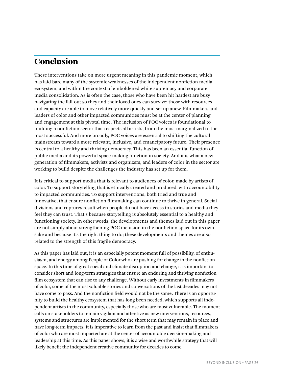### Conclusion

These interventions take on more urgent meaning in this pandemic moment, which has laid bare many of the systemic weaknesses of the independent nonfiction media ecosystem, and within the context of emboldened white supremacy and corporate media consolidation. As is often the case, those who have been hit hardest are busy navigating the fall-out so they and their loved ones can survive; those with resources and capacity are able to move relatively more quickly and set up anew. Filmmakers and leaders of color and other impacted communities must be at the center of planning and engagement at this pivotal time. The inclusion of POC voices is foundational to building a nonfiction sector that respects all artists, from the most marginalized to the most successful. And more broadly, POC voices are essential to shifting the cultural mainstream toward a more relevant, inclusive, and emancipatory future. Their presence is central to a healthy and thriving democracy. This has been an essential function of public media and its powerful space-making function in society. And it is what a new generation of filmmakers, activists and organizers, and leaders of color in the sector are working to build despite the challenges the industry has set up for them.

It is critical to support media that is relevant to audiences of color, made by artists of color. To support storytelling that is ethically created and produced, with accountability to impacted communities. To support interventions, both tried and true and innovative, that ensure nonfiction filmmaking can continue to thrive in general. Social divisions and ruptures result when people do not have access to stories and media they feel they can trust. That's because storytelling is absolutely essential to a healthy and functioning society. In other words, the developments and themes laid out in this paper are not simply about strengthening POC inclusion in the nonfiction space for its own sake and because it's the right thing to do; these developments and themes are also related to the strength of this fragile democracy.

As this paper has laid out, it is an especially potent moment full of possibility, of enthusiasm, and energy among People of Color who are pushing for change in the nonfiction space. In this time of great social and climate disruption and change, it is important to consider short and long-term strategies that ensure an enduring and thriving nonfiction film ecosystem that can rise to any challenge. Without early investments in filmmakers of color, some of the most valuable stories and conversations of the last decades may not have come to pass. And the nonfiction field would not be the same. There is an opportunity to build the healthy ecosystem that has long been needed, which supports all independent artists in the community, especially those who are most vulnerable. The moment calls on stakeholders to remain vigilant and attentive as new interventions, resources, systems and structures are implemented for the short term that may remain in place and have long-term impacts. It is imperative to learn from the past and insist that filmmakers of color who are most impacted are at the center of accountable decision-making and leadership at this time. As this paper shows, it is a wise and worthwhile strategy that will likely benefit the independent creative community for decades to come.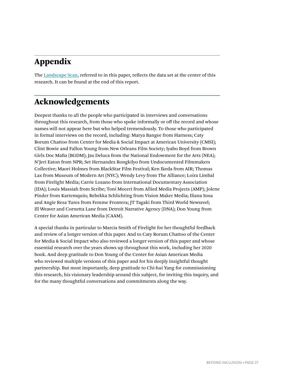## Appendix

The [Landscape Scan](#page-31-0), referred to in this paper, reflects the data set at the center of this research. It can be found at the end of this report.

## Acknowledgements

Deepest thanks to all the people who participated in interviews and conversations throughout this research, from those who spoke informally or off the record and whose names will not appear here but who helped tremendously. To those who participated in formal interviews on the record, including: Marya Bangee from Harness; Caty Borum Chattoo from Center for Media & Social Impact at American University (CMSI); Clint Bowie and Fallon Young from New Orleans Film Society; Iyabo Boyd from Brown Girls Doc Mafia (BGDM); Jax Deluca from the National Endowment for the Arts (NEA); N'Jeri Eaton from NPR; Set Hernandez Rongkilyo from Undocumented Filmmakers Collective; Maori Holmes from BlackStar Film Festival; Ken Ikeda from AIR; Thomas Lax from Museum of Modern Art (NYC); Wendy Levy from The Alliance; Loira Limbal from Firelight Media; Carrie Lozano from International Documentary Association (IDA); Louis Massiah from Scribe; Toni Moceri from Allied Media Projects (AMP); Jolene Pinder from Kartemquin; Rebekka Schlichting from Vision Maker Media; Iliana Sosa and Angie Reza Tures from Femme Frontera; JT Tagaki from Third World Newsreel; Ill Weaver and Cornetta Lane from Detroit Narrative Agency (DNA); Don Young from Center for Asian American Media (CAAM).

A special thanks in particular to Marcia Smith of Firelight for her thoughtful feedback and review of a longer version of this paper. And to Caty Borum Chattoo of the Center for Media & Social Impact who also reviewed a longer version of this paper and whose essential research over the years shows up throughout this work, including her 2020 book. And deep gratitude to Don Young of the Center for Asian American Media who reviewed multiple versions of this paper and for his deeply insightful thought partnership. But most importantly, deep gratitude to Chi-hui Yang for commissioning this research, his visionary leadership around this subject, for inviting this inquiry, and for the many thoughtful conversations and commitments along the way.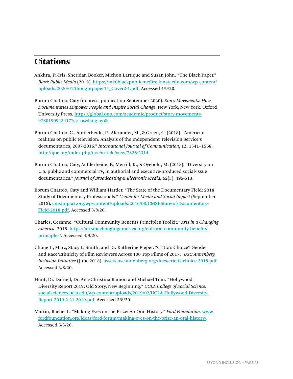## **Citations**

- Ankhra, Pi-Isis, Sheridan Booker, Michon Lartique and Susan John. "The Black Paper." *Black Public Media* (2018). [https://mk0blackpublicmef9rc.kinstacdn.com/wp-content/](https://mk0blackpublicmef9rc.kinstacdn.com/wp-content/uploads/2020/01/thoughtpaper14_Cover2-1.pdf) [uploads/2020/01/thoughtpaper14\\_Cover2-1.pdf](https://mk0blackpublicmef9rc.kinstacdn.com/wp-content/uploads/2020/01/thoughtpaper14_Cover2-1.pdf). Accessed 4/9/20.
- Borum Chattoo, Caty (in press, publication September 2020). *Story Movements: How Documentaries Empower People and Inspire Social Change*. New York, New York: Oxford University Press. [https://global.oup.com/academic/product/story-movements-](https://global.oup.com/academic/product/story-movements-9780190943417?cc=us&lang=en&)[9780190943417?cc=us&lang=en&](https://global.oup.com/academic/product/story-movements-9780190943417?cc=us&lang=en&)
- Borum Chattoo, C., Aufderheide, P., Alexander, M., & Green, C. (2018). "American realities on public television: Analysis of the Independent Television Service's documentaries, 2007-2016." *International Journal of Communication*, 12: 1541–1568. <http://ijoc.org/index.php/ijoc/article/view/7826/2314>
- Borum Chattoo, Caty, Aufderheide, P., Merrill, K., & Oyebolu, M. (2018). "Diversity on U.S. public and commercial TV, in authorial and executive-produced social-issue documentaries." *Journal of Broadcasting & Electronic Media,* 62(3), 495-513.
- Borum Chattoo, Caty and William Harder. "The State of the Documentary Field: 2018 Study of Documentary Professionals." *Center for Media and Social Impact* (September 2018)[.](https://cmsimpact.org/wp-content/uploads/2016/08/CMSI-State-of-Documentary-Field-2018.pdf) [cmsimpact.org/wp-content/uploads/2016/08/CMSI-State-of-Documentary-](https://cmsimpact.org/wp-content/uploads/2016/08/CMSI-State-of-Documentary-Field-2018.pdf)[Field-2018.pdf](https://cmsimpact.org/wp-content/uploads/2016/08/CMSI-State-of-Documentary-Field-2018.pdf). Accessed 3/8/20.
- Charles, Cezanne. "Cultural Community Benefits Principles Toolkit*." Arts in a Changing America*. 2018. [https://artsinachangingamerica.org/cultural-community-benefits](https://artsinachangingamerica.org/cultural-community-benefits-principles/)[principles/](https://artsinachangingamerica.org/cultural-community-benefits-principles/). Accessed 4/9/20.
- Choueiti, Marc, Stacy L. Smith, and Dr. Katherine Pieper. "Critic's Choice? Gender and Race/Ethnicity of Film Reviewers Across 100 Top Films of 2017." *USC Annenberg Inclusion Initiative* (June 2018)[.](http://assets.uscannenberg.org/docs/cricits-choice-2018.pdf) [assets.uscannenberg.org/docs/cricits-choice-2018.pdf](http://assets.uscannenberg.org/docs/cricits-choice-2018.pdf) Accessed 3/8/20.
- Hunt, Dr. Darnell, Dr. Ana-Christina Ramon and Michael Tran. "Hollywood Diversity Report 2019: Old Story, New Beginning." *UCLA College of Social Science.* [socialsciences.ucla.edu/wp-content/uploads/2019/02/UCLA-Hollywood-Diversity-](https://socialsciences.ucla.edu/wp-content/uploads/2019/02/UCLA-Hollywood-Diversity-Report-2019-2-21-2019.pdf)[Report-2019-2-21-2019.pdf](https://socialsciences.ucla.edu/wp-content/uploads/2019/02/UCLA-Hollywood-Diversity-Report-2019-2-21-2019.pdf). Accessed 3/8/20.

Martin, Rachel L. "Making Eyes on the Prize: An Oral History." *Ford Foundation.* [www.](http://www.fordfoundation.org/ideas/ford-forum/making-eyes-on-the-prize-an-oral-history/) [fordfoundation.org/ideas/ford-forum/making-eyes-on-the-prize-an-oral-history/](http://www.fordfoundation.org/ideas/ford-forum/making-eyes-on-the-prize-an-oral-history/). Accessed 5/3/20.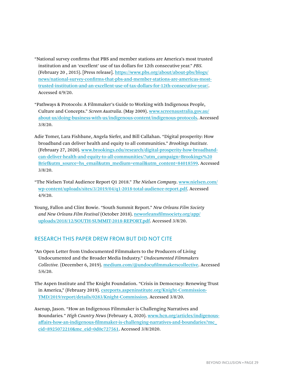- "National survey confirms that PBS and member stations are America's most trusted institution and an 'excellent' use of tax dollars for 12th consecutive year." *PBS.* (February 20 , 2015). [Press release]. [https://www.pbs.org/about/about-pbs/blogs/](https://www.pbs.org/about/about-pbs/blogs/news/national-survey-confirms-that-pbs-and-member-stations-are-americas-most-trusted-institution-and-an-excellent-use-of-tax-dollars-for-12th-consecutive-year/) [news/national-survey-confirms-that-pbs-and-member-stations-are-americas-most](https://www.pbs.org/about/about-pbs/blogs/news/national-survey-confirms-that-pbs-and-member-stations-are-americas-most-trusted-institution-and-an-excellent-use-of-tax-dollars-for-12th-consecutive-year/)[trusted-institution-and-an-excellent-use-of-tax-dollars-for-12th-consecutive-year/](https://www.pbs.org/about/about-pbs/blogs/news/national-survey-confirms-that-pbs-and-member-stations-are-americas-most-trusted-institution-and-an-excellent-use-of-tax-dollars-for-12th-consecutive-year/). Accessed 4/9/20.
- "Pathways & Protocols: A Filmmaker's Guide to Working with Indigenous People, Culture and Concepts." *Screen Australia*. (May 2009). [www.screenaustralia.gov.au/](http://www.screenaustralia.gov.au/about-us/doing-business-with-us/indigenous-content/indigenous-protocols) [about-us/doing-business-with-us/indigenous-content/indigenous-protocols](http://www.screenaustralia.gov.au/about-us/doing-business-with-us/indigenous-content/indigenous-protocols). Accessed 3/8/20.
- Adie Tomer, Lara Fishbane, Angela Siefer, and Bill Callahan. "Digital prosperity: How broadband can deliver health and equity to all communities." *Brookings Institute.* (February 27, 2020). [www.brookings.edu/research/digital-prosperity-how-broadband](http://www.brookings.edu/research/digital-prosperity-how-broadband-can-deliver-health-and-equity-to-all-communities/?utm_campaign=Brookings%20Brief&utm_source=hs_email&utm_medium=email&utm_content=84018599)[can-deliver-health-and-equity-to-all-communities/?utm\\_campaign=Brookings%20](http://www.brookings.edu/research/digital-prosperity-how-broadband-can-deliver-health-and-equity-to-all-communities/?utm_campaign=Brookings%20Brief&utm_source=hs_email&utm_medium=email&utm_content=84018599) [Brief&utm\\_source=hs\\_email&utm\\_medium=email&utm\\_content=84018599](http://www.brookings.edu/research/digital-prosperity-how-broadband-can-deliver-health-and-equity-to-all-communities/?utm_campaign=Brookings%20Brief&utm_source=hs_email&utm_medium=email&utm_content=84018599). Accessed 3/8/20.
- "The Nielsen Total Audience Report Q1 2018." *The Nielsen Company*. [www.nielsen.com/](http://www.nielsen.com/wp-content/uploads/sites/3/2019/04/q1-2018-total-audience-report.pdf) [wp-content/uploads/sites/3/2019/04/q1-2018-total-audience-report.pdf](http://www.nielsen.com/wp-content/uploads/sites/3/2019/04/q1-2018-total-audience-report.pdf). Accessed 4/9/20.
- Young, Fallon and Clint Bowie. "South Summit Report." *New Orleans Film Society and New Orleans Film Festival* (October 2018). [neworleansfilmsociety.org/app/](https://neworleansfilmsociety.org/app/uploads/2018/12/SOUTH-SUMMIT-2018-REPORT.pdf) [uploads/2018/12/SOUTH-SUMMIT-2018-REPORT.pdf](https://neworleansfilmsociety.org/app/uploads/2018/12/SOUTH-SUMMIT-2018-REPORT.pdf). Accessed 3/8/20.

#### RESEARCH THIS PAPER DREW FROM BUT DID NOT CITE

- "An Open Letter from Undocumented Filmmakers to the Producers of Living Undocumented and the Broader Media Industry." *Undocumented Filmmakers Collective.* [\(](http://medium.com/@undocufilmmakerscollective)December 6, 2019). [medium.com/@undocufilmmakerscollective](https://medium.com/@undocufilmmakerscollective). Accessed 5/6/20.
- The Aspen Institute and The Knight Foundation. "Crisis in Democracy: Renewing Trust in America," (February 2019)[.](https://csreports.aspeninstitute.org/Knight-Commission-TMD/2019/report/details/0283/Knight-Commission) [csreports.aspeninstitute.org/Knight-Commission-](https://csreports.aspeninstitute.org/Knight-Commission-TMD/2019/report/details/0283/Knight-Commission)[TMD/2019/report/details/0283/Knight-Commission](https://csreports.aspeninstitute.org/Knight-Commission-TMD/2019/report/details/0283/Knight-Commission). Accessed 3/8/20.
- Asenap, Jason. "How an Indigenous Filmmaker is Challenging Narratives and Boundaries*.*" *High Country News* (February 4, 2020). [www.hcn.org/articles/indigenous](http://www.hcn.org/articles/indigenous-affairs-how-an-indigenous-filmmaker-is-challenging-narratives-and-boundaries?mc_cid=8925072210&mc_eid=0d0c727561)[affairs-how-an-indigenous-filmmaker-is-challenging-narratives-and-boundaries?mc\\_](http://www.hcn.org/articles/indigenous-affairs-how-an-indigenous-filmmaker-is-challenging-narratives-and-boundaries?mc_cid=8925072210&mc_eid=0d0c727561) [cid=8925072210&mc\\_eid=0d0c727561](http://www.hcn.org/articles/indigenous-affairs-how-an-indigenous-filmmaker-is-challenging-narratives-and-boundaries?mc_cid=8925072210&mc_eid=0d0c727561). Accessed 3/8/2020.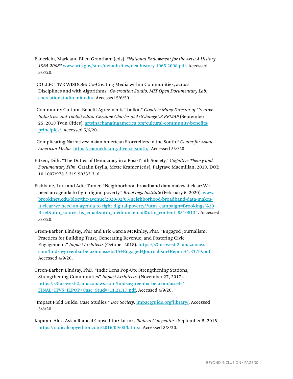- Bauerlein, Mark and Ellen Grantham (eds). *"National Endowment for the Arts: A History 1965-2008"* [www.arts.gov/sites/default/files/nea-history-1965-2008.pdf](http://www.arts.gov/sites/default/files/nea-history-1965-2008.pdf). Accessed 3/8/20.
- "COLLECTIVE WISDOM: Co-Creating Media within Communities, across Disciplines and with Algorithms" *Co-creation Studio, MIT Open Documentary Lab*. [cocreationstudio.mit.edu/](https://cocreationstudio.mit.edu/). Accessed 5/6/20.
- "Community Cultural Benefit Agreements Toolkit." *Creative Many Director of Creative Industries and Toolkit editor Cézanne Charles at ArtChangeUS REMAP* (September 25, 2018 Twin Cities). [artsinachangingamerica.org/cultural-community-benefits](https://artsinachangingamerica.org/cultural-community-benefits-principles/)[principles/](https://artsinachangingamerica.org/cultural-community-benefits-principles/). Accessed 5/6/20.
- "Complicating Narratives: Asian American Storytellers in the South*." Center for Asian American Media.* <https://caamedia.org/diverse-south/>. Accessed 3/8/20.
- Eitzen, Dirk. "The Duties of Democracy in a Post-Truth Society." *Cognitive Theory and Documentary Film,* Catalin Brylla, Mette Kramer (eds). Palgrave Macmillan, 2018. DOI: 10.1007/978-3-319-90332-3\_6
- Fishbane, Lara and Adie Tomer. "Neighborhood broadband data makes it clear: We need an agenda to fight digital poverty." *Brookings Institute* (February 6, 2020). [www.](http://www.brookings.edu/blog/the-avenue/2020/02/05/neighborhood-broadband-data-makes-it-clear-we-need-an-agenda-to-fight-digital-poverty/?utm_campaign=Brookings%20Brief&utm_source=hs_email&utm_medium=email&utm_content=83108134) [brookings.edu/blog/the-avenue/2020/02/05/neighborhood-broadband-data-makes](http://www.brookings.edu/blog/the-avenue/2020/02/05/neighborhood-broadband-data-makes-it-clear-we-need-an-agenda-to-fight-digital-poverty/?utm_campaign=Brookings%20Brief&utm_source=hs_email&utm_medium=email&utm_content=83108134)[it-clear-we-need-an-agenda-to-fight-digital-poverty/?utm\\_campaign=Brookings%20](http://www.brookings.edu/blog/the-avenue/2020/02/05/neighborhood-broadband-data-makes-it-clear-we-need-an-agenda-to-fight-digital-poverty/?utm_campaign=Brookings%20Brief&utm_source=hs_email&utm_medium=email&utm_content=83108134) [Brief&utm\\_source=hs\\_email&utm\\_medium=email&utm\\_content=83108134](http://www.brookings.edu/blog/the-avenue/2020/02/05/neighborhood-broadband-data-makes-it-clear-we-need-an-agenda-to-fight-digital-poverty/?utm_campaign=Brookings%20Brief&utm_source=hs_email&utm_medium=email&utm_content=83108134). Accessed 3/8/20.
- Green-Barber, Lindsay, PhD and Eric Garcia McKinley, PhD. "Engaged Journalism: Practices for Building Trust, Generating Revenue, and Fostering Civic Engagement." *Impact Architects* (October 2018). [https://s3-us-west-2.amazonaws.](https://s3-us-west-2.amazonaws.com/lindsaygreenbarber.com/assets/IA+Engaged+Journalism+Report+1.31.19.pdf) [com/lindsaygreenbarber.com/assets/IA+Engaged+Journalism+Report+1.31.19.pdf](https://s3-us-west-2.amazonaws.com/lindsaygreenbarber.com/assets/IA+Engaged+Journalism+Report+1.31.19.pdf). Accessed 4/9/20.
- Green-Barber, Lindsay, PhD. "Indie Lens Pop-Up: Strengthening Stations, Strengthening Communities" *Impact Architects*. (November 27, 2017). [https://s3-us-west-2.amazonaws.com/lindsaygreenbarber.com/assets/](https://s3-us-west-2.amazonaws.com/lindsaygreenbarber.com/assets/FINAL+ITVS+ILPOP+Case+Study+11.21.17.pdf) [FINAL+ITVS+ILPOP+Case+Study+11.21.17.pdf](https://s3-us-west-2.amazonaws.com/lindsaygreenbarber.com/assets/FINAL+ITVS+ILPOP+Case+Study+11.21.17.pdf). Accessed 4/9/20.
- "Impact Field Guide: Case Studies*.*" *Doc Society*. [impactguide.org/library/](https://impactguide.org/library/). Accessed 3/8/20.
- Kapitan, Alex. Ask a Radical Copyeditor: Latinx. *Radical Copyeditor.* (September 5, 2016)[.](https://radicalcopyeditor.com/2016/09/05/latinx/) <https://radicalcopyeditor.com/2016/09/05/latinx/>. Accessed 3/8/20.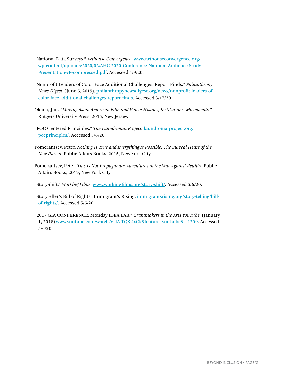"National Data Surveys." *Arthouse Convergence*. [www.arthouseconvergence.org/](http://www.arthouseconvergence.org/wp-content/uploads/2020/02/AHC-2020-Conference-National-Audience-Study-Presentation-vF-compressed.pdf) [wp-content/uploads/2020/02/AHC-2020-Conference-National-Audience-Study-](http://www.arthouseconvergence.org/wp-content/uploads/2020/02/AHC-2020-Conference-National-Audience-Study-Presentation-vF-compressed.pdf)[Presentation-vF-compressed.pdf](http://www.arthouseconvergence.org/wp-content/uploads/2020/02/AHC-2020-Conference-National-Audience-Study-Presentation-vF-compressed.pdf). Accessed 4/9/20.

- "Nonprofit Leaders of Color Face Additional Challenges, Report Finds." *Philanthropy News Digest*. (June 6, 2019)[.](https://philanthropynewsdigest.org/news/nonprofit-leaders-of-color-face-additional-challenges-report-finds) [philanthropynewsdigest.org/news/nonprofit-leaders-of](https://philanthropynewsdigest.org/news/nonprofit-leaders-of-color-face-additional-challenges-report-finds)[color-face-additional-challenges-report-finds](https://philanthropynewsdigest.org/news/nonprofit-leaders-of-color-face-additional-challenges-report-finds). Accessed 3/17/20.
- Okada, Jun. "*Making Asian American Film and Video: History, Institutions, Movements.*" Rutgers University Press, 2015, New Jersey.
- "POC Centered Principles." *The Laundromat Project.* [laundromatproject.org/](http://laundromatproject.org/pocprinciples/) [pocprinciples/](http://laundromatproject.org/pocprinciples/). Accessed 5/6/20.
- Pomerantsev, Peter. *Nothing Is True and Everything Is Possible: The Surreal Heart of the New Russia.* Public Affairs Books, 2015, New York City.
- Pomerantsev, Peter. *This Is Not Propaganda: Adventures in the War Against Reality*. Public Affairs Books, 2019, New York City.
- "StoryShift." *Working Films*. [www.workingfilms.org/story-shift/](https://www.workingfilms.org/story-shift/). Accessed 5/6/20.
- ["Storyteller's Bill of Rights](http://immigrantsrising.org/story-telling/bill-of-rights/;)" [Immigrant's Rising](http://immigrantsrising.org/story-telling/bill-of-rights/;). [immigrantsrising.org/story-telling/bill](https://immigrantsrising.org/story-telling/bill-of-rights/)[of-rights/](https://immigrantsrising.org/story-telling/bill-of-rights/). Accessed 5/6/20.
- "2017 GIA CONFERENCE: Monday IDEA LAB." *Grantmakers in the Arts YouTube.* (January 1, 2018) [www.youtube.com/watch?v=fA-TQS-4xCk&feature=youtu.be&t=1209](https://www.youtube.com/watch?v=fA-TQS-4xCk&feature=youtu.be&t=1209). Accessed 5/6/20.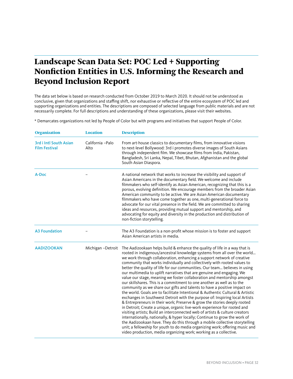## <span id="page-31-0"></span>Landscape Scan Data Set: POC Led + Supporting Nonfiction Entities in U.S. Informing the Research and Beyond Inclusion Report

The data set below is based on research conducted from October 2019 to March 2020. It should not be understood as conclusive, given that organizations and staffing shift, nor exhaustive or reflective of the entire ecosystem of POC led and supporting organizations and entities. The descriptions are composed of selected language from public materials and are not necessarily complete. For full descriptions and understanding of these organizations, please visit their websites.

\* Demarcates organizations not led by People of Color but with programs and initiatives that support People of Color.

| <b>Organization</b>                            | <b>Location</b>           | <b>Description</b>                                                                                                                                                                                                                                                                                                                                                                                                                                                                                                                                                                                                                                                                                                                                                                                                                                                                                                                                                                                                                                                                                                                                                                                                                                                                                                                                                                                                             |
|------------------------------------------------|---------------------------|--------------------------------------------------------------------------------------------------------------------------------------------------------------------------------------------------------------------------------------------------------------------------------------------------------------------------------------------------------------------------------------------------------------------------------------------------------------------------------------------------------------------------------------------------------------------------------------------------------------------------------------------------------------------------------------------------------------------------------------------------------------------------------------------------------------------------------------------------------------------------------------------------------------------------------------------------------------------------------------------------------------------------------------------------------------------------------------------------------------------------------------------------------------------------------------------------------------------------------------------------------------------------------------------------------------------------------------------------------------------------------------------------------------------------------|
| 3rd i Intl South Asian<br><b>Film Festival</b> | California - Palo<br>Alto | From art-house classics to documentary films, from innovative visions<br>to next-level Bollywood: 3rd i promotes diverse images of South Asians<br>through independent film. We showcase films from India, Pakistan,<br>Bangladesh, Sri Lanka, Nepal, Tibet, Bhutan, Afghanistan and the global<br>South Asian Diaspora.                                                                                                                                                                                                                                                                                                                                                                                                                                                                                                                                                                                                                                                                                                                                                                                                                                                                                                                                                                                                                                                                                                       |
| A-Doc                                          |                           | A national network that works to increase the visibility and support of<br>Asian Americans in the documentary field. We welcome and include<br>filmmakers who self-identify as Asian American, recognizing that this is a<br>porous, evolving definition. We encourage members from the broader Asian<br>American community to be active. We are Asian American documentary<br>filmmakers who have come together as one, multi-generational force to<br>advocate for our vital presence in the field. We are committed to sharing<br>ideas and resources, providing mutual support and mentorship, and<br>advocating for equity and diversity in the production and distribution of<br>non-fiction storytelling.                                                                                                                                                                                                                                                                                                                                                                                                                                                                                                                                                                                                                                                                                                               |
| <b>A3 Foundation</b>                           |                           | The A3 Foundation is a non-profit whose mission is to foster and support<br>Asian American artists in media.                                                                                                                                                                                                                                                                                                                                                                                                                                                                                                                                                                                                                                                                                                                                                                                                                                                                                                                                                                                                                                                                                                                                                                                                                                                                                                                   |
| <b>AADIZOOKAN</b>                              | Michigan - Detroit        | The Aadizookaan helps build & enhance the quality of life in a way that is<br>rooted in indigenous/ancestral knowledge systems from all over the world<br>we work through collaboration, enhancing a support network of creative<br>community that works individually and collectively with rooted values to<br>better the quality of life for our communities. Our team believes in using<br>our multimedia to uplift narratives that are genuine and engaging. We<br>value our stage, meaning we foster collaboration and mentorship amongst<br>our skillshares. This is a commitment to one another as well as to the<br>community as we share our gifts and talents to have a positive impact on<br>the world. Goals are to facilitate Intentional & Authentic Cultural & Artistic<br>exchanges in Southwest Detroit with the purpose of: Inspiring local Artists<br>& Entrepreneurs in their work; Preserve & grow the stories deeply rooted<br>in Detroit; Create a unique, organic live-work experience for rooted and<br>visiting artists; Build an interconnected web of artists & culture creators<br>internationally, nationally, & hyper locally; Continue to grow the work of<br>the Aadizookaan have. They do this through a mobile collective storytelling<br>unit; a fellowship for youth to do media organizing work; offering music and<br>video production, media organizing work; working as a collective. |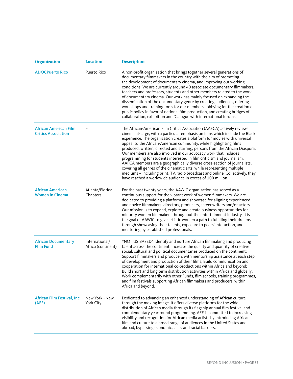| <b>Organization</b>                                        | <b>Location</b>                      | <b>Description</b>                                                                                                                                                                                                                                                                                                                                                                                                                                                                                                                                                                                                                                                                                                                                                                                                                          |
|------------------------------------------------------------|--------------------------------------|---------------------------------------------------------------------------------------------------------------------------------------------------------------------------------------------------------------------------------------------------------------------------------------------------------------------------------------------------------------------------------------------------------------------------------------------------------------------------------------------------------------------------------------------------------------------------------------------------------------------------------------------------------------------------------------------------------------------------------------------------------------------------------------------------------------------------------------------|
| <b>ADOCPuerto Rico</b>                                     | Puerto Rico                          | A non-profit organization that brings together several generations of<br>documentary filmmakers in the country with the aim of promoting<br>the development of documentary cinema, and improving our working<br>conditions. We are currently around 40 associate documentary filmmakers,<br>teachers and professors, students and other members related to the work<br>of documentary cinema. Our work has mainly focused on expanding the<br>dissemination of the documentary genre by creating audiences, offering<br>workshops and training tools for our members, lobbying for the creation of<br>public policy in favor of national film production, and creating bridges of<br>collaboration, exhibition and Dialogue with international forums.                                                                                      |
| <b>African American Film</b><br><b>Critics Association</b> |                                      | The African-American Film Critics Association (AAFCA) actively reviews<br>cinema at-large, with a particular emphasis on films which include the Black<br>experience. The organization creates a platform for movies with universal<br>appeal to the African-American community, while highlighting films<br>produced, written, directed and starring, persons from the African Diaspora.<br>Our members are also involved in our advocacy work that includes<br>programming for students interested in film criticism and journalism.<br>AAFCA members are a geographically diverse cross-section of journalists,<br>covering all genres of the cinematic arts, while representing multiple<br>mediums - including print, TV, radio broadcast and online. Collectively, they<br>have reached a worldwide audience in excess of 100 million |
| <b>African American</b><br><b>Women in Cinema</b>          | Atlanta/Florida<br>Chapters          | For the past twenty years, the AAWIC organization has served as a<br>continuous support for the vibrant work of women filmmakers. We are<br>dedicated to providing a platform and showcase for aligning experienced<br>and novice filmmakers, directors, producers, screenwriters and/or actors.<br>Our mission is to expand, explore and create business opportunities for<br>minority women filmmakers throughout the entertainment industry. It is<br>the goal of AAWIC to give artistic women a path to fulfilling their dreams<br>through showcasing their talents, exposure to peers' interaction, and<br>mentoring by established professionals.                                                                                                                                                                                     |
| <b>African Documentary</b><br><b>Film Fund</b>             | International/<br>Africa (continent) | *NOT US BASED* Identify and nurture African filmmaking and producing<br>talent across the continent; Increase the quality and quantity of creative<br>social, cultural and political documentaries produced on the continent;<br>Support filmmakers and producers with mentorship assistance at each step<br>of development and production of their films; Build communication and<br>cooperation for international co-productions within Africa and beyond;<br>Build short and long term distribution activities within Africa and globally;<br>Work complementarily with other Funds, film schools, training programmes,<br>and film festivals supporting African filmmakers and producers, within<br>Africa and beyond.                                                                                                                  |
| African Film Festival, Inc.<br>(AFF)                       | New York -New<br>York City           | Dedicated to advancing an enhanced understanding of African culture<br>through the moving image. It offers diverse platforms for the wide<br>distribution of African media through its flagship annual film festival and<br>complementary year-round programming. AFF is committed to increasing<br>visibility and recognition for African media artists by introducing African<br>film and culture to a broad range of audiences in the United States and<br>abroad, bypassing economic, class and racial barriers.                                                                                                                                                                                                                                                                                                                        |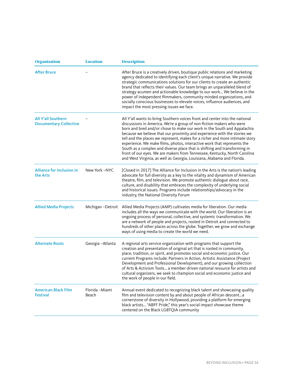| <b>Organization</b>                                        | <b>Location</b>         | <b>Description</b>                                                                                                                                                                                                                                                                                                                                                                                                                                                                                                                                                                                                                                                                                        |
|------------------------------------------------------------|-------------------------|-----------------------------------------------------------------------------------------------------------------------------------------------------------------------------------------------------------------------------------------------------------------------------------------------------------------------------------------------------------------------------------------------------------------------------------------------------------------------------------------------------------------------------------------------------------------------------------------------------------------------------------------------------------------------------------------------------------|
| <b>After Bruce</b>                                         |                         | After Bruce is a creatively driven, boutique public relations and marketing<br>agency dedicated to identifying each client's unique narrative. We provide<br>strategic communications solutions for our clients to create an authentic<br>brand that reflects their values. Our team brings an unparalleled blend of<br>strategy acumen and actionable knowledge to our work We believe in the<br>power of independent filmmakers, community minded organizations, and<br>socially conscious businesses to elevate voices, influence audiences, and<br>impact the most pressing issues we face.                                                                                                           |
| <b>All Y'all Southern</b><br><b>Documentary Collective</b> |                         | All Y'all wants to bring Southern voices front and center into the national<br>discussions in America. We're a group of non-fiction makers who were<br>born and bred and/or chose to make our work in the South and Appalachia<br>because we believe that our proximity and experience with the stories we<br>tell and the places we represent, makes for a richer and more intimate story<br>experience. We make films, photos, interactive work that represents the<br>South as a complex and diverse place that is shifting and transforming in<br>front of our eyes. We are makers from Tennessee, Kentucky, North Carolina<br>and West Virginia, as well as Georgia, Louisiana, Alabama and Florida. |
| <b>Alliance for Inclusion in</b><br>the Arts               | New York -NYC           | [Closed in 2017] The Alliance for Inclusion in the Arts is the nation's leading<br>advocate for full diversity as a key to the vitality and dynamism of American<br>theatre, film, and television. We promote authentic dialogue about race,<br>culture, and disability that embraces the complexity of underlying social<br>and historical issues. Programs include relationships/advocacy in the<br>industry, the National Diversity Forum                                                                                                                                                                                                                                                              |
| <b>Allied Media Projects</b>                               | Michigan - Detroit      | Allied Media Projects (AMP) cultivates media for liberation. Our media<br>includes all the ways we communicate with the world. Our liberation is an<br>ongoing process of personal, collective, and systemic transformation. We<br>are a network of people and projects, rooted in Detroit and connected to<br>hundreds of other places across the globe. Together, we grow and exchange<br>ways of using media to create the world we need.                                                                                                                                                                                                                                                              |
| <b>Alternate Roots</b>                                     | Georgia-Atlanta         | A regional arts service organization with programs that support the<br>creation and presentation of original art that is rooted in community,<br>place, tradition, or spirit, and promotes social and economic justice. Our<br>current Programs include: Partners in Action, Artistic Assistance (Project<br>Development and Professional Development), and our growing collection<br>of Arts & Activism Tools a member-driven national resource for artists and<br>cultural organizers, we seek to champion social and economic justice and<br>the work of people in our field.                                                                                                                          |
| <b>American Black Film</b><br><b>Festival</b>              | Florida -Miami<br>Beach | Annual event dedicated to recognizing black talent and showcasing quality<br>film and television content by and about people of African descenta<br>cornerstone of diversity in Hollywood, providing a platform for emerging<br>black artists "ABFF Pride," this year's social impact showcase theme<br>centered on the Black LGBTQIA community                                                                                                                                                                                                                                                                                                                                                           |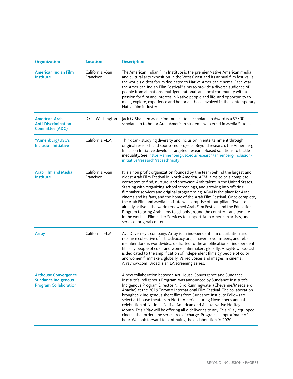| <b>Organization</b>                                                                       | <b>Location</b>               | <b>Description</b>                                                                                                                                                                                                                                                                                                                                                                                                                                                                                                                                                                                                                                                                                                                                                                                                   |
|-------------------------------------------------------------------------------------------|-------------------------------|----------------------------------------------------------------------------------------------------------------------------------------------------------------------------------------------------------------------------------------------------------------------------------------------------------------------------------------------------------------------------------------------------------------------------------------------------------------------------------------------------------------------------------------------------------------------------------------------------------------------------------------------------------------------------------------------------------------------------------------------------------------------------------------------------------------------|
| <b>American Indian Film</b><br>Institute                                                  | California -San<br>Francisco  | The American Indian Film Institute is the premier Native American media<br>and cultural arts exposition in the West Coast and its annual film festival is<br>the world's oldest forum dedicated to Native American cinema. Each year<br>the American Indian Film Festival® aims to provide a diverse audience of<br>people from all nations, multigenerational, and local community with a<br>passion for film and interest in Native people and life, and opportunity to<br>meet, explore, experience and honor all those involved in the contemporary<br>Native film industry.                                                                                                                                                                                                                                     |
| <b>American-Arab</b><br><b>Anti-Discrimination</b><br><b>Committee (ADC)</b>              | D.C. - Washington             | Jack G. Shaheen Mass Communications Scholarship Award is a \$2500<br>scholarship to honor Arab-American students who excel in Media Studies                                                                                                                                                                                                                                                                                                                                                                                                                                                                                                                                                                                                                                                                          |
| *Annenburg/USC's<br><b>Inclusion Initiative</b>                                           | California -L.A.              | Think tank studying diversity and inclusion in entertainment through<br>original research and sponsored projects. Beyond research, the Annenberg<br>Inclusion Initiative develops targeted, research-based solutions to tackle<br>inequality. See: https://annenberg.usc.edu/research/annenberg-inclusion-<br>initiative/research/raceethnicity                                                                                                                                                                                                                                                                                                                                                                                                                                                                      |
| <b>Arab Film and Media</b><br><b>Institute</b>                                            | California - San<br>Francisco | It is a non profit organization founded by the team behind the largest and<br>oldest Arab Film Festival in North America. AFMI aims to be a complete<br>ecosystem to find, nurture, and showcase Arab talent in the United States.<br>Starting with organizing school screenings, and growing into offering<br>filmmaker services and original programming, AFMI is the place for Arab<br>cinema and its fans, and the home of the Arab Film Festival. Once complete,<br>the Arab Film and Media Institute will comprise of four pillars. Two are<br>already active - the world renowned Arab Film Festival and the Education<br>Program to bring Arab films to schools around the country - and two are<br>in the works - Filmmaker Services to support Arab American artists, and a<br>series of original content. |
| <b>Array</b>                                                                              | California -L.A.              | Ava Duverney's company: Array is an independent film distribution and<br>resource collective of arts advocacy orgs, maverick volunteers, and rebel<br>member donors worldwide dedicated to the amplification of independent<br>films by people of color and women filmmakers globally. ArrayNow podcast<br>is dedicated to the amplification of independent films by people of color<br>and women filmmakers globally. Varied voices and images in cinema:<br>Arraynow.com. Broad is an LA screening series.                                                                                                                                                                                                                                                                                                         |
| <b>Arthouse Convergence</b><br><b>Sundance Indigenous</b><br><b>Program Collaboration</b> |                               | A new collaboration between Art House Convergence and Sundance<br>Institute's Indigenous Program, was announced by Sundance Institute's<br>Indigenous Program Director N. Bird Runningwater (Cheyenne/Mescalero<br>Apache) at the 2019 Toronto International Film Festival. The collaboration<br>brought six Indigenous short films from Sundance Institute Fellows to<br>select art house theaters in North America during November's annual<br>celebration of National Native American and Alaska Native Heritage<br>Month. EclairPlay will be offering all e-deliveries to any EclairPlay-equipped<br>cinema that orders the series free of charge. Program is approximately 1<br>hour. We look forward to continuing the collaboration in 2020!                                                                  |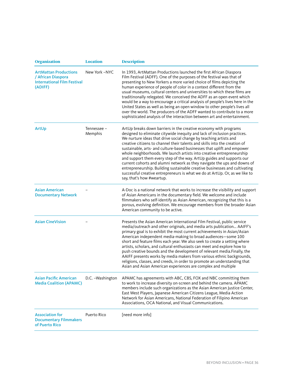| <b>Organization</b>                                                                                 | <b>Location</b>        | <b>Description</b>                                                                                                                                                                                                                                                                                                                                                                                                                                                                                                                                                                                                                                                                                                                                                                                 |
|-----------------------------------------------------------------------------------------------------|------------------------|----------------------------------------------------------------------------------------------------------------------------------------------------------------------------------------------------------------------------------------------------------------------------------------------------------------------------------------------------------------------------------------------------------------------------------------------------------------------------------------------------------------------------------------------------------------------------------------------------------------------------------------------------------------------------------------------------------------------------------------------------------------------------------------------------|
| <b>ArtMattan Productions</b><br>/ African Diaspora<br><b>International Film Festival</b><br>(ADIFF) | New York -NYC          | In 1993, ArtMattan Productions launched the first African Diaspora<br>Film Festival (ADFF). One of the purposes of the festival was that of<br>presenting to New Yorkers a more varied choice of films depicting the<br>human experience of people of color in a context different from the<br>usual museums, cultural centers and universities to which these films are<br>traditinonally relegated. We conceived the ADFF as an open event which<br>would be a way to encourage a critical analysis of people's lives here in the<br>United States as well as being an open window to other people's lives all<br>over the world. The producers of the ADFF wanted to contribute to a more<br>sophisticated analysis of the interaction between art and entertainment.                           |
| ArtUp                                                                                               | Tennessee -<br>Memphis | ArtUp breaks down barriers in the creative economy with programs<br>designed to eliminate citywide inequity and lack of inclusion practices.<br>We nurture ideas that drive social change by teaching artists and<br>creative citizens to channel their talents and skills into the creation of<br>sustainable, arts- and culture-based businesses that uplift and empower<br>whole neighborhoods. We launch artists into creative entrepreneurship<br>and support them every step of the way. ArtUp guides and supports our<br>current cohorts and alumni network as they navigate the ups and downs of<br>entrepreneurship. Building sustainable creative businesses and cultivating<br>successful creative entrepreneurs is what we do at ArtUp. Or, as we like to<br>say, that's how #weartup. |
| <b>Asian American</b><br><b>Documentary Network</b>                                                 |                        | A-Doc is a national network that works to increase the visibility and support<br>of Asian Americans in the documentary field. We welcome and include<br>filmmakers who self-identify as Asian American, recognizing that this is a<br>porous, evolving definition. We encourage members from the broader Asian<br>American community to be active.                                                                                                                                                                                                                                                                                                                                                                                                                                                 |
| <b>Asian CineVision</b>                                                                             |                        | Presents the Asian American International Film Festival, public service<br>media/outreach and other originals, and media arts publication AAIFF's<br>primary goal is to exhibit the most current achievements in Asian/Asian<br>American independent media-making to broad audiences-some 100<br>short and feature films each year. We also seek to create a setting where<br>artists, scholars, and cultural enthusiasts can meet and explore how to<br>push creative bounds and the development of relevant media. Finally, the<br>AAIFF presents works by media makers from various ethnic backgrounds,<br>religions, classes, and creeds, in order to promote an understanding that<br>Asian and Asian American experiences are complex and multiple                                           |
| <b>Asian Pacific American</b><br><b>Media Coalition (APAMC)</b>                                     | D.C. - Washington      | APAMC has agreements with ABC, CBS, FOX and NBC committing them<br>to work to increase diversity on-screen and behind the camera. APAMC<br>members include such organizations as the Asian American Justice Center,<br>East West Players, Japanese American Citizens League, Media Action<br>Network for Asian Americans, National Federation of Filipino American<br>Associations, OCA National, and Visual Communications.                                                                                                                                                                                                                                                                                                                                                                       |
| <b>Association for</b><br><b>Documentary Filmmakers</b><br>of Puerto Rico                           | Puerto Rico            | [need more info]                                                                                                                                                                                                                                                                                                                                                                                                                                                                                                                                                                                                                                                                                                                                                                                   |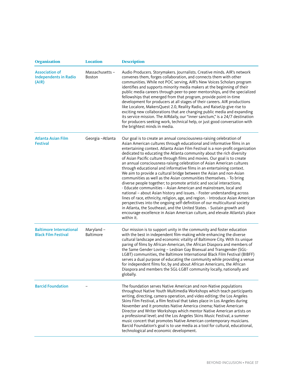| <b>Organization</b>                                            | <b>Location</b>                | <b>Description</b>                                                                                                                                                                                                                                                                                                                                                                                                                                                                                                                                                                                                                                                                                                                                                                                                                                                                                                                                                                                                                                                                                                                                                                                                                                       |
|----------------------------------------------------------------|--------------------------------|----------------------------------------------------------------------------------------------------------------------------------------------------------------------------------------------------------------------------------------------------------------------------------------------------------------------------------------------------------------------------------------------------------------------------------------------------------------------------------------------------------------------------------------------------------------------------------------------------------------------------------------------------------------------------------------------------------------------------------------------------------------------------------------------------------------------------------------------------------------------------------------------------------------------------------------------------------------------------------------------------------------------------------------------------------------------------------------------------------------------------------------------------------------------------------------------------------------------------------------------------------|
| <b>Association of</b><br><b>Independents in Radio</b><br>(AIR) | Massachusetts-<br>Boston       | Audio Producers. Storymakers. Journalists. Creative minds. AIR's network<br>convenes them, forges collaboration, and connects them with other<br>communities. While not POC serving, AIR's New Voices Scholars program<br>identifies and supports minority media makers at the beginning of their<br>public media careers through peer-to-peer mentorships, and the specialized<br>fellowships that emerged from that program, provide point-in-time<br>development for producers at all stages of their careers. AIR productions<br>like Localore, MakersQuest 2.0, Reality Radio, and RaiseUp give rise to<br>exciting new collaborations that are changing public media and expanding<br>its service mission. The AIRdaily, our "inner sanctum," is a 24/7 destination<br>for producers seeking work, technical help, or just good conversation with<br>the brightest minds in media.                                                                                                                                                                                                                                                                                                                                                                 |
| Atlanta Asian Film<br><b>Festival</b>                          | Georgia - Atlanta              | Our goal is to create an annual consciousness-raising celebration of<br>Asian American cultures through educational and informative films in an<br>entertaining context. Atlanta Asian Film Festival is a non-profit organization<br>dedicated to educating the Atlanta community about the rich diversity<br>of Asian Pacific culture through films and movies. Our goal is to create<br>an annual consciousness-raising celebration of Asian American cultures<br>through educational and informative films in an entertaining context.<br>We aim to provide a cultural bridge between the Asian and non-Asian<br>communities as well as the Asian communities themselves. - To bring<br>diverse people together; to promote artistic and social interactions.<br>- Educate communities - Asian American and mainstream, local and<br>national - about Asian history and issues. - Foster understanding across<br>lines of race, ethnicity, religion, age, and region. - Introduce Asian American<br>perspectives into the ongoing self-definition of our multicultural society<br>in Atlanta, the Southeast, and the United States. - Sustain growth and<br>encourage excellence in Asian American culture, and elevate Atlanta's place<br>within it. |
| <b>Baltimore International</b><br><b>Black Film Festival</b>   | Maryland -<br><b>Baltimore</b> | Our mission is to support unity in the community and foster education<br>with the best in independent film-making while enhancing the diverse<br>cultural landscape and economic vitality of Baltimore City. With its unique<br>paring of films by African-American, the African Diaspora and members of<br>the Same Gender Loving - Lesbian Gay Bisexual and Transgender (SGL-<br>LGBT) communities, the Baltimore International Black Film Festival (BIBFF)<br>serves a dual purpose of educating the community while providing a venue<br>for independent films for, by and about African Americans, the African<br>Diaspora and members the SGL-LGBT community locally, nationally and<br>globally.                                                                                                                                                                                                                                                                                                                                                                                                                                                                                                                                                  |
| <b>Barcid Foundation</b>                                       |                                | The foundation serves Native American and non-Native populations<br>throughout Native Youth Multimedia Workshops which teach participants<br>writing, directing, camera operation, and video editing; the Los Angeles<br>Skins Film Festival, a film festival that takes place in Los Angeles during<br>November and it promotes Native America cinema; Native American<br>Director and Writer Workshops which mentor Native American artists on<br>a professional level; and the Los Angeles Skins Music Festival, a summer<br>music concert that promotes Native American contemporary musicians.<br>Barcid Foundation's goal is to use media as a tool for cultural, educational,<br>technological and economic development.                                                                                                                                                                                                                                                                                                                                                                                                                                                                                                                          |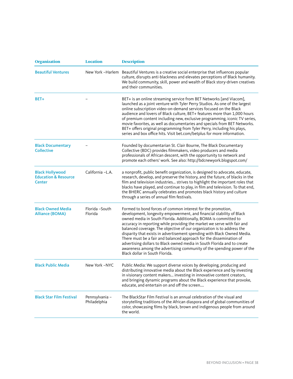| <b>Organization</b>                                                        | <b>Location</b>                | <b>Description</b>                                                                                                                                                                                                                                                                                                                                                                                                                                                                                                                                                                                                                                                                                    |
|----------------------------------------------------------------------------|--------------------------------|-------------------------------------------------------------------------------------------------------------------------------------------------------------------------------------------------------------------------------------------------------------------------------------------------------------------------------------------------------------------------------------------------------------------------------------------------------------------------------------------------------------------------------------------------------------------------------------------------------------------------------------------------------------------------------------------------------|
| <b>Beautiful Ventures</b>                                                  |                                | New York -Harlem Beautiful Ventures is a creative social enterprise that influences popular<br>culture, disrupts anti-blackness and elevates perceptions of Black humanity.<br>We build community, skill, power and wealth of Black story-driven creatives<br>and their communities.                                                                                                                                                                                                                                                                                                                                                                                                                  |
| BET+                                                                       |                                | BET+ is an online streaming service from BET Networks [and Viacom],<br>launched as a joint venture with Tyler Perry Studios. As one of the largest<br>online subscription video-on-demand services focused on the Black<br>audience and lovers of Black culture, BET+ features more than 1,000 hours<br>of premium content including new, exclusive programming, iconic TV series,<br>movie favorites, as well as documentaries and specials from BET Networks.<br>BET+ offers original programming from Tyler Perry, including his plays,<br>series and box office hits. Visit bet.com/betplus for more information.                                                                                 |
| <b>Black Documentary</b><br><b>Collective</b>                              |                                | Founded by documentarian St. Clair Bourne, The Black Documentary<br>Collective (BDC) provides filmmakers, video producers and media<br>professionals of African descent, with the opportunity to network and<br>promote each others' work. See also: http://bdcnewyork.blogspot.com/                                                                                                                                                                                                                                                                                                                                                                                                                  |
| <b>Black Hollywood</b><br><b>Education &amp; Resource</b><br><b>Center</b> | California -L.A.               | a nonprofit, public benefit organization, is designed to advocate, educate,<br>research, develop, and preserve the history, and the future, of blacks in the<br>film and television industries strives to highlight the important roles that<br>blacks have played, and continue to play, in film and television. To that end,<br>the BHERC annually celebrates and promotes black history and culture<br>through a series of annual film festivals.                                                                                                                                                                                                                                                  |
| <b>Black Owned Media</b><br><b>Alliance (BOMA)</b>                         | Florida -South<br>Florida      | Formed to bond forces of common interest for the promotion,<br>development, longevity empowerment, and financial stability of Black<br>owned media in South Florida. Additionally, BOMA is committed to<br>accuracy in reporting while providing the market we serve with fair and<br>balanced coverage. The objective of our organization is to address the<br>disparity that exists in advertisement spending with Black Owned Media.<br>There must be a fair and balanced approach for the dissemination of<br>advertising dollars to Black owned media in South Florida and to create<br>awareness among the advertising community of the spending power of the<br>Black dollar in South Florida. |
| <b>Black Public Media</b>                                                  | New York -NYC                  | Public Media: We support diverse voices by developing, producing and<br>distributing innovative media about the Black experience and by investing<br>in visionary content makers investing in innovative content creators,<br>and bringing dynamic programs about the Black experience that provoke,<br>educate, and entertain on and off the screen                                                                                                                                                                                                                                                                                                                                                  |
| <b>Black Star Film Festival</b>                                            | Pennsylvania -<br>Philadelphia | The BlackStar Film Festival is an annual celebration of the visual and<br>storytelling traditions of the African diaspora and of global communities of<br>color, showcasing films by black, brown and indigenous people from around<br>the world.                                                                                                                                                                                                                                                                                                                                                                                                                                                     |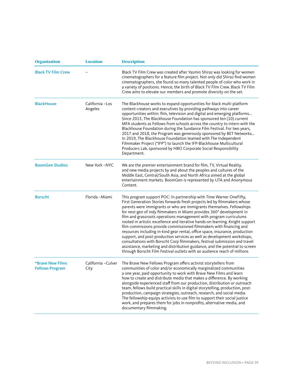| <b>Organization</b>                               | <b>Location</b>             | <b>Description</b>                                                                                                                                                                                                                                                                                                                                                                                                                                                                                                                                                                                                                                                                                                                                                                                                                                                                                                                   |
|---------------------------------------------------|-----------------------------|--------------------------------------------------------------------------------------------------------------------------------------------------------------------------------------------------------------------------------------------------------------------------------------------------------------------------------------------------------------------------------------------------------------------------------------------------------------------------------------------------------------------------------------------------------------------------------------------------------------------------------------------------------------------------------------------------------------------------------------------------------------------------------------------------------------------------------------------------------------------------------------------------------------------------------------|
| <b>Black TV Film Crew</b>                         |                             | Black TV Film Crew was created after Yasmin Shiraz was looking for women<br>cinematographers for a feature film project. Not only did Shiraz find women<br>cinematographers, she found so many talented people of color who work in<br>a variety of positions. Hence, the birth of Black TV Film Crew. Black TV Film<br>Crew aims to elevate our members and promote diversity on the set.                                                                                                                                                                                                                                                                                                                                                                                                                                                                                                                                           |
| <b>BlackHouse</b>                                 | California - Los<br>Angeles | The Blackhouse works to expand opportunities for black multi-platform<br>content creators and executives by providing pathways into career<br>opportunities within: film, television and digital and emerging platforms<br>Since 2015, The Blackhouse Foundation has sponsored ten (10) current<br>MFA students as Fellows from schools across the country to intern with the<br>Blackhouse Foundation during the Sundance Film Festival. For two years,<br>2017 and 2018, the Program was generously sponsored by BET Networks<br>In 2019, The Blackhouse Foundation teamed with The Independent<br>Filmmaker Project ("IFP") to launch the IFP-Blackhouse Multicultural<br>Producers Lab, sponsored by HBO Corporate Social Responsibility<br>Department.                                                                                                                                                                          |
| <b>BoomGen Studios</b>                            | New York -NYC               | We are the premier entertainment brand for film, TV, Virtual Reality,<br>and new media projects by and about the peoples and cultures of the<br>Middle East, Central/South Asia, and North Africa aimed at the global<br>entertainment markets. BoomGen is represented by UTA and Anonymous<br>Content.                                                                                                                                                                                                                                                                                                                                                                                                                                                                                                                                                                                                                              |
| <b>Borscht</b>                                    | Florida -Miami              | This program support POC: In partnership with Time Warner OneFifty,<br>First Generation Stories forwards fresh projects led by filmmakers whose<br>parents were immigrants or who are immigrants themselves. Fellowships<br>for next gen of indy filmmakers in Miami provides 360° development in<br>film and grassroots operations management with program curriculums<br>rooted in artistic excellence and iterative hands-on learning. Knight support<br>film commissions provide commissioned filmmakers with financing and<br>resources including in-kind gear rental, office space, insurance, production<br>support, and post-production services as well as development workshops,<br>consultations with Borscht Corp filmmakers, festival submission and travel<br>assistance, marketing and distribution guidance, and the potential to screen<br>through Borscht Film Festival outlets with an audience reach of millions |
| <b>*Brave New Films</b><br><b>Fellows Program</b> | California - Culver<br>City | The Brave New Fellows Program offers activist storytellers from<br>communities of color and/or economically marginalized communities<br>a one year, paid opportunity to work with Brave New Films and learn<br>how to create and distribute media that makes a difference. By working<br>alongside experienced staff from our production, distribution or outreach<br>team, fellows build practical skills in digital storytelling, production, post-<br>production, campaign strategies, outreach, research, and social media.<br>The fellowship equips activists to use film to support their social justice<br>work, and prepares them for jobs in nonprofits, alternative media, and<br>documentary filmmaking.                                                                                                                                                                                                                  |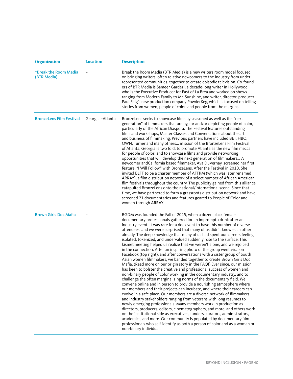| <b>Organization</b>                  | <b>Location</b> | <b>Description</b>                                                                                                                                                                                                                                                                                                                                                                                                                                                                                                                                                                                                                                                                                                                                                                                                                                                                                                                                                                                                                                                                                                                                                                                                                                                                                                                                                                                                                                                                                                                                                                                                                                                                                                                                                                                |
|--------------------------------------|-----------------|---------------------------------------------------------------------------------------------------------------------------------------------------------------------------------------------------------------------------------------------------------------------------------------------------------------------------------------------------------------------------------------------------------------------------------------------------------------------------------------------------------------------------------------------------------------------------------------------------------------------------------------------------------------------------------------------------------------------------------------------------------------------------------------------------------------------------------------------------------------------------------------------------------------------------------------------------------------------------------------------------------------------------------------------------------------------------------------------------------------------------------------------------------------------------------------------------------------------------------------------------------------------------------------------------------------------------------------------------------------------------------------------------------------------------------------------------------------------------------------------------------------------------------------------------------------------------------------------------------------------------------------------------------------------------------------------------------------------------------------------------------------------------------------------------|
| *Break the Room Media<br>(BTR Media) |                 | Break the Room Media (BTR Media) is a new writers room model focused<br>on bringing writers, often relative newcomers to the industry from under-<br>represented communities, together to create episodic television. Co-found-<br>ers of BTR Media is Sameer Gardezi, a decade-long writer in Hollywood<br>who is the Executive Producer for East of La Brea and worked on shows<br>ranging from Modern Family to Mr. Sunshine, and writer, director, producer<br>Paul Feig's new production company PowderKeg, which is focused on telling<br>stories from women, people of color, and people from the margins.                                                                                                                                                                                                                                                                                                                                                                                                                                                                                                                                                                                                                                                                                                                                                                                                                                                                                                                                                                                                                                                                                                                                                                                 |
| <b>BronzeLens Film Festival</b>      | Georgia-Atlanta | BronzeLens seeks to showcase films by seasoned as well as the "next<br>generation" of filmmakers that are by, for and/or depicting people of color,<br>particularly of the African Diaspora. The Festival features outstanding<br>films and workshops, Master Classes and Conversations about the art<br>and business of filmmaking. Previous partners have included BET, HBO,<br>OWN, Turner and many others mission of the BronzeLens Film Festival<br>of Atlanta, Georgia is two fold: to promote Atlanta as the new film mecca<br>for people of color; and to showcase films and provide networking<br>opportunities that will develop the next generation of filmmakers A<br>newcomer and California based filmmaker, Ava DuVernay, screened her first<br>feature, "I Will Follow," with BronzeLens. After the Festival in 2010, She<br>invited BLFF to be a charter member of AFFRM (which was later renamed<br>ARRAY), a film distribution network of a select number of African American<br>film festivals throughout the country. The publicity gained from this alliance<br>catapulted BronzeLens onto the national/international scene. Since that<br>time, we have partnered to form a grassroots distribution network and have<br>screened 21 documentaries and features geared to People of Color and<br>women through ARRAY.                                                                                                                                                                                                                                                                                                                                                                                                                                                       |
| <b>Brown Girls Doc Mafia</b>         |                 | BGDM was founded the Fall of 2015, when a dozen black female<br>documentary professionals gathered for an impromptu drink after an<br>industry event. It was rare for a doc event to have this number of diverse<br>attendees, and we were surprised that many of us didn't know each other<br>already. The deep knowledge that many of us had spent our careers feeling<br>isolated, tokenized, and undervalued suddenly rose to the surface. This<br>kismet meeting helped us realize that we weren't alone, and we rejoiced<br>in the connection. After an inspiring photo of the group went viral on<br>Facebook (top right), and after conversations with a sister group of South<br>Asian women filmmakers, we banded together to create Brown Girls Doc<br>Mafia. (Read more on our origin story in the FAQ!) Ever since, our mission<br>has been to bolster the creative and professional success of women and<br>non-binary people of color working in the documentary industry, and to<br>challenge the often marginalizing norms of the documentary field. We<br>convene online and in person to provide a nourishing atmosphere where<br>our members and their projects can incubate, and where their careers can<br>evolve in a safe place. Our members are a diverse network of filmmakers<br>and industry stakeholders ranging from veterans with long resumes to<br>newly emerging professionals. Many members work in production as<br>directors, producers, editors, cinematographers, and more, and others work<br>on the institutional side as executives, funders, curators, administrators,<br>academics, and more. Our community is populated by documentary film<br>professionals who self-identify as both a person of color and as a woman or<br>non-binary individual. |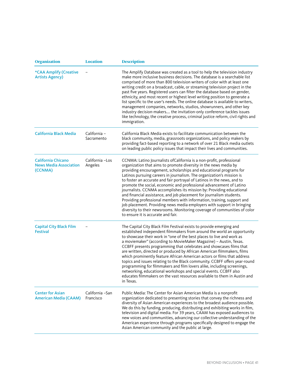| <b>Organization</b>                                                   | <b>Location</b>               | <b>Description</b>                                                                                                                                                                                                                                                                                                                                                                                                                                                                                                                                                                                                                                                                                                                                                                                                                                                 |
|-----------------------------------------------------------------------|-------------------------------|--------------------------------------------------------------------------------------------------------------------------------------------------------------------------------------------------------------------------------------------------------------------------------------------------------------------------------------------------------------------------------------------------------------------------------------------------------------------------------------------------------------------------------------------------------------------------------------------------------------------------------------------------------------------------------------------------------------------------------------------------------------------------------------------------------------------------------------------------------------------|
| *CAA Amplify (Creative<br><b>Artists Agency)</b>                      |                               | The Amplify Database was created as a tool to help the television industry<br>make more inclusive business decisions. The database is a searchable list<br>comprised of more than 800 television writers of color with at least one<br>writing credit on a broadcast, cable, or streaming television project in the<br>past five years. Registered users can filter the database based on gender,<br>ethnicity, and most recent or highest level writing position to generate a<br>list specific to the user's needs. The online database is available to writers,<br>management companies, networks, studios, showrunners, and other key<br>industry decision-makers the invitation-only conference tackles issues<br>like technology, the creative process, criminal justice reform, civil rights and<br>immigration.                                            |
| <b>California Black Media</b>                                         | California -<br>Sacramento    | California Black Media exists to facilitate communication between the<br>black community, media, grassroots organizations, and policy makers by<br>providing fact-based reporting to a network of over 21 Black media outlets<br>on leading public policy issues that impact their lives and communities.                                                                                                                                                                                                                                                                                                                                                                                                                                                                                                                                                          |
| <b>California Chicano</b><br><b>News Media Association</b><br>(CCNMA) | California - Los<br>Angeles   | CCNMA: Latino Journalists of California is a non-profit, professional<br>organization that aims to promote diversity in the news media by<br>providing encouragement, scholarships and educational programs for<br>Latinos pursuing careers in journalism. The organization's mission is<br>to foster an accurate and fair portrayal of Latinos in the news, and to<br>promote the social, economic and professional advancement of Latino<br>journalists. CCNMA accomplishes its mission by: Providing educational<br>and financial assistance, and job placement for journalism students.<br>Providing professional members with information, training, support and<br>job placement. Providing news media employers with support in bringing<br>diversity to their newsrooms. Monitoring coverage of communities of color<br>to ensure it is accurate and fair. |
| <b>Capital City Black Film</b><br><b>Festival</b>                     |                               | The Capital City Black Film Festival exists to provide emerging and<br>established independent filmmakers from around the world an opportunity<br>to showcase their work in "one of the best places to live and work as<br>a moviemaker" (according to MovieMaker Magazine) - Austin, Texas.<br>CCBFF presents programming that celebrates and showcases films that<br>are written, directed or produced by African American filmmakers, films<br>which prominently feature African American actors or films that address<br>topics and issues relating to the Black community. CCBFF offers year-round<br>programming for filmmakers and film lovers alike, including screenings,<br>networking, educational workshops and special events. CCBFF also<br>educates filmmakers on the vast resources available to them in Austin and<br>in Texas.                   |
| <b>Center for Asian</b><br><b>American Media (CAAM)</b>               | California - San<br>Francisco | Public Media: The Center for Asian American Media is a nonprofit<br>organization dedicated to presenting stories that convey the richness and<br>diversity of Asian American experiences to the broadest audience possible.<br>We do this by funding, producing, distributing and exhibiting works in film,<br>television and digital media. For 39 years, CAAM has exposed audiences to<br>new voices and communities, advancing our collective understanding of the<br>American experience through programs specifically designed to engage the<br>Asian American community and the public at large.                                                                                                                                                                                                                                                             |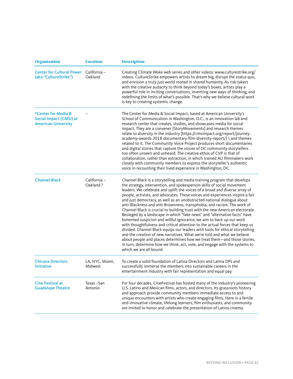| <b>Organization</b>                                                          | <b>Location</b>            | <b>Description</b>                                                                                                                                                                                                                                                                                                                                                                                                                                                                                                                                                                                                                                                                                                                                                                                                                                                                                                                                                                                                                                                                                                                           |
|------------------------------------------------------------------------------|----------------------------|----------------------------------------------------------------------------------------------------------------------------------------------------------------------------------------------------------------------------------------------------------------------------------------------------------------------------------------------------------------------------------------------------------------------------------------------------------------------------------------------------------------------------------------------------------------------------------------------------------------------------------------------------------------------------------------------------------------------------------------------------------------------------------------------------------------------------------------------------------------------------------------------------------------------------------------------------------------------------------------------------------------------------------------------------------------------------------------------------------------------------------------------|
| <b>Center for Cultural Power</b><br>(aka "CultureStrike")                    | California -<br>Oakland    | Creating Climate Woke web series and other videos: www.culturestrike.org/<br>videos. CultureStrike empowers artists to dream big, disrupt the status quo,<br>and envision a truly just world rooted in shared humanity. As risk-takers<br>with the creative audacity to think beyond today's boxes, artists play a<br>powerful role in inciting conversations, inventing new ways of thinking, and<br>redefining the limits of what's possible. That's why we believe cultural work<br>is key to creating systemic change.                                                                                                                                                                                                                                                                                                                                                                                                                                                                                                                                                                                                                   |
| *Center for Media &<br>Social Impact (CMSI) at<br><b>American University</b> |                            | The Center for Media & Social Impact, based at American University's<br>School of Communication in Washington, D.C., is an innovation lab and<br>research center that creates, studies, and showcases media for social<br>impact. They are a convener [StoryMovements] and research themes<br>relate to diversity in the industry [https://cmsimpact.org/report/journey-<br>academy-awards-2018-documentary-film-diversity-report/] \ and themes<br>related to it. The Community Voice Project produces short documentaries<br>and digital stories that capture the voices of DC community storytellers<br>too often unseen and unheard. The creative ethos of CVP is that of<br>collaboration, rather than extraction, in which trained AU filmmakers work<br>closely with community members to express the storyteller's authentic<br>voice in recounting their lived experience in Washington, DC.                                                                                                                                                                                                                                        |
| <b>Channel Black</b>                                                         | California -<br>Oakland?   | Channel Black is a storytelling and media training program that develops<br>the strategy, intervention, and spokesperson skills of social movement<br>leaders. We celebrate and uplift the voices of a broad and diverse array of<br>people, activists, and advocates. These voices and experiences inspire a fair<br>and just democracy, as well as an unobstructed national dialogue about<br>anti-Blackness and anti-Brownness, transphobia, and racism. The work of<br>Channel Black is crucial to building trust with the new American electorate.<br>Besieged by a landscape in which "fake news" and "alternative facts" have<br>fomented suspicion and willful ignorance, we aim to back up our work<br>with thoughtfulness and critical attention to the actual forces that keep us<br>divided. Channel Black equips our leaders with tools for ethical storytelling<br>and the creation of new narratives. What we're told and what we believe<br>about people and places determines how we treat them-and those stories,<br>in turn, determine how we think, act, vote, and engage with the systems to<br>which we are all bound. |
| <b>Chicana Directors</b><br><b>Initiative</b>                                | LA, NYC, Miami,<br>Midwest | To create a solid foundation of Latina Directors and Latina DPs and<br>successfully immerse the members into sustainable careers in the<br>entertainment industry with fair representation and equal pay.                                                                                                                                                                                                                                                                                                                                                                                                                                                                                                                                                                                                                                                                                                                                                                                                                                                                                                                                    |
| <b>Cine Festival at</b><br><b>Guadalupe Theatre</b>                          | Texas-San<br>Antonio       | For four decades, CineFestival has hosted many of the industry's pioneering<br>U.S. Latino and Mexican films, actors, and directors. Its grassroots history<br>and approach provide community members immediate access to and<br>unique encounters with artists who create engaging films. Here in a fertile<br>and innovative climate, lifelong learners, film enthusiasts, and community<br>are invited to honor and celebrate the presentation of Latino cinema.                                                                                                                                                                                                                                                                                                                                                                                                                                                                                                                                                                                                                                                                          |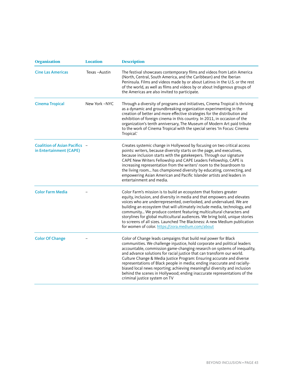| <b>Organization</b>                                      | <b>Location</b> | <b>Description</b>                                                                                                                                                                                                                                                                                                                                                                                                                                                                                                                                                                                                                                 |
|----------------------------------------------------------|-----------------|----------------------------------------------------------------------------------------------------------------------------------------------------------------------------------------------------------------------------------------------------------------------------------------------------------------------------------------------------------------------------------------------------------------------------------------------------------------------------------------------------------------------------------------------------------------------------------------------------------------------------------------------------|
| <b>Cine Las Americas</b>                                 | Texas-Austin    | The festival showcases contemporary films and videos from Latin America<br>(North, Central, South America, and the Caribbean) and the Iberian<br>Peninsula. Films and videos made by or about Latinxs in the U.S. or the rest<br>of the world, as well as films and videos by or about Indigenous groups of<br>the Americas are also invited to participate.                                                                                                                                                                                                                                                                                       |
| <b>Cinema Tropical</b>                                   | New York -NYC   | Through a diversity of programs and initiatives, Cinema Tropical is thriving<br>as a dynamic and groundbreaking organization experimenting in the<br>creation of better and more effective strategies for the distribution and<br>exhibition of foreign cinema in this country. In 2011, in occasion of the<br>organization's tenth anniversary, The Museum of Modern Art paid tribute<br>to the work of Cinema Tropical with the special series 'In Focus: Cinema<br>Tropical.'                                                                                                                                                                   |
| Coalition of Asian Pacifics -<br>in Entertainment (CAPE) |                 | Creates systemic change in Hollywood by focusing on two critical access<br>points: writers, because diversity starts on the page, and executives,<br>because inclusion starts with the gatekeepers. Through our signature<br>CAPE New Writers Fellowship and CAPE Leaders Fellowship, CAPE is<br>increasing representation from the writers' room to the boardroom to<br>the living room has championed diversity by educating, connecting, and<br>empowering Asian American and Pacific Islander artists and leaders in<br>entertainment and media.                                                                                               |
| <b>Color Farm Media</b>                                  |                 | Color Farm's mission is to build an ecosystem that fosters greater<br>equity, inclusion, and diversity in media and that empowers and elevates<br>voices who are underrepresented, overlooked, and undervalued. We are<br>building an ecosystem that will ultimately include media, technology, and<br>community We produce content featuring multicultural characters and<br>storylines for global multicultural audiences. We bring bold, unique stories<br>to screens of all sizes. Launched The Blackness: A new Medium publication<br>for women of color. https://zora.medium.com/about                                                       |
| <b>Color Of Change</b>                                   |                 | Color of Change leads campaigns that build real power for Black<br>communities. We challenge injustice, hold corporate and political leaders<br>accountable, commission game-changing research on systems of inequality,<br>and advance solutions for racial justice that can transform our world.<br>Culture Change & Media Justice Program: Ensuring accurate and diverse<br>representations of Black people in media; ending inaccurate and racially-<br>biased local news reporting; achieving meaningful diversity and inclusion<br>behind the scenes in Hollywood; ending inaccurate representations of the<br>criminal justice system on TV |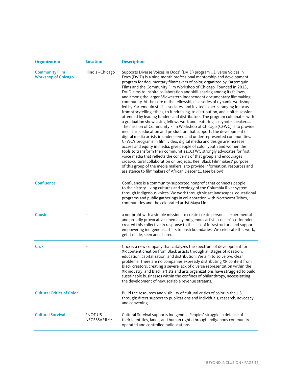| <b>Organization</b>                                 | <b>Location</b>         | <b>Description</b>                                                                                                                                                                                                                                                                                                                                                                                                                                                                                                                                                                                                                                                                                                                                                                                                                                                                                                                                                                                                                                                                                                                                                                                                                                                                                                                                                                                                                                                                                                                                                                             |
|-----------------------------------------------------|-------------------------|------------------------------------------------------------------------------------------------------------------------------------------------------------------------------------------------------------------------------------------------------------------------------------------------------------------------------------------------------------------------------------------------------------------------------------------------------------------------------------------------------------------------------------------------------------------------------------------------------------------------------------------------------------------------------------------------------------------------------------------------------------------------------------------------------------------------------------------------------------------------------------------------------------------------------------------------------------------------------------------------------------------------------------------------------------------------------------------------------------------------------------------------------------------------------------------------------------------------------------------------------------------------------------------------------------------------------------------------------------------------------------------------------------------------------------------------------------------------------------------------------------------------------------------------------------------------------------------------|
| <b>Community Film</b><br><b>Workshop of Chicago</b> | Illinois - Chicago      | Supports Diverse Voices In Docs" (DVID) program  Diverse Voices in<br>Docs (DVID) is a nine-month professional mentorship and development<br>program for documentary filmmakers of color, organized by Kartemquin<br>Films and the Community Film Workshop of Chicago. Founded in 2013,<br>DVID aims to inspire collaboration and skill-sharing among its fellows,<br>and among the larger Midwestern independent documentary filmmaking<br>community. At the core of the fellowship is a series of dynamic workshops<br>led by Kartemquin staff, associates, and invited experts, ranging in focus<br>from storytelling ethics, to fundraising, to distribution, and a pitch session<br>attended by leading funders and distributors. The program culminates with<br>a graduation showcasing fellows work and featuring a keynote speaker<br>The mission of Community Film Workshop of Chicago (CFWC) is to provide<br>media arts education and production that supports the development of<br>digital media artists in underserved and under-represented communities.<br>CFWC's programs in film, video, digital media and design are increase<br>access and equity in media, give people of color, youth and women the<br>tools to transform their communitiesCFWC strongly advocates for first<br>voice media that reflects the concerns of that group and encourages<br>cross-cultural collaboration on projects. Reel Black Filmmakers' purpose<br>of this group of the media makers is to provide information, resources and<br>assistance to filmmakers of African Descent (see below) |
| <b>Confluence</b>                                   |                         | Confluence is a community-supported nonprofit that connects people<br>to the history, living cultures and ecology of the Columbia River system<br>through Indigenous voices. We work through six art landscapes, educational<br>programs and public gatherings in collaboration with Northwest Tribes,<br>communities and the celebrated artist Maya Lin                                                                                                                                                                                                                                                                                                                                                                                                                                                                                                                                                                                                                                                                                                                                                                                                                                                                                                                                                                                                                                                                                                                                                                                                                                       |
| Cousin                                              |                         | a nonprofit with a simple mission: to create create personal, experimental<br>and proudly provocative cinema by Indigenous artists. cousin's co-founders<br>created this collective in response to the lack of infrastructure and support<br>empowering indigenous artists to push boundaries. We celebrate this work,<br>get it made, seen and shared.                                                                                                                                                                                                                                                                                                                                                                                                                                                                                                                                                                                                                                                                                                                                                                                                                                                                                                                                                                                                                                                                                                                                                                                                                                        |
| Crux                                                |                         | Crux is a new company that catalyzes the spectrum of development for<br>XR content creation from Black artists through all stages of ideation,<br>education, capitalization, and distribution. We aim to solve two clear<br>problems: There are no companies expressly distributing XR content from<br>Black creators, creating a severe lack of diverse representation within the<br>XR industry; and Black artists and arts organizations have struggled to build<br>sustainable businesses within the confines of philanthropy, necessitating<br>the development of new, scalable revenue streams.                                                                                                                                                                                                                                                                                                                                                                                                                                                                                                                                                                                                                                                                                                                                                                                                                                                                                                                                                                                          |
| <b>Cultural Critics of Color</b>                    |                         | Build the resources and visibility of cultural critics of color in the US<br>through: direct support to publications and individuals, research, advocacy<br>and convening.                                                                                                                                                                                                                                                                                                                                                                                                                                                                                                                                                                                                                                                                                                                                                                                                                                                                                                                                                                                                                                                                                                                                                                                                                                                                                                                                                                                                                     |
| <b>Cultural Survival</b>                            | *NOT US<br>NECESSARILY* | Cultural Survival supports Indigenous Peoples' struggle in defense of<br>their identities, lands, and human rights through Indigenous community-<br>operated and controlled radio stations.                                                                                                                                                                                                                                                                                                                                                                                                                                                                                                                                                                                                                                                                                                                                                                                                                                                                                                                                                                                                                                                                                                                                                                                                                                                                                                                                                                                                    |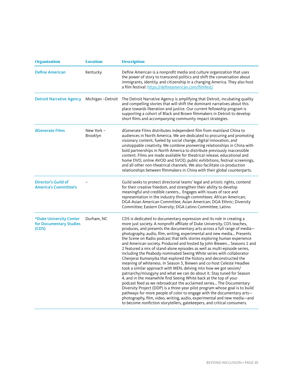| <b>Organization</b>                                         | <b>Location</b>               | <b>Description</b>                                                                                                                                                                                                                                                                                                                                                                                                                                                                                                                                                                                                                                                                                                                                                                                                                                                                                                                                                                                                                                                                                                                                                                                                                                                                                                                                                                |
|-------------------------------------------------------------|-------------------------------|-----------------------------------------------------------------------------------------------------------------------------------------------------------------------------------------------------------------------------------------------------------------------------------------------------------------------------------------------------------------------------------------------------------------------------------------------------------------------------------------------------------------------------------------------------------------------------------------------------------------------------------------------------------------------------------------------------------------------------------------------------------------------------------------------------------------------------------------------------------------------------------------------------------------------------------------------------------------------------------------------------------------------------------------------------------------------------------------------------------------------------------------------------------------------------------------------------------------------------------------------------------------------------------------------------------------------------------------------------------------------------------|
| <b>Define American</b>                                      | Kentucky                      | Define American is a nonprofit media and culture organization that uses<br>the power of story to transcend politics and shift the conversation about<br>immigrants, identity, and citizenship in a changing America. They also host<br>a film festival: https://defineamerican.com/filmfest/                                                                                                                                                                                                                                                                                                                                                                                                                                                                                                                                                                                                                                                                                                                                                                                                                                                                                                                                                                                                                                                                                      |
| Detroit Narrative Agency Michigan - Detroit                 |                               | The Detroit Narrative Agency is amplifying that Detroit, incubating quality<br>and compelling stories that will shift the dominant narratives about this<br>place towards liberation and justice. Our current fellowship program is<br>supporting a cohort of Black and Brown filmmakers in Detroit to develop<br>short films and accompanying community impact strategies.                                                                                                                                                                                                                                                                                                                                                                                                                                                                                                                                                                                                                                                                                                                                                                                                                                                                                                                                                                                                       |
| dGenerate Films                                             | New York -<br><b>Brooklyn</b> | dGenerate Films distributes independent film from mainland China to<br>audiences in North America. We are dedicated to procuring and promoting<br>visionary content, fueled by social change, digital innovation, and<br>unstoppable creativity. We combine pioneering relationships in China with<br>bold partnerships in North America to distribute previously inaccessible<br>content. Films are made available for theatrical release, educational and<br>home DVD, online AVOD and SVOD, public exhibitions, festival screenings,<br>and all other non-theatrical channels. We also facilitate co-production<br>relationships between filmmakers in China with their global counterparts.                                                                                                                                                                                                                                                                                                                                                                                                                                                                                                                                                                                                                                                                                   |
| Director's Guild of<br><b>America's Committee's</b>         |                               | Guild seeks to protect directorial teams' legal and artistic rights, contend<br>for their creative freedom, and strengthen their ability to develop<br>meaningful and credible careers Engages with issues of race and<br>representation in the industry through committees: African American;<br>DGA Asian American Committee; Asian American; DGA Ethnic; Diversity<br>Committee; Eastern Diversity; DGA Latino Committee; Latino                                                                                                                                                                                                                                                                                                                                                                                                                                                                                                                                                                                                                                                                                                                                                                                                                                                                                                                                               |
| *Duke University Center<br>for Documentary Studies<br>(CDS) | Durham, NC                    | CDS is dedicated to documentary expression and its role in creating a<br>more just society. A nonprofit affiliate of Duke University, CDS teaches,<br>produces, and presents the documentary arts across a full range of media-<br>photography, audio, film, writing, experimental and new media Presents<br>the Scene on Radio podcast that tells stories exploring human experience<br>and American society. Produced and hosted by John Biewen Seasons 1 and<br>2 featured a mix of stand-alone episodes as well as multi-episode series,<br>including the Peabody-nominated Seeing White series with collaborator<br>Chenjerai Kumanyika that explored the history and deconstructed the<br>meaning of whiteness. In Season 3, Biewen and co-host Celeste Headlee<br>took a similar approach with MEN, delving into how we got sexism/<br>patriarchy/misogyny and what we can do about it. Stay tuned for Season<br>4, and in the meanwhile find Seeing White back at the top of your<br>podcast feed as we rebroadcast the acclaimed series The Documentary<br>Diversity Project (DDP) is a three-year pilot program whose goal is to build<br>pathways for more people of color to engage with the documentary arts—<br>photography, film, video, writing, audio, experimental and new media—and<br>to become nonfiction storytellers, gatekeepers, and critical consumers. |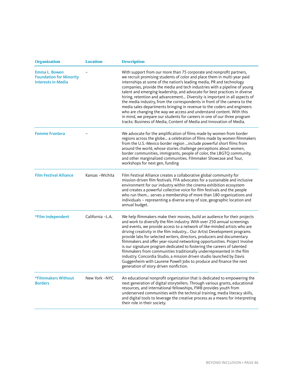| <b>Organization</b>                                                                 | <b>Location</b>  | <b>Description</b>                                                                                                                                                                                                                                                                                                                                                                                                                                                                                                                                                                                                                                                                                                                                                                                                                                    |
|-------------------------------------------------------------------------------------|------------------|-------------------------------------------------------------------------------------------------------------------------------------------------------------------------------------------------------------------------------------------------------------------------------------------------------------------------------------------------------------------------------------------------------------------------------------------------------------------------------------------------------------------------------------------------------------------------------------------------------------------------------------------------------------------------------------------------------------------------------------------------------------------------------------------------------------------------------------------------------|
| <b>Emma L. Bowen</b><br><b>Foundation for Minority</b><br><b>Interests in Media</b> |                  | With support from our more than 75 corporate and nonprofit partners,<br>we recruit promising students of color and place them in multi-year paid<br>internships at some of the nation's leading media, PR and technology<br>companies, provide the media and tech industries with a pipeline of young<br>talent and emerging leadership, and advocate for best practices in diverse<br>hiring, retention and advancement Diversity is important in all aspects of<br>the media industry, from the correspondents in front of the camera to the<br>media sales departments bringing in revenue to the coders and engineers<br>who are changing the way we access and understand content. With this<br>in mind, we prepare our students for careers in one of our three program<br>tracks: Business of Media, Content of Media and Innovation of Media. |
| <b>Femme Frontera</b>                                                               |                  | We advocate for the amplification of films made by women from border<br>regions across the globe a celebration of films made by women filmmakers<br>from the U.S.-Mexico border region include powerful short films from<br>around the world, whose stories challenge perceptions about women,<br>border communities, immigrants, people of color, the LBGTQ community,<br>and other marginalized communities. Filmmaker Showcase and Tour,<br>workshops for next gen, funding                                                                                                                                                                                                                                                                                                                                                                        |
| <b>Film Festival Alliance</b>                                                       | Kansas-Wichita   | Film Festival Alliance creates a collaborative global community for<br>mission-driven film festivals. FFA advocates for a sustainable and inclusive<br>environment for our industry within the cinema exhibition ecosystem<br>and creates a powerful collective voice for film festivals and the people<br>who run them serves a membership of more than 180 organizations and<br>individuals - representing a diverse array of size, geographic location and<br>annual budget.                                                                                                                                                                                                                                                                                                                                                                       |
| *Film Independent                                                                   | California -L.A. | We help filmmakers make their movies, build an audience for their projects<br>and work to diversify the film industry. With over 250 annual screenings<br>and events, we provide access to a network of like-minded artists who are<br>driving creativity in the film industry Our Artist Development programs<br>provide labs for selected writers, directors, producers and documentary<br>filmmakers and offer year-round networking opportunities. Project Involve<br>is our signature program dedicated to fostering the careers of talented<br>filmmakers from communities traditionally underrepresented in the film<br>industry. Concordia Studio, a mission driven studio launched by Davis<br>Guggenheim with Laurene Powell Jobs to produce and finance the next<br>generation of story driven nonfiction.                                 |
| *Filmmakers Without<br><b>Borders</b>                                               | New York -NYC    | An educational nonprofit organization that is dedicated to empowering the<br>next generation of digital storytellers. Through various grants, educational<br>resources, and international fellowships, FWB provides youth from<br>underserved communities with the technical training, media literacy skills,<br>and digital tools to leverage the creative process as a means for interpreting<br>their role in their society.                                                                                                                                                                                                                                                                                                                                                                                                                       |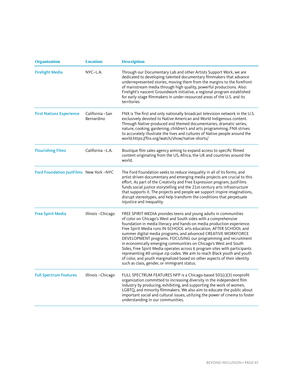| <b>Organization</b>                     | <b>Location</b>                | <b>Description</b>                                                                                                                                                                                                                                                                                                                                                                                                                                                                                                                                                                                                                                                                                                                                                              |
|-----------------------------------------|--------------------------------|---------------------------------------------------------------------------------------------------------------------------------------------------------------------------------------------------------------------------------------------------------------------------------------------------------------------------------------------------------------------------------------------------------------------------------------------------------------------------------------------------------------------------------------------------------------------------------------------------------------------------------------------------------------------------------------------------------------------------------------------------------------------------------|
| <b>Firelight Media</b>                  | $NYC-L.A.$                     | Through our Documentary Lab and other Artists Support Work, we are<br>dedicated to developing talented documentary filmmakers that advance<br>underrepresented stories, moving them from the margins to the forefront<br>of mainstream media through high quality, powerful productions. Also:<br>Firelight's nascent Groundwork initiative, a regional program established<br>for early-stage filmmakers in under-resourced areas of the U.S. and its<br>territories                                                                                                                                                                                                                                                                                                           |
| <b>First Nations Experience</b>         | California - San<br>Bernardino | FNX is The first and only nationally broadcast television network in the U.S.<br>exclusively devoted to Native American and World Indigenous content.<br>Through Native-produced and themed documentaries, dramatic series,<br>nature, cooking, gardening, children's and arts programming, FNX strives<br>to accurately illustrate the lives and cultures of Native people around the<br>world.https://fnx.org/watch/show/native-shorts/                                                                                                                                                                                                                                                                                                                                       |
| <b>Flourishing Films</b>                | California -L.A.               | Boutique film sales agency aiming to expand access to specific filmed<br>content originating from the US, Africa, the UK and countries around the<br>world.                                                                                                                                                                                                                                                                                                                                                                                                                                                                                                                                                                                                                     |
| Ford Foundation JustFilms New York -NYC |                                | The Ford Foundation seeks to reduce inequality in all of its forms, and<br>artist-driven documentary and emerging media projects are crucial to this<br>effort. As part of the Creativity and Free Expression program, JustFilms<br>funds social justice storytelling and the 21st-century arts infrastructure<br>that supports it. The projects and people we support inspire imaginations,<br>disrupt stereotypes, and help transform the conditions that perpetuate<br>injustice and inequality.                                                                                                                                                                                                                                                                             |
| <b>Free Spirit Media</b>                | Illinois-Chicago               | FREE SPIRIT MEDIA provides teens and young adults in communities<br>of color on Chicago's West and South sides with a comprehensive<br>foundation in media literacy and hands-on media production experience.<br>Free Spirit Media runs IN-SCHOOL arts education, AFTER SCHOOL and<br>summer digital media programs, and advanced CREATIVE WORKFORCE<br>DEVELOPMENT programs. FOCUSING our programming and recruitment<br>in economically emerging communities on Chicago's West and South<br>Sides, Free Spirit Media operates across 6 program sites with participants<br>representing 40 unique zip codes. We aim to reach Black youth and youth<br>of color, and youth marginalized based on other aspects of their identity<br>such as class, gender, or immigrant status. |
| <b>Full Spectrum Features</b>           | Illinois - Chicago             | FULL SPECTRUM FEATURES NFP is a Chicago-based 501(c)(3) nonprofit<br>organization committed to increasing diversity in the independent film<br>industry by producing, exhibiting, and supporting the work of women,<br>LGBTQ, and minority filmmakers. We also aim to educate the public about<br>important social and cultural issues, utilizing the power of cinema to foster<br>understanding in our communities.                                                                                                                                                                                                                                                                                                                                                            |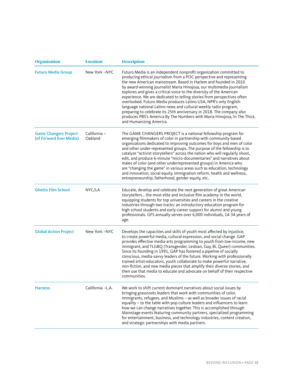| <b>Organization</b>                                     | <b>Location</b>         | <b>Description</b>                                                                                                                                                                                                                                                                                                                                                                                                                                                                                                                                                                                                                                                                                                                                                  |
|---------------------------------------------------------|-------------------------|---------------------------------------------------------------------------------------------------------------------------------------------------------------------------------------------------------------------------------------------------------------------------------------------------------------------------------------------------------------------------------------------------------------------------------------------------------------------------------------------------------------------------------------------------------------------------------------------------------------------------------------------------------------------------------------------------------------------------------------------------------------------|
| <b>Futuro Media Group</b>                               | New York -NYC           | Futuro Media is an independent nonprofit organization committed to<br>producing ethical journalism from a POC perspective and representing<br>the new American mainstream. Based in Harlem and founded in 2010<br>by award-winning journalist Maria Hinojosa, our multimedia journalism<br>explores and gives a critical voice to the diversity of the American<br>experience. We are dedicated to telling stories from perspectives often<br>overlooked. Futuro Media produces Latino USA, NPR's only English-<br>language national Latino news and cultural weekly radio program,<br>preparing to celebrate its 25th anniversary in 2018. The company also<br>produces PBS's America By The Numbers with Maria Hinojosa, In The Thick,<br>and Humanizing America. |
| <b>Game Changers Project</b><br>(of Forward Ever Media) | California -<br>Oakland | The GAME CHANGERS PROJECT is a national fellowship program for<br>emerging filmmakers of color in partnership with community-based<br>organizations dedicated to improving outcomes for boys and men of color<br>and other under-represented groups. The purpose of the fellowship is to<br>catalyze "activist storytellers" across the nation who will regularly shoot,<br>edit, and produce 6-minute "micro-documentaries" and narratives about<br>males of color (and other underrepresented groups) in America who<br>are "changing the game" in various areas such as education, technology<br>and innovation, social equity, immigration reform, health and wellness,<br>entrepreneurship, fatherhood, gender equity, etc                                     |
| <b>Ghetto Film School</b>                               | NYC/LA                  | Educate, develop and celebrate the next generation of great American<br>storytellers the most elite and inclusive film academy in the world,<br>equipping students for top universities and careers in the creative<br>industries through two tracks: an introductory education program for<br>high school students and early-career support for alumni and young<br>professionals. GFS annually serves over 6,000 individuals, 14-34 years of<br>age.                                                                                                                                                                                                                                                                                                              |
| <b>Global Action Project</b>                            | New York -NYC           | Develops the capacities and skills of youth most affected by injustice,<br>to create powerful media, cultural expression, and social change. GAP<br>provides effective media-arts programming to youth from low-income, new<br>immigrant, and TLGBQ (Transgender, Lesbian, Gay, Bi, Queer) communities.<br>Since its founding in 1991, GAP has fostered a pipeline of socially<br>conscious, media-savvy leaders of the future. Working with professionally<br>trained artist-educators, youth collaborate to make powerful narrative,<br>non-fiction, and new media pieces that amplify their diverse stories, and<br>then use that media to educate and advocate on behalf of their respective<br>communities.                                                    |
| <b>Harness</b>                                          | California -L.A.        | We work to shift current dominant narratives about social issues by<br>bringing grassroots leaders that work with communities of color,<br>immigrants, refugees, and Muslims - as well as broader issues of racial<br>equality - to the table with pop culture leaders and influencers to learn<br>how we can change narratives together. This is accomplished through<br>Mainstage events featuring community partners, specialized programming<br>for entertainment, business, and technology industries, content creation,<br>and strategic partnerships with media partners.                                                                                                                                                                                    |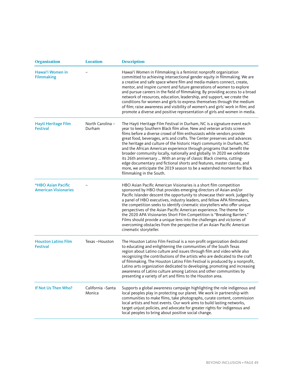| <b>Organization</b>                               | <b>Location</b>              | <b>Description</b>                                                                                                                                                                                                                                                                                                                                                                                                                                                                                                                                                                                                                                                                                                                                                                                 |
|---------------------------------------------------|------------------------------|----------------------------------------------------------------------------------------------------------------------------------------------------------------------------------------------------------------------------------------------------------------------------------------------------------------------------------------------------------------------------------------------------------------------------------------------------------------------------------------------------------------------------------------------------------------------------------------------------------------------------------------------------------------------------------------------------------------------------------------------------------------------------------------------------|
| Hawai'i Women in<br><b>Filmmaking</b>             |                              | Hawai'i Women in Filmmaking is a feminist nonprofit organization<br>committed to achieving intersectional gender equity in filmmaking. We are<br>a creative and safe space where film and media-makers connect, create,<br>mentor, and inspire current and future generations of women to explore<br>and pursue careers in the field of filmmaking. By providing access to a broad<br>network of resources, education, leadership, and support, we create the<br>conditions for women and girls to express themselves through the medium<br>of film; raise awareness and visibility of women's and girls' work in film; and<br>promote a diverse and positive representation of girls and women in media.                                                                                          |
| Hayti Heritage Film<br><b>Festival</b>            | North Carolina -<br>Durham   | The Hayti Heritage Film Festival in Durham, NC is a signature event each<br>year to keep Southern Black film alive. New and veteran artists screen<br>films before a diverse crowd of film enthusiasts while vendors provide<br>great food, beverages, arts and crafts. The Center preserves and advances<br>the heritage and culture of the historic Hayti community in Durham, NC<br>and the African American experience through programs that benefit the<br>broader community locally, nationally and globally. In 2020 we celebrate<br>its 26th anniversary  With an array of classic Black cinema, cutting-<br>edge documentary and fictional shorts and features, master classes, and<br>more, we anticipate the 2019 season to be a watershed moment for Black<br>filmmaking in the South. |
| *HBO Asian Pacific<br><b>American Visionaries</b> |                              | HBO Asian Pacific American Visionaries is a short film competition<br>sponsored by HBO that provides emerging directors of Asian and/or<br>Pacific Islander descent the opportunity to showcase their work. Judged by<br>a panel of HBO executives, industry leaders, and fellow APA filmmakers,<br>the competition seeks to identify cinematic storytellers who offer unique<br>perspectives of the Asian Pacific American experience. The theme for<br>the 2020 APA Visionaries Short Film Competition is "Breaking Barriers."<br>Films should provide a unique lens into the challenges and victories of<br>overcoming obstacles from the perspective of an Asian Pacific American<br>cinematic storyteller.                                                                                    |
| <b>Houston Latino Film</b><br><b>Festival</b>     | Texas-Houston                | The Houston Latino Film Festival is a non-profit organization dedicated<br>to educating and enlightening the communities of the South Texas<br>region about Latino culture and issues through film and video while also<br>recognizing the contributions of the artists who are dedicated to the craft<br>of filmmaking. The Houston Latino Film Festival is produced by a nonprofit,<br>Latino arts organization dedicated to developing, promoting and increasing<br>awareness of Latino culture among Latinos and other communities by<br>presenting a variety of art and films to the Houston area.                                                                                                                                                                                            |
| If Not Us Then Who?                               | California - Santa<br>Monica | Supports a global awareness campaign highlighting the role indigenous and<br>local peoples play in protecting our planet. We work in partnership with<br>communities to make films, take photographs, curate content, commission<br>local artists and host events. Our work aims to build lasting networks,<br>target unjust policies, and advocate for greater rights for indigenous and<br>local peoples to bring about positive social change.                                                                                                                                                                                                                                                                                                                                                  |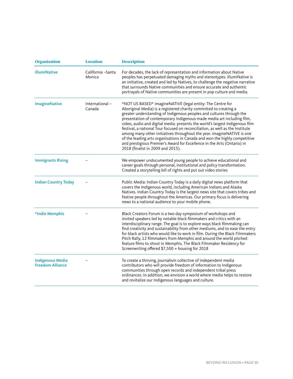| <b>Organization</b>                                | <b>Location</b>             | <b>Description</b>                                                                                                                                                                                                                                                                                                                                                                                                                                                                                                                                                                                                                                                                                                         |
|----------------------------------------------------|-----------------------------|----------------------------------------------------------------------------------------------------------------------------------------------------------------------------------------------------------------------------------------------------------------------------------------------------------------------------------------------------------------------------------------------------------------------------------------------------------------------------------------------------------------------------------------------------------------------------------------------------------------------------------------------------------------------------------------------------------------------------|
| <b>IllumiNative</b>                                | California -Santa<br>Monica | For decades, the lack of representation and information about Native<br>peoples has perpetuated damaging myths and stereotypes. IllumiNative is<br>an initiative, created and led by Natives, to challenge the negative narrative<br>that surrounds Native communities and ensure accurate and authentic<br>portrayals of Native communities are present in pop culture and media.                                                                                                                                                                                                                                                                                                                                         |
| <b>ImagineNative</b>                               | International-<br>Canada    | *NOT US BASED* imagineNATIVE (legal entity: The Centre for<br>Aboriginal Media) is a registered charity committed to creating a<br>greater understanding of Indigenous peoples and cultures through the<br>presentation of contemporary Indigenous-made media art including film,<br>video, audio and digital media. presents the world's largest Indigenous film<br>festival, a national Tour focused on reconciliation, as well as the Institute<br>among many other initiatives throughout the year. imagineNATIVE is one<br>of the leading arts organisations in Canada and won the highly competitive<br>and prestigious Premier's Award for Excellence in the Arts (Ontario) in<br>2018 (finalist in 2009 and 2015). |
| <b>Immigrants Rising</b>                           |                             | We empower undocumented young people to achieve educational and<br>career goals through personal, institutional and policy transformation.<br>Created a storytelling bill of rights and put out video stories                                                                                                                                                                                                                                                                                                                                                                                                                                                                                                              |
| <b>Indian Country Today</b>                        |                             | Public Media: Indian Country Today is a daily digital news platform that<br>covers the Indigenous world, including American Indians and Alaska<br>Natives. Indian Country Today is the largest news site that covers tribes and<br>Native people throughout the Americas. Our primary focus is delivering<br>news to a national audience to your mobile phone.                                                                                                                                                                                                                                                                                                                                                             |
| *Indie Memphis                                     |                             | Black Creators Forum is a two day symposium of workshops and<br>invited speakers led by notable black filmmakers and critics with an<br>interdisciplinary range. The goal is to explore ways black filmmaking can<br>find creativity and sustainability from other mediums, and to ease the entry<br>for black artists who would like to work in film. During the Black Filmmakers<br>Pitch Rally, 12 filmmakers from Memphis and around the world pitched<br>feature films to shoot in Memphis. The Black Filmmaker Residency for<br>Screenwriting offered \$7,500 + housing for 2018                                                                                                                                     |
| <b>Indigenous Media</b><br><b>Freedom Alliance</b> |                             | To create a thriving, journalism collective of independent media<br>contributors who will provide freedom of information to Indigenous<br>communities through open records and independent tribal press<br>ordinances. In addition, we envision a world where media helps to restore<br>and revitalize our Indigenous languages and culture.                                                                                                                                                                                                                                                                                                                                                                               |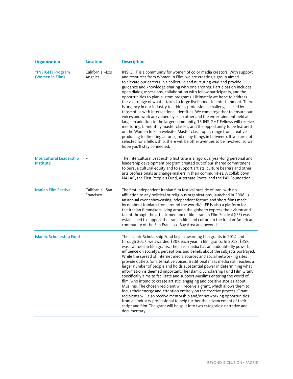| <b>Organization</b>                                 | <b>Location</b>              | <b>Description</b>                                                                                                                                                                                                                                                                                                                                                                                                                                                                                                                                                                                                                                                                                                                                                                                                                                                                                                                                                                                                                                                                                                                                                                                   |
|-----------------------------------------------------|------------------------------|------------------------------------------------------------------------------------------------------------------------------------------------------------------------------------------------------------------------------------------------------------------------------------------------------------------------------------------------------------------------------------------------------------------------------------------------------------------------------------------------------------------------------------------------------------------------------------------------------------------------------------------------------------------------------------------------------------------------------------------------------------------------------------------------------------------------------------------------------------------------------------------------------------------------------------------------------------------------------------------------------------------------------------------------------------------------------------------------------------------------------------------------------------------------------------------------------|
| *INSIGHT Program<br>(Women in Film)                 | California -Los<br>Angeles   | INSIGHT is a community for women of color media creators. With support<br>and resources from Women In Film, we are creating a group aimed<br>to elevate our careers in a collective and nurturing way, and provide<br>guidance and knowledge-sharing with one another. Participation includes<br>open dialogue sessions, collaboration with fellow participants, and the<br>opportunities to plan custom programs. Ultimately we hope to address<br>the vast range of what it takes to forge livelihoods in entertainment. There<br>is urgency in our industry to address professional challenges faced by<br>those of us with intersectional identities. We come together to ensure our<br>voices and work are valued by each other and the entertainment field at<br>large. In addition to the larger community, 15 INSIGHT Fellows will receive<br>mentoring, bi-monthly master classes, and the opportunity to be featured<br>on the Women In Film website. Master class topics range from creative<br>producing to directing actors (and many things in between). If you are not<br>selected for a fellowship, there will be other avenues to be involved, so we<br>hope you'll stay connected. |
| <b>Intercultural Leadership</b><br><b>Institute</b> |                              | The Intercultural Leadership Institute is a rigorous, year-long personal and<br>leadership development program created out of our shared commitment<br>to pursue cultural equity and to support artists, culture bearers and other<br>arts professionals as change-makers in their communities. A collab btwn<br>NALAC, the First People's Fund, Alternate Roots, and the PA'l Foundation                                                                                                                                                                                                                                                                                                                                                                                                                                                                                                                                                                                                                                                                                                                                                                                                            |
| <b>Iranian Film Festival</b>                        | California -San<br>Francisco | The first independent Iranian film festival outside of Iran, with no<br>affiliation to any political or religious organizations, launched in 2008, is<br>an annual event showcasing independent feature and short films made<br>by or about Iranians from around the world©. IFF is also a platform for<br>the Iranian filmmakers living around the globe to express their vision and<br>talent through the artistic medium of film. Iranian Film Festival (IFF) was<br>established to support the Iranian film and culture in the Iranian-American<br>community of the San Francisco Bay Area and beyond.                                                                                                                                                                                                                                                                                                                                                                                                                                                                                                                                                                                           |
| <b>Islamic Scholarship Fund</b>                     |                              | The Islamic Scholarship Fund began awarding film grants in 2014 and<br>through 2017, we awarded \$30K each year in film grants. In 2018, \$35K<br>was awarded in film grants. The mass media has an undoubtedly powerful<br>influence on society's perceptions and beliefs about the subjects portrayed.<br>While the spread of Internet media sources and social networking sites<br>provide outlets for alternative voices, traditional mass media still reaches a<br>larger number of people and holds substantial power in determining what<br>information is deemed important. The Islamic Scholarship Fund Film Grant<br>specifically aims to facilitate and support Muslims entering the world of<br>film, who intend to create artistic, engaging and positive stories about<br>Muslims. The chosen recipient will receive a grant, which allows them to<br>focus their energy and attention entirely on the creative process. Grant<br>recipients will also receive mentorship and/or networking opportunities<br>from an industry professional to help further the advancement of their<br>script and film. The grant will be split into two categories: narrative and<br>documentary.     |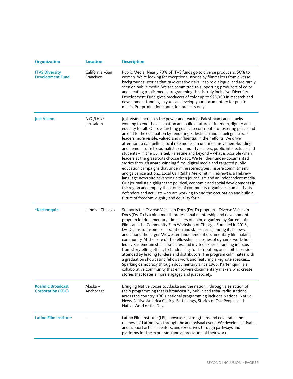| <b>Organization</b>                                  | <b>Location</b>              | <b>Description</b>                                                                                                                                                                                                                                                                                                                                                                                                                                                                                                                                                                                                                                                                                                                                                                                                                                                                                                                                                                                                                                                                                                                                                                                                                                                                                                |
|------------------------------------------------------|------------------------------|-------------------------------------------------------------------------------------------------------------------------------------------------------------------------------------------------------------------------------------------------------------------------------------------------------------------------------------------------------------------------------------------------------------------------------------------------------------------------------------------------------------------------------------------------------------------------------------------------------------------------------------------------------------------------------------------------------------------------------------------------------------------------------------------------------------------------------------------------------------------------------------------------------------------------------------------------------------------------------------------------------------------------------------------------------------------------------------------------------------------------------------------------------------------------------------------------------------------------------------------------------------------------------------------------------------------|
| <b>ITVS Diversity</b><br><b>Development Fund</b>     | California -San<br>Francisco | Public Media: Nearly 70% of ITVS funds go to diverse producers, 50% to<br>women -We're looking for exceptional stories by filmmakers from diverse<br>backgrounds: stories that take creative risks, inspire dialogue, and are rarely<br>seen on public media. We are committed to supporting producers of color<br>and creating public media programming that is truly inclusive. Diversity<br>Development Fund gives producers of color up to \$25,000 in research and<br>development funding so you can develop your documentary for public<br>media. Pre-production nonfiction projects only.                                                                                                                                                                                                                                                                                                                                                                                                                                                                                                                                                                                                                                                                                                                  |
| <b>Just Vision</b>                                   | NYC/DC/E<br>Jerusalem        | Just Vision increases the power and reach of Palestinians and Israelis<br>working to end the occupation and build a future of freedom, dignity and<br>equality for all. Our overarching goal is to contribute to fostering peace and<br>an end to the occupation by rendering Palestinian and Israeli grassroots<br>leaders more visible, valued and influential in their efforts. We drive<br>attention to compelling local role models in unarmed movement-building<br>and demonstrate to journalists, community leaders, public intellectuals and<br>students - in the US, Israel, Palestine and beyond - what is possible when<br>leaders at the grassroots choose to act. We tell their under-documented<br>stories through award-winning films, digital media and targeted public<br>education campaigns that undermine stereotypes, inspire commitment<br>and galvanize action Local Call (Sikha Mekomit in Hebrew) is a Hebrew-<br>language news site advancing citizen journalism and an independent media.<br>Our journalists highlight the political, economic and social developments in<br>the region and amplify the stories of community organizers, human rights<br>defenders and activists who are working to end the occupation and build a<br>future of freedom, dignity and equality for all. |
| *Kartemquin                                          | Illinois - Chicago           | Supports the Diverse Voices in Docs (DVID) program  Diverse Voices in<br>Docs (DVID) is a nine-month professional mentorship and development<br>program for documentary filmmakers of color, organized by Kartemquin<br>Films and the Community Film Workshop of Chicago. Founded in 2013,<br>DVID aims to inspire collaboration and skill-sharing among its fellows,<br>and among the larger Midwestern independent documentary filmmaking<br>community. At the core of the fellowship is a series of dynamic workshops<br>led by Kartemquin staff, associates, and invited experts, ranging in focus<br>from storytelling ethics, to fundraising, to distribution, and a pitch session<br>attended by leading funders and distributors. The program culminates with<br>a graduation showcasing fellows work and featuring a keynote speaker<br>Sparking democracy through documentary since 1966, Kartemquin is a<br>collaborative community that empowers documentary makers who create<br>stories that foster a more engaged and just society.                                                                                                                                                                                                                                                                |
| <b>Koahnic Broadcast</b><br><b>Corporation (KBC)</b> | Alaska -<br>Anchorage        | Bringing Native voices to Alaska and the nation through a selection of<br>radio programming that is broadcast by public and tribal radio stations<br>across the country. KBC's national programming includes National Native<br>News, Native America Calling, Earthsongs, Stories of Our People, and<br>Native Word of the Day.                                                                                                                                                                                                                                                                                                                                                                                                                                                                                                                                                                                                                                                                                                                                                                                                                                                                                                                                                                                   |
| <b>Latino Film Institute</b>                         |                              | Latino Film Institute (LFI) showcases, strengthens and celebrates the<br>richness of Latino lives through the audiovisual event. We develop, activate,<br>and support artists, creators, and executives through pathways and<br>platforms for the expression and appreciation of their work.                                                                                                                                                                                                                                                                                                                                                                                                                                                                                                                                                                                                                                                                                                                                                                                                                                                                                                                                                                                                                      |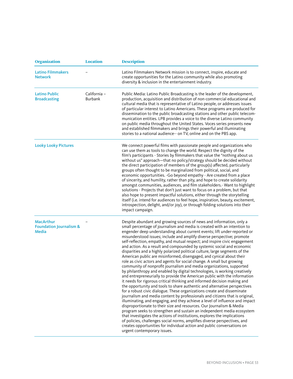| <b>Organization</b>                                                    | <b>Location</b>                | <b>Description</b>                                                                                                                                                                                                                                                                                                                                                                                                                                                                                                                                                                                                                                                                                                                                                                                                                                                                                                                                                                                                                                                                                                                                                                                                                                                                                                                                                                                                                                                                                                                                                                                                                                                                                                                                          |
|------------------------------------------------------------------------|--------------------------------|-------------------------------------------------------------------------------------------------------------------------------------------------------------------------------------------------------------------------------------------------------------------------------------------------------------------------------------------------------------------------------------------------------------------------------------------------------------------------------------------------------------------------------------------------------------------------------------------------------------------------------------------------------------------------------------------------------------------------------------------------------------------------------------------------------------------------------------------------------------------------------------------------------------------------------------------------------------------------------------------------------------------------------------------------------------------------------------------------------------------------------------------------------------------------------------------------------------------------------------------------------------------------------------------------------------------------------------------------------------------------------------------------------------------------------------------------------------------------------------------------------------------------------------------------------------------------------------------------------------------------------------------------------------------------------------------------------------------------------------------------------------|
| <b>Latino Filmmakers</b><br><b>Network</b>                             |                                | Latino Filmmakers Network mission is to connect, inspire, educate and<br>create opportunities for the Latino community while also promoting<br>diversity & inclusion in the entertainment industry.                                                                                                                                                                                                                                                                                                                                                                                                                                                                                                                                                                                                                                                                                                                                                                                                                                                                                                                                                                                                                                                                                                                                                                                                                                                                                                                                                                                                                                                                                                                                                         |
| <b>Latino Public</b><br><b>Broadcasting</b>                            | California -<br><b>Burbank</b> | Public Media: Latino Public Broadcasting is the leader of the development,<br>production, acquisition and distribution of non-commercial educational and<br>cultural media that is representative of Latino people, or addresses issues<br>of particular interest to Latino Americans. These programs are produced for<br>dissemination to the public broadcasting stations and other public telecom-<br>munication entities. LPB provides a voice to the diverse Latino community<br>on public media throughout the United States. Voces series presents new<br>and established filmmakers and brings their powerful and illuminating<br>stories to a national audience-- on TV, online and on the PBS app.                                                                                                                                                                                                                                                                                                                                                                                                                                                                                                                                                                                                                                                                                                                                                                                                                                                                                                                                                                                                                                                |
| <b>Looky Looky Pictures</b>                                            |                                | We connect powerful films with passionate people and organizations who<br>can use them as tools to change the world. Respect the dignity of the<br>film's participants - Stories by filmmakers that value the "nothing about us<br>without us" approach-that no policy/strategy should be decided without<br>the direct participation of members of the group(s) affected, particularly<br>groups often thought to be marginalized from political, social, and<br>economic opportunities. - Go beyond empathy - Are created from a place<br>of sincerity, and humility, rather than pity, and hope to create solidarity<br>amongst communities, audiences, and film stakeholders.- Want to highlight<br>solutions - Projects that don't just want to focus on a problem, but that<br>also hope to present impactful solutions, either through the storytelling<br>itself (i.e. intend for audiences to feel hope, inspiration, beauty, excitement,<br>introspection, delight, and/or joy), or through folding solutions into their<br>impact campaign.                                                                                                                                                                                                                                                                                                                                                                                                                                                                                                                                                                                                                                                                                                      |
| <b>MacArthur</b><br><b>Foundation Journalism &amp;</b><br><b>Media</b> |                                | Despite abundant and growing sources of news and information, only a<br>small percentage of journalism and media is created with an intention to<br>engender deep understanding about current events; lift under-reported or<br>misunderstood issues; include and amplify diverse perspective; promote<br>self-reflection, empathy, and mutual respect; and inspire civic engagement<br>and action. As a result and compounded by systemic social and economic<br>disparities and a highly polarized political culture, large segments of the<br>American public are misinformed, disengaged, and cynical about their<br>role as civic actors and agents for social change. A small but growing<br>community of nonprofit journalism and media organizations, supported<br>by philanthropy and enabled by digital technologies, is working creatively<br>and entrepreneurially to provide the American public with the information<br>it needs for rigorous critical thinking and informed decision making and<br>the opportunity and tools to share authentic and alternative perspectives<br>for a robust civic dialogue. These organizations create and disseminate<br>journalism and media content by professionals and citizens that is original,<br>illuminating, and engaging, and they achieve a level of influence and impact<br>disproportionate to their size and resources. Our Journalism & Media<br>program seeks to strengthen and sustain an independent media ecosystem<br>that investigates the actions of institutions, explores the implications<br>of policies, challenges social norms, amplifies diverse perspectives, and<br>creates opportunities for individual action and public conversations on<br>urgent contemporary issues. |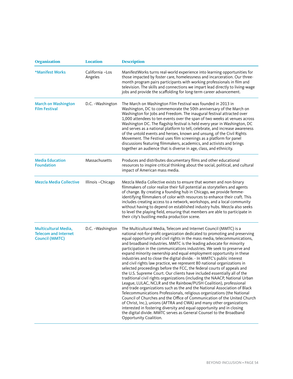| <b>Organization</b>                                                          | <b>Location</b>             | <b>Description</b>                                                                                                                                                                                                                                                                                                                                                                                                                                                                                                                                                                                                                                                                                                                                                                                                                                                                                                                                                                                                                                                                                                                                                                                                                                                                                                                                                                                             |
|------------------------------------------------------------------------------|-----------------------------|----------------------------------------------------------------------------------------------------------------------------------------------------------------------------------------------------------------------------------------------------------------------------------------------------------------------------------------------------------------------------------------------------------------------------------------------------------------------------------------------------------------------------------------------------------------------------------------------------------------------------------------------------------------------------------------------------------------------------------------------------------------------------------------------------------------------------------------------------------------------------------------------------------------------------------------------------------------------------------------------------------------------------------------------------------------------------------------------------------------------------------------------------------------------------------------------------------------------------------------------------------------------------------------------------------------------------------------------------------------------------------------------------------------|
| *Manifest Works                                                              | California - Los<br>Angeles | ManifestWorks turns real-world experience into learning opportunities for<br>those impacted by foster care, homelessness and incarceration. Our three-<br>month program pairs participants with working professionals in film and<br>television. The skills and connections we impart lead directly to living-wage<br>jobs and provide the scaffolding for long-term career advancement.                                                                                                                                                                                                                                                                                                                                                                                                                                                                                                                                                                                                                                                                                                                                                                                                                                                                                                                                                                                                                       |
| <b>March on Washington</b><br><b>Film Festival</b>                           | D.C. - Washington           | The March on Washington Film Festival was founded in 2013 in<br>Washington, DC to commemorate the 50th anniversary of the March on<br>Washington for Jobs and Freedom. The inaugural festival attracted over<br>1,000 attendees to ten events over the span of two weeks at venues across<br>Washington DC. The flagship festival is held every year in Washington, DC<br>and serves as a national platform to tell, celebrate, and increase awareness<br>of the untold events and heroes, known and unsung, of the Civil Rights<br>Movement. The Festival uses film screenings as a platform for panel<br>discussions featuring filmmakers, academics, and activists and brings<br>together an audience that is diverse in age, class, and ethnicity.                                                                                                                                                                                                                                                                                                                                                                                                                                                                                                                                                                                                                                                         |
| <b>Media Education</b><br><b>Foundation</b>                                  | Massachusetts               | Produces and distributes documentary films and other educational<br>resources to inspire critical thinking about the social, political, and cultural<br>impact of American mass media.                                                                                                                                                                                                                                                                                                                                                                                                                                                                                                                                                                                                                                                                                                                                                                                                                                                                                                                                                                                                                                                                                                                                                                                                                         |
| <b>Mezcla Media Collective</b>                                               | Illinois-Chicago            | Mezcla Media Collective exists to ensure that women and non-binary<br>filmmakers of color realize their full potential as storytellers and agents<br>of change. By creating a founding hub in Chicago, we provide femme-<br>identifying filmmakers of color with resources to enhance their craft. This<br>includes creating access to a network, workshops, and a local community<br>without having to depend on established industry hubs. Mezcla also seeks<br>to level the playing field, ensuring that members are able to participate in<br>their city's bustling media production scene.                                                                                                                                                                                                                                                                                                                                                                                                                                                                                                                                                                                                                                                                                                                                                                                                                |
| Multicultural Media,<br><b>Telecom and Internet</b><br><b>Council (MMTC)</b> | D.C. - Washington           | The Multicultural Media, Telecom and Internet Council (MMTC) is a<br>national not-for-profit organization dedicated to promoting and preserving<br>equal opportunity and civil rights in the mass media, telecommunications,<br>and broadband industries. MMTC is the leading advocate for minority<br>participation in the communications industries. We seek to preserve and<br>expand minority ownership and equal employment opportunity in these<br>industries and to close the digital divide. - In MMTC's public interest<br>and civil rights law practice, we represent 80 national organizations in<br>selected proceedings before the FCC, the federal courts of appeals and<br>the U.S. Supreme Court. Our clients have included essentially all of the<br>traditional civil rights organizations (including the NAACP, National Urban<br>League, LULAC, NCLR and the Rainbow/PUSH Coalition), professional<br>and trade organizations such as the and the National Association of Black<br>Telecommunications Professionals, religious organizations (the National<br>Council of Churches and the Office of Communication of the United Church<br>of Christ, Inc.), unions (AFTRA and CWA) and many other organizations<br>interested in fostering diversity and equal opportunity and in closing<br>the digital divide. MMTC serves as General Counsel to the Broadband<br>Opportunity Coalition. |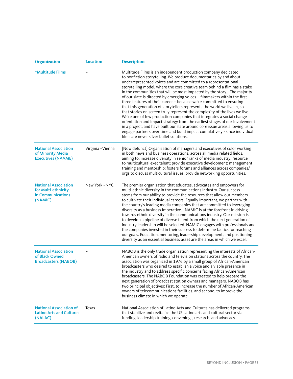| <b>Organization</b>                                                                | <b>Location</b>   | <b>Description</b>                                                                                                                                                                                                                                                                                                                                                                                                                                                                                                                                                                                                                                                                                                                                                                                                                                                                                                                                                                                                                                 |
|------------------------------------------------------------------------------------|-------------------|----------------------------------------------------------------------------------------------------------------------------------------------------------------------------------------------------------------------------------------------------------------------------------------------------------------------------------------------------------------------------------------------------------------------------------------------------------------------------------------------------------------------------------------------------------------------------------------------------------------------------------------------------------------------------------------------------------------------------------------------------------------------------------------------------------------------------------------------------------------------------------------------------------------------------------------------------------------------------------------------------------------------------------------------------|
| *Multitude Films                                                                   |                   | Multitude Films is an independent production company dedicated<br>to nonfiction storytelling. We produce documentaries by and about<br>underrepresented voices and are committed to a representational<br>storytelling model, where the core creative team behind a film has a stake<br>in the communities that will be most impacted by the story The majority<br>of our slate is directed by emerging voices - filmmakers within the first<br>three features of their career - because we're committed to ensuring<br>that this generation of storytellers represents the world we live in, so<br>that stories on screen truly represent the complexity of the lives we live.<br>We're one of few production companies that integrates a social change<br>orientation and impact strategy from the earliest stages of our involvement<br>in a project, and have built our slate around core issue areas allowing us to<br>engage partners over time and build impact cumulatively - since individual<br>films are never silver bullet solutions. |
| <b>National Association</b><br>of Minority Media<br><b>Executives (NAAME)</b>      | Virginia - Vienna | [Now defunct] Organization of managers and executives of color working<br>in both news and business operations, across all media related fields,<br>aiming to: increase diversity in senior ranks of media industry; resource<br>to multicultural exec talent; provide executive development; management<br>training and mentorship; fosters forums and alliances across companies/<br>orgs to discuss multicultural issues; provide networking opportunities.                                                                                                                                                                                                                                                                                                                                                                                                                                                                                                                                                                                     |
| <b>National Association</b><br>for Multi-ethnicity<br>in Communications<br>(NAMIC) | New York -NYC     | The premier organization that educates, advocates and empowers for<br>multi-ethnic diversity in the communications industry. Our success<br>stems from our ability to provide the resources that allow our members<br>to cultivate their individual careers. Equally important, we partner with<br>the country's leading media companies that are committed to leveraging<br>diversity as a business imperative NAMIC is at the forefront in driving<br>towards ethnic diversity in the communications industry. Our mission is<br>to develop a pipeline of diverse talent from which the next generation of<br>industry leadership will be selected. NAMIC engages with professionals and<br>the companies invested in their success to determine tactics for reaching<br>our goals. Education, mentoring, leadership development, and positioning<br>diversity as an essential business asset are the areas in which we excel.                                                                                                                   |
| <b>National Association</b><br>of Black Owned<br><b>Broadcasters (NABOB)</b>       |                   | NABOB is the only trade organization representing the interests of African-<br>American owners of radio and television stations across the country. The<br>association was organized in 1976 by a small group of African-American<br>broadcasters who desired to establish a voice and a viable presence in<br>the industry and to address specific concerns facing African-American<br>broadcasters. The NABOB Foundation was created to help prepare the<br>next generation of broadcast station owners and managers. NABOB has<br>two principal objectives: First, to increase the number of African-American<br>owners of telecommunications facilities, and second, to improve the<br>business climate in which we operate                                                                                                                                                                                                                                                                                                                    |
| <b>National Association of</b><br><b>Latino Arts and Cultures</b><br>(NALAC)       | Texas             | National Association of Latino Arts and Cultures has delivered programs<br>that stabilize and revitalize the US Latino arts and cultural sector via<br>funding, leadership training, convenings, research, and advocacy.                                                                                                                                                                                                                                                                                                                                                                                                                                                                                                                                                                                                                                                                                                                                                                                                                           |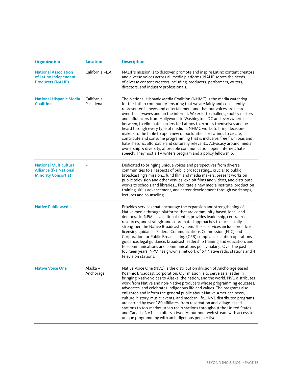| <b>Organization</b>                                                                          | <b>Location</b>          | <b>Description</b>                                                                                                                                                                                                                                                                                                                                                                                                                                                                                                                                                                                                                                                                                                                                                                                                                                                                                |
|----------------------------------------------------------------------------------------------|--------------------------|---------------------------------------------------------------------------------------------------------------------------------------------------------------------------------------------------------------------------------------------------------------------------------------------------------------------------------------------------------------------------------------------------------------------------------------------------------------------------------------------------------------------------------------------------------------------------------------------------------------------------------------------------------------------------------------------------------------------------------------------------------------------------------------------------------------------------------------------------------------------------------------------------|
| <b>National Association</b><br>of Latino Independent<br><b>Producers (NALIP)</b>             | California -L.A.         | NALIP's mission is to discover, promote and inspire Latinx content creators<br>and diverse voices across all media platforms. NALIP serves the needs<br>of diverse content creators including, producers, performers, writers,<br>directors, and industry professionals.                                                                                                                                                                                                                                                                                                                                                                                                                                                                                                                                                                                                                          |
| <b>National Hispanic Media</b><br><b>Coalition</b>                                           | California -<br>Pasadena | The National Hispanic Media Coalition (NHMC) is the media watchdog<br>for the Latino community, ensuring that we are fairly and consistently<br>represented in news and entertainment and that our voices are heard<br>over the airwaves and on the internet. We exist to challenge policy makers<br>and influencers from Hollywood to Washington, DC and everywhere in<br>between, to eliminate barriers for Latinos to express themselves and be<br>heard through every type of medium. NHMC works to bring decision-<br>makers to the table to open new opportunities for Latinos to create,<br>contribute and consume programming that is inclusive, free from bias and<br>hate rhetoric, affordable and culturally relevant Advocacy around media<br>ownership & diversity; affordable communication; open internet; hate<br>speech. They host a TV writers program and a policy fellowship. |
| <b>National Multicultural</b><br><b>Alliance (fka National</b><br><b>Minority Consortia)</b> |                          | Dedicated to bringing unique voices and perspectives from diverse<br>communities to all aspects of public broadcasting crucial to public<br>broadcasting's mission fund film and media makers, present works on<br>public television and other venues, exhibit films and videos, and distribute<br>works to schools and libraries facilitate a new media institute, production<br>training, skills advancement, and career development through workshops,<br>lectures and counseling.                                                                                                                                                                                                                                                                                                                                                                                                             |
| <b>Native Public Media</b>                                                                   |                          | Provides services that encourage the expansion and strengthening of<br>Native media through platforms that are community-based, local, and<br>democratic. NPM, as a national center, provides leadership, centralized<br>resources, and strategic and coordinated approaches to successfully<br>strengthen the Native Broadcast System. These services include broadcast<br>licensing guidance, Federal Communications Commission (FCC) and<br>Corporation for Public Broadcasting (CPB) compliance, station operations<br>guidance, legal guidance, broadcast leadership training and education, and<br>telecommunications and communications policymaking. Over the past<br>fourteen years, NPM has grown a network of 57 Native radio stations and 4<br>television stations.                                                                                                                   |
| <b>Native Voice One</b>                                                                      | Alaska -<br>Anchorage    | Native Voice One (NV1) is the distribution division of Anchorage-based<br>Koahnic Broadcast Corporation. Our mission is to serve as a leader in<br>bringing Native voices to Alaska, the nation, and the world. NV1 distributes<br>work from Native and non-Native producers whose programming educates,<br>advocates, and celebrates Indigenous life and values. The programs also<br>enlighten and inform the general public about Native American news,<br>culture, history, music, events, and modern life NV1 distributed programs<br>are carried by over 180 affiliates, from reservation and village-based<br>stations to top-market urban radio stations throughout the United States<br>and Canada. NV1 also offers a twenty-four hour web stream with access to<br>unique programming with an Indigenous perspective.                                                                   |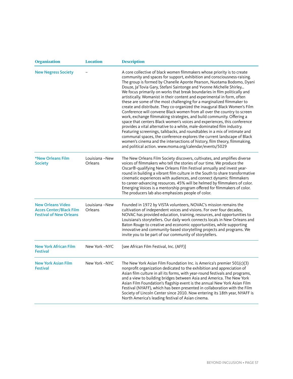| <b>Organization</b>                                                                          | <b>Location</b>           | <b>Description</b>                                                                                                                                                                                                                                                                                                                                                                                                                                                                                                                                                                                                                                                                                                                                                                                                                                                                                                                                                                                                                                                                                                                                                                                                          |
|----------------------------------------------------------------------------------------------|---------------------------|-----------------------------------------------------------------------------------------------------------------------------------------------------------------------------------------------------------------------------------------------------------------------------------------------------------------------------------------------------------------------------------------------------------------------------------------------------------------------------------------------------------------------------------------------------------------------------------------------------------------------------------------------------------------------------------------------------------------------------------------------------------------------------------------------------------------------------------------------------------------------------------------------------------------------------------------------------------------------------------------------------------------------------------------------------------------------------------------------------------------------------------------------------------------------------------------------------------------------------|
| <b>New Negress Society</b>                                                                   |                           | A core collective of black women filmmakers whose priority is to create<br>community and spaces for support, exhibition and consciousness-raising.<br>The group is formed by Chanelle Aponte Pearson, Nuotama Bodomo, Dyani<br>Douze, Ja'Tovia Gary, Stefani Saintonge and Yvonne Michelle Shirley<br>We focus primarily on works that break boundaries in film politically and<br>artistically. Womanist in their content and experimental in form, often<br>these are some of the most challenging for a marginalized filmmaker to<br>create and distribute. They co-organized the inaugural Black Women's Film<br>Conference will convene Black women from all over the country to screen<br>work, exchange filmmaking strategies, and build community. Offering a<br>space that centers Black women's voices and experiences, this conference<br>provides a vital alternative to a white, male-dominated film industry.<br>Featuring screenings, talkbacks, and roundtables in a mix of intimate and<br>communal spaces, the conference explores the current landscape of Black<br>women's cinema and the intersections of history, film theory, filmmaking,<br>and political action. www.moma.org/calendar/events/5029 |
| *New Orleans Film<br><b>Society</b>                                                          | Louisiana -New<br>Orleans | The New Orleans Film Society discovers, cultivates, and amplifies diverse<br>voices of filmmakers who tell the stories of our time. We produce the<br>Oscar®-qualifying New Orleans Film Festival annually and invest year-<br>round in building a vibrant film culture in the South to share transformative<br>cinematic experiences with audiences, and connect dynamic filmmakers<br>to career-advancing resources. 45% will be helmed by filmmakers of color.<br>Emerging Voices is a mentorship program offered for filmmakers of color.<br>The producers lab also emphasizes people of color.                                                                                                                                                                                                                                                                                                                                                                                                                                                                                                                                                                                                                         |
| <b>New Orleans Video</b><br><b>Acces Center/Black Film</b><br><b>Festival of New Orleans</b> | Louisiana -New<br>Orleans | Founded in 1972 by VISTA volunteers, NOVAC's mission remains the<br>cultivation of independent voices and visions. For over four decades,<br>NOVAC has provided education, training, resources, and opportunities to<br>Louisiana's storytellers. Our daily work connects locals in New Orleans and<br>Baton Rouge to creative and economic opportunities, while supporting<br>innovative and community-based storytelling projects and programs. We<br>invite you to be part of our community of storytellers.                                                                                                                                                                                                                                                                                                                                                                                                                                                                                                                                                                                                                                                                                                             |
| <b>New York African Film</b><br><b>Festival</b>                                              | New York -NYC             | [see African Film Festival, Inc. (AFF)]                                                                                                                                                                                                                                                                                                                                                                                                                                                                                                                                                                                                                                                                                                                                                                                                                                                                                                                                                                                                                                                                                                                                                                                     |
| <b>New York Asian Film</b><br><b>Festival</b>                                                | New York -NYC             | The New York Asian Film Foundation Inc. is America's premier $501(c)(3)$<br>nonprofit organization dedicated to the exhibition and appreciation of<br>Asian film culture in all its forms, with year-round festivals and programs,<br>and a view to building bridges between Asia and America. The New York<br>Asian Film Foundation's flagship event is the annual New York Asian Film<br>Festival (NYAFF), which has been presented in collaboration with the Film<br>Society of Lincoln Center since 2010. Now entering its 18th year, NYAFF is<br>North America's leading festival of Asian cinema.                                                                                                                                                                                                                                                                                                                                                                                                                                                                                                                                                                                                                     |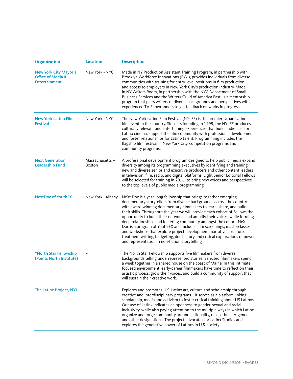| <b>Organization</b>                                                                  | <b>Location</b>                 | <b>Description</b>                                                                                                                                                                                                                                                                                                                                                                                                                                                                                                                                                                                                                                                                                                                             |
|--------------------------------------------------------------------------------------|---------------------------------|------------------------------------------------------------------------------------------------------------------------------------------------------------------------------------------------------------------------------------------------------------------------------------------------------------------------------------------------------------------------------------------------------------------------------------------------------------------------------------------------------------------------------------------------------------------------------------------------------------------------------------------------------------------------------------------------------------------------------------------------|
| <b>New York City Mayor's</b><br><b>Office of Media &amp;</b><br><b>Entertainment</b> | New York -NYC                   | Made in NY Production Assistant Training Program, in partnership with<br>Brooklyn Workforce Innovations (BWI), provides individuals from diverse<br>communities with training for entry-level positions in film production<br>and access to employers in New York City's production industry. Made<br>in NY Writers Room, in partnership with the NYC Department of Small<br>Business Services and the Writers Guild of America East, is a mentorship<br>program that pairs writers of diverse backgrounds and perspectives with<br>experienced TV Showrunners to get feedback on works in progress.                                                                                                                                           |
| <b>New York Latino Film</b><br><b>Festival</b>                                       | New York -NYC                   | The New York Latino Film Festival (NYLFF) is the premier Urban Latino<br>film event in the country. Since its founding in 1999, the NYLFF produces<br>culturally relevant and entertaining experiences that build audiences for<br>Latino cinema, support the film community with professional development<br>and foster relationships for Latino talent. Programming includes the<br>flagship film festival in New York City, competition programs and<br>community programs.                                                                                                                                                                                                                                                                 |
| <b>Next Generation</b><br><b>Leadership Fund</b>                                     | Massachusetts-<br><b>Boston</b> | A professional development program designed to help public media expand<br>diversity among its programming executives by identifying and training<br>new and diverse senior and executive producers and other content leaders<br>in television, film, radio, and digital platforms. Eight Senior Editorial Fellows<br>will be selected for training in 2016, to bring new voices and perspectives<br>to the top levels of public media programming.                                                                                                                                                                                                                                                                                            |
| <b>NextDoc of YouthFX</b>                                                            | New York -Albany                | NeXt Doc is a year-long fellowship that brings together emerging<br>documentary storytellers from diverse backgrounds across the country<br>with award-winning documentary filmmakers to learn, share, and build<br>their skills. Throughout the year we will provide each cohort of Fellows the<br>opportunity to build their networks and amplify their voices, while forming<br>deep relationships and fostering community amongst the cohort. NeXt<br>Doc is a program of Youth FX and includes film screenings, masterclasses,<br>and workshops that explore project development, narrative structure,<br>treatment writing, budgeting, doc history and critical explorations of power<br>and representation in non-fiction storytelling. |
| *North Star Fellowship<br>(Points North Institute)                                   |                                 | The North Star Fellowship supports five filmmakers from diverse<br>backgrounds telling underrepresented stories. Selected filmmakers spend<br>a week together in a shared house on the coast of Maine. In this intimate,<br>focused environment, early-career filmmakers have time to reflect on their<br>artistic process, grow their voices, and build a community of support that<br>will sustain their creative work.                                                                                                                                                                                                                                                                                                                      |
| The Latinx Project, NYU                                                              |                                 | Explores and promotes U.S. Latinx art, culture and scholarship through<br>creative and interdisciplinary programs it serves as a platform linking<br>scholarship, media and activism to foster critical thinking about US Latinxs.<br>Our use of Latinx indicates an openness to gender, sexual and racial<br>inclusivity, while also paying attention to the multiple ways in which Latinx<br>organize and forge community around nationality, race, ethnicity, gender,<br>and other designations. The project advocates for Latinx Studies and<br>explores the generative power of Latinxs in U.S. society                                                                                                                                   |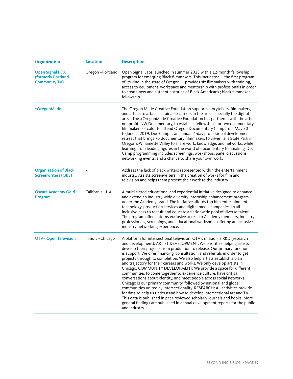| <b>Organization</b>                                                  | <b>Location</b>  | <b>Description</b>                                                                                                                                                                                                                                                                                                                                                                                                                                                                                                                                                                                                                                                                                                                                                                                                                                                                                                                                                                                                                                                                         |
|----------------------------------------------------------------------|------------------|--------------------------------------------------------------------------------------------------------------------------------------------------------------------------------------------------------------------------------------------------------------------------------------------------------------------------------------------------------------------------------------------------------------------------------------------------------------------------------------------------------------------------------------------------------------------------------------------------------------------------------------------------------------------------------------------------------------------------------------------------------------------------------------------------------------------------------------------------------------------------------------------------------------------------------------------------------------------------------------------------------------------------------------------------------------------------------------------|
| <b>Open Signal PDX</b><br>(formerly Portland<br><b>Community TV)</b> | Oregon-Portland  | Open Signal Labs launched in summer 2018 with a 12-month fellowship<br>program for emerging Black filmmakers. This incubator - the first program<br>of its kind in the state of Oregon - provides six filmmakers with training,<br>access to equipment, workspace and mentorship with professionals in order<br>to create new and authentic stories of Black Americans; black filmmaker<br>fellowship                                                                                                                                                                                                                                                                                                                                                                                                                                                                                                                                                                                                                                                                                      |
| *OregonMade                                                          |                  | The Oregon Made Creative Foundation supports storytellers, filmmakers,<br>and artists to attain sustainable careers in the arts, especially the digital<br>arts The #OregonMade Creative Foundation has partnered with the arts<br>nonprofit, NW Documentary, to establish fellowships for two documentary<br>filmmakers of color to attend Oregon Documentary Camp from May 30<br>to June 2, 2019. Doc Camp is an annual, 4-day professional development<br>retreat that brings 75 documentary filmmakers to Silver Falls State Park in<br>Oregon's Willamette Valley to share work, knowledge, and networks, while<br>learning from leading figures in the world of documentary filmmaking. Doc<br>Camp programming includes screenings, workshops, panel discussions,<br>networking events, and a chance to share your own work.                                                                                                                                                                                                                                                        |
| <b>Organization of Black</b><br><b>Screenwriters (OBS)</b>           |                  | Address the lack of black writers represented within the entertainment<br>industry. Assists screenwriters in the creation of works for film and<br>television and helps them present their work to the industry.                                                                                                                                                                                                                                                                                                                                                                                                                                                                                                                                                                                                                                                                                                                                                                                                                                                                           |
| <b>Oscars Academy Gold</b><br>Program                                | California -L.A. | A multi-tiered educational and experiential initiative designed to enhance<br>and extend an industry-wide diversity internship enhancement program<br>under the Academy brand. The initiative affords top film entertainment,<br>technology, production services and digital media companies an all-<br>inclusive pass to recruit and educate a nationwide pool of diverse talent.<br>The program offers interns exclusive access to Academy members, industry<br>professionals, screenings, and educational workshops offering an inclusive<br>industry networking experience.                                                                                                                                                                                                                                                                                                                                                                                                                                                                                                            |
| <b>OTV - Open Television</b>                                         | Illinois-Chicago | A platform for intersectional television. OTV's mission is R&D (research<br>and development): ARTIST DEVELOPMENT: We prioritize helping artists<br>develop their projects from production to release. Our primary function<br>is support. We offer financing, consultation, and referrals in order to get<br>projects through to completion. We also help artists establish a plan<br>and trajectory for their careers and works. We only develop artists in<br>Chicago. COMMUNITY DEVELOPMENT: We provide a space for different<br>communities to come together to experience culture, have critical<br>conversations about identity, and meet people across social networks.<br>Chicago is our primary community, followed by national and global<br>communities united by intersectionality. RESEARCH: All activities provide<br>for data to help us understand how to develop intersectional art and TV.<br>This data is published in peer-reviewed scholarly journals and books. More<br>general findings are published in annual development reports for the public<br>and industry. |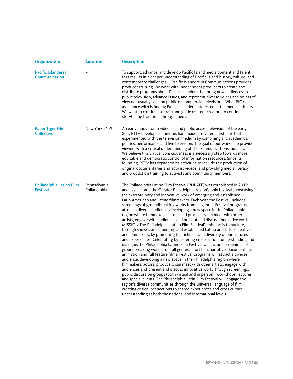| <b>Organization</b>                          | <b>Location</b>                | <b>Description</b>                                                                                                                                                                                                                                                                                                                                                                                                                                                                                                                                                                                                                                                                                                                                                                                                                                                                                                                                                                                                                                                                                                                                                                                                                                                                                                                                                                                                                                                                                                                                                                                                                                                                                                                                                |
|----------------------------------------------|--------------------------------|-------------------------------------------------------------------------------------------------------------------------------------------------------------------------------------------------------------------------------------------------------------------------------------------------------------------------------------------------------------------------------------------------------------------------------------------------------------------------------------------------------------------------------------------------------------------------------------------------------------------------------------------------------------------------------------------------------------------------------------------------------------------------------------------------------------------------------------------------------------------------------------------------------------------------------------------------------------------------------------------------------------------------------------------------------------------------------------------------------------------------------------------------------------------------------------------------------------------------------------------------------------------------------------------------------------------------------------------------------------------------------------------------------------------------------------------------------------------------------------------------------------------------------------------------------------------------------------------------------------------------------------------------------------------------------------------------------------------------------------------------------------------|
| <b>Pacific Islanders in</b><br>Communication |                                | To support, advance, and develop Pacific Island media content and talent<br>that results in a deeper understanding of Pacific Island history, culture, and<br>contemporary challenges Pacific Islanders in Communications provides<br>producer training. We work with independent producers to create and<br>distribute programs about Pacific Islanders that bring new audiences to<br>public television, advance issues, and represent diverse voices and points of<br>view not usually seen on public or commercial television What PIC needs<br>assistance with is finding Pacific Islanders interested in the media industry.<br>We want to continue to train and guide content creators to continue<br>storytelling traditions through media.                                                                                                                                                                                                                                                                                                                                                                                                                                                                                                                                                                                                                                                                                                                                                                                                                                                                                                                                                                                                               |
| <b>Paper Tiger Film</b><br><b>Collective</b> | New York -NYC                  | An early innovator in video art and public access television of the early<br>80's, PTTV developed a unique, handmade, irreverent aesthetic that<br>experimented with the television medium by combining art, academics,<br>politics, performance and live television. The goal of our work is to provide<br>viewers with a critical understanding of the communications industry.<br>We believe this critical consciousness is a necessary step towards more<br>equitable and democratic control of information resources. Since its<br>founding, PTTV has expanded its activities to include the production of<br>original documentaries and activist videos, and providing media literacy<br>and production training to activists and community members.                                                                                                                                                                                                                                                                                                                                                                                                                                                                                                                                                                                                                                                                                                                                                                                                                                                                                                                                                                                                        |
| Philadelphia Latino Film<br><b>Festival</b>  | Pennsylvania -<br>Philadelphia | The Philadelphia Latino Film Festival (PHLAFF) was established in 2012<br>and has become the Greater Philadelphia region's only festival showcasing<br>the extraordinary and innovative work of emerging and established<br>Latin American and Latino filmmakers. Each year, the Festival includes<br>screenings of groundbreaking works from all genres. Festival programs<br>attract a diverse audience, developing a new space in the Philadelphia<br>region where filmmakers, actors, and producers can meet with other<br>artists, engage with audiences and present and discuss innovative work.<br>MISSION The Philadelphia Latino Film Festival's mission is to nurture,<br>through showcasing emerging and established Latino and Latinx creatives<br>and filmmakers; by promoting the richness and diversity of our cultures<br>and experiences. Celebrating by fostering cross-cultural understanding and<br>dialogue. The Philadelphia Latino Film Festival will include screenings of<br>groundbreaking works from all genres: short film, narrative, documentary,<br>animation and full feature films. Festival programs will attract a diverse<br>audience, developing a new space in the Philadelphia region where<br>filmmakers, actors, producers can meet with other artists, engage with<br>audiences and present and discuss innovative work. Through screenings,<br>public discussion groups (both virtual and in person), workshops, lectures<br>and special events, The Philadelphia Latin Film Festival will engage the<br>region's diverse communities through the universal language of film<br>creating critical connections to shared experiences and cross cultural<br>understanding at both the national and international levels. |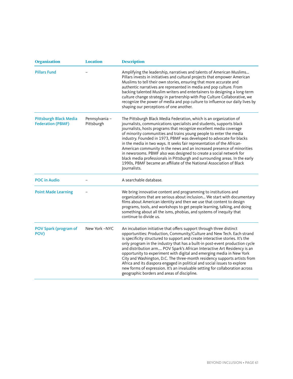| <b>Organization</b>                                       | <b>Location</b>             | <b>Description</b>                                                                                                                                                                                                                                                                                                                                                                                                                                                                                                                                                                                                                                                                                                                                                |
|-----------------------------------------------------------|-----------------------------|-------------------------------------------------------------------------------------------------------------------------------------------------------------------------------------------------------------------------------------------------------------------------------------------------------------------------------------------------------------------------------------------------------------------------------------------------------------------------------------------------------------------------------------------------------------------------------------------------------------------------------------------------------------------------------------------------------------------------------------------------------------------|
| <b>Pillars Fund</b>                                       |                             | Amplifying the leadership, narratives and talents of American Muslims<br>Pillars invests in initiatives and cultural projects that empower American<br>Muslims to tell their own stories, ensuring that more accurate and<br>authentic narratives are represented in media and pop culture. From<br>backing talented Muslim writers and entertainers to designing a long-term<br>culture change strategy in partnership with Pop Culture Collaborative, we<br>recognize the power of media and pop culture to influence our daily lives by<br>shaping our perceptions of one another.                                                                                                                                                                             |
| <b>Pittsburgh Black Media</b><br><b>Federation (PBMF)</b> | Pennsylvania-<br>Pittsburgh | The Pittsburgh Black Media Federation, which is an organization of<br>journalists, communications specialists and students, supports black<br>journalists, hosts programs that recognize excellent media coverage<br>of minority communities and trains young people to enter the media<br>industry. Founded in 1973, PBMF was developed to advocate for blacks<br>in the media in two ways. It seeks fair representation of the African-<br>American community in the news and an increased presence of minorities<br>in newsrooms. PBMF also was designed to create a social network for<br>black media professionals in Pittsburgh and surrounding areas. In the early<br>1990s, PBMF became an affiliate of the National Association of Black<br>Journalists. |
| <b>POC in Audio</b>                                       |                             | A searchable database.                                                                                                                                                                                                                                                                                                                                                                                                                                                                                                                                                                                                                                                                                                                                            |
| <b>Point Made Learning</b>                                |                             | We bring innovative content and programming to institutions and<br>organizations that are serious about inclusion We start with documentary<br>films about American identity and then we use that content to design<br>programs, tools, and workshops to get people learning, talking, and doing<br>something about all the isms, phobias, and systems of inequity that<br>continue to divide us.                                                                                                                                                                                                                                                                                                                                                                 |
| <b>POV Spark (program of</b><br>POV)                      | New York -NYC               | An incubation initiative that offers support through three distinct<br>opportunities: Production, Community/Culture and New Tech. Each strand<br>is specificity structured to support and create interactive stories. It's the<br>only program in the industry that has a built-in post-event production cycle<br>and distribution arm POV Spark's African Interactive Art Residency is an<br>opportunity to experiment with digital and emerging media in New York<br>City and Washington, D.C. The three-month residency supports artists from<br>Africa and its diaspora engaged in political and social issues to explore<br>new forms of expression. It's an invaluable setting for collaboration across<br>geographic borders and areas of discipline.      |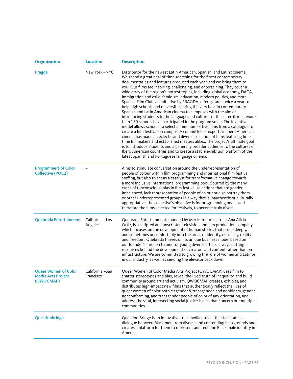| <b>Organization</b>                                                   | <b>Location</b>              | <b>Description</b>                                                                                                                                                                                                                                                                                                                                                                                                                                                                                                                                                                                                                                                                                                                                                                                                                                                                                                                                                                                                                                                                                                                                                                                                                                                                                                                                                                  |
|-----------------------------------------------------------------------|------------------------------|-------------------------------------------------------------------------------------------------------------------------------------------------------------------------------------------------------------------------------------------------------------------------------------------------------------------------------------------------------------------------------------------------------------------------------------------------------------------------------------------------------------------------------------------------------------------------------------------------------------------------------------------------------------------------------------------------------------------------------------------------------------------------------------------------------------------------------------------------------------------------------------------------------------------------------------------------------------------------------------------------------------------------------------------------------------------------------------------------------------------------------------------------------------------------------------------------------------------------------------------------------------------------------------------------------------------------------------------------------------------------------------|
| Pragda                                                                | New York -NYC                | Distributor for the newest Latin American, Spanish, and Latinx cinema.<br>We spend a great deal of time searching for the finest contemporary<br>documentaries and features produced each year, and we bring them to<br>you. Our films are inspiring, challenging, and entertaining. They cover a<br>wide array of the region's hottest topics, including global economy, DACA,<br>immigration and exile, feminism, education, modern politics, and more<br>Spanish Film Club, an initiative by PRAGDA, offers grants twice a year to<br>help high schools and universities bring the very best in contemporary<br>Spanish and Latin American cinema to campuses with the aim of<br>introducing students to the language and cultures of these territories. More<br>than 150 schools have participated in the program so far. The inventive<br>model allows schools to select a minimum of five films from a catalogue to<br>create a film festival on campus. A committee of experts in Ibero American<br>cinema has made an eclectic and diverse selection of films featuring first-<br>time filmmakers and established masters alike The project's ultimate goal<br>is to introduce students and a generally broader audience to the cultures of<br>Ibero American countries and to create a stable exhibition platform of the<br>latest Spanish and Portuguese language cinema. |
| <b>Programmers of Color</b><br><b>Collective (POC2)</b>               |                              | Aims to stimulate conversation around the underrepresentation of<br>people of colour within film programming and international film festival<br>staffing, but also to act as a catalyst for transformative change towards<br>a more inclusive international programming pool. Spurred by the many<br>cases of (unconscious) bias in film festival selections that are gender-<br>imbalanced, lack representation of people of colour or else portray them<br>or other underrepresented groups in a way that is inauthentic or culturally<br>appropriative, the collective's objective is for programming pools, and<br>therefore the films selected for festivals, to become truly divers                                                                                                                                                                                                                                                                                                                                                                                                                                                                                                                                                                                                                                                                                           |
| Quebrada Entertainment                                                | California -Los<br>Angeles   | Quebrada Entertainment, founded by Mexican-born actress Ana Alicia<br>Ortiz, is a scripted and unscripted television and film production company<br>which focuses on the development of human stories that probe deeply,<br>and sometimes uncomfortably into the areas of identity, normalcy, reality<br>and freedom. Quebrada thrives on its unique business model based on<br>our founder's mission to mentor young diverse artists, always putting<br>resources behind the development of creators and content rather than on<br>infrastructure. We are committed to growing the role of women and Latinos<br>in our industry, as well as sending the elevator back down.                                                                                                                                                                                                                                                                                                                                                                                                                                                                                                                                                                                                                                                                                                        |
| <b>Queer Women of Color</b><br><b>Media Arts Project</b><br>(QWOCMAP) | California -San<br>Francisco | Queer Women of Color Media Arts Project (QWOCMAP) uses film to<br>shatter stereotypes and bias, reveal the lived truth of inequality, and build<br>community around art and activism. QWOCMAP creates, exhibits, and<br>distributes high-impact new films that authentically reflect the lives of<br>queer women of color both cisgender & transgender, and nonbinary, gender<br>nonconforming, and transgender people of color of any orientation, and<br>address the vital, intersecting social justice issues that concern our multiple<br>communities.                                                                                                                                                                                                                                                                                                                                                                                                                                                                                                                                                                                                                                                                                                                                                                                                                          |
| Questionbridge                                                        |                              | Question Bridge is an innovative transmedia project that facilitates a<br>dialogue between Black men from diverse and contending backgrounds and<br>creates a platform for them to represent and redefine Black male identity in<br>America.                                                                                                                                                                                                                                                                                                                                                                                                                                                                                                                                                                                                                                                                                                                                                                                                                                                                                                                                                                                                                                                                                                                                        |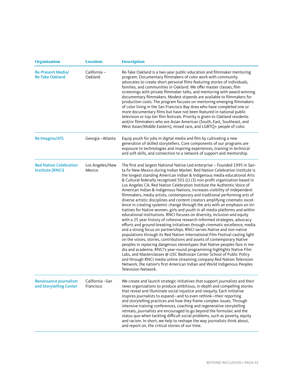| <b>Organization</b>                                      | <b>Location</b>               | <b>Description</b>                                                                                                                                                                                                                                                                                                                                                                                                                                                                                                                                                                                                                                                                                                                                                                                                                                                                                                                                                                                                                                                                                                                                                                                                                                                                                                                                                                                                                                                                                                                                                                                                                                                                                     |
|----------------------------------------------------------|-------------------------------|--------------------------------------------------------------------------------------------------------------------------------------------------------------------------------------------------------------------------------------------------------------------------------------------------------------------------------------------------------------------------------------------------------------------------------------------------------------------------------------------------------------------------------------------------------------------------------------------------------------------------------------------------------------------------------------------------------------------------------------------------------------------------------------------------------------------------------------------------------------------------------------------------------------------------------------------------------------------------------------------------------------------------------------------------------------------------------------------------------------------------------------------------------------------------------------------------------------------------------------------------------------------------------------------------------------------------------------------------------------------------------------------------------------------------------------------------------------------------------------------------------------------------------------------------------------------------------------------------------------------------------------------------------------------------------------------------------|
| <b>Re-Present Media/</b><br><b>Re-Take Oakland</b>       | California -<br>Oakland       | Re-Take Oakland is a two-year public education and filmmaker mentoring<br>program. Documentary filmmakers of color work with community<br>advocates to create short personal films featuring stories of individuals,<br>families, and communities in Oakland. We offer master classes, film<br>screenings with private filmmaker talks, and mentoring with award-winning<br>documentary filmmakers. Modest stipends are available to filmmakers for<br>production costs. The program focuses on mentoring emerging filmmakers<br>of color living in the San Francisco Bay Area who have completed one or<br>more documentary films but have not been featured in national public<br>television or top tier film festivals. Priority is given to Oakland residents<br>and/or filmmakers who are Asian American (South, East, Southeast, and<br>West Asian/Middle Eastern), mixed race, and LGBTQ+ people of color.                                                                                                                                                                                                                                                                                                                                                                                                                                                                                                                                                                                                                                                                                                                                                                                      |
| <b>Re:Imagine/ATL</b>                                    | Georgia-Atlanta               | Equip youth for jobs in digital media and film by cultivating a new<br>generation of skilled storytellers. Core components of our programs are<br>exposure to technologies and inspiring experiences, training in technical<br>and soft skills, and connection to a network of support and mentorship.                                                                                                                                                                                                                                                                                                                                                                                                                                                                                                                                                                                                                                                                                                                                                                                                                                                                                                                                                                                                                                                                                                                                                                                                                                                                                                                                                                                                 |
| <b>Red Nation Celebration</b><br>Institute (RNCI)        | Los Angeles/New<br>Mexico     | The first and largest National Native-Led enterprise - Founded 1995 in San-<br>ta Fe New Mexico during Indian Market. Red Nation Celebration Institute is<br>the longest standing American Indian & Indigenous media educational Arts<br>& Cultural federally recognized 501 (c) (3) non-profit organization based in<br>Los Angeles CA. Red Nation Celebration Institute the Authentic Voice of<br>American Indian & Indigenous Nations, increases visibility of independent<br>filmmakers, media artists, contemporary and traditional performing arts of<br>diverse artistic disciplines and content creators amplifying cinematic excel-<br>lence in creating systemic change through the arts with an emphasis on ini-<br>tiatives for Native women, girls and youth in all media platforms and within<br>educational institutions. RNCI focuses on diversity, inclusion and equity<br>with a 25 year history of cohesive research-informed strategies, advocacy<br>efforts and ground-breaking initiatives through cinematic excellence, media<br>and a strong focus on partnerships. RNCI serves Native and non-native<br>populations through its Red Nation International Film Festival casting light<br>on the voices, stories, contributions and assets of contemporary Native<br>peoples in replacing dangerous stereotypes that Native peoples face in me-<br>dia and academia. RNCI's year-round programming highlights Native Film<br>Labs, and Masterclasses @ USC Bedrosian Center School of Public Policy<br>and through RNCI media online streaming company Red Nation Television<br>Network, the nation's first American Indian and World Indigenous Peoples<br>Television Network. |
| <b>Renaissance Journalism</b><br>and Storytelling Center | California - San<br>Francisco | We create and launch strategic initiatives that support journalists and their<br>news organizations to produce ambitious, in-depth and compelling stories<br>that reveal and illuminate social injustice and inequity. Each initiative<br>inspires journalists to expand-and to even rethink-their reporting<br>and storytelling practices and how they frame complex issues. Through<br>intensive training conferences, coaching and regenerative storytelling<br>retreats, journalists are encouraged to go beyond the formulaic and the<br>status quo when tackling difficult social problems, such as poverty, equity<br>and racism. In short, we help to reshape the way journalists think about,<br>and report on, the critical stories of our time.                                                                                                                                                                                                                                                                                                                                                                                                                                                                                                                                                                                                                                                                                                                                                                                                                                                                                                                                             |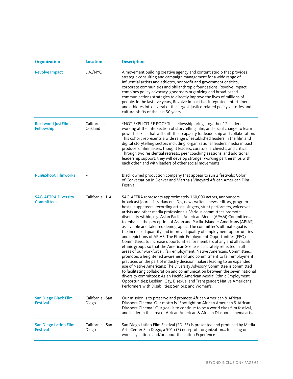| <b>Organization</b>                             | <b>Location</b>          | <b>Description</b>                                                                                                                                                                                                                                                                                                                                                                                                                                                                                                                                                                                                                                                                                                                                                                                                                                                                                                                                                                                                                                                                                                                                                                                                                                                                                                                                                                                                                |
|-------------------------------------------------|--------------------------|-----------------------------------------------------------------------------------------------------------------------------------------------------------------------------------------------------------------------------------------------------------------------------------------------------------------------------------------------------------------------------------------------------------------------------------------------------------------------------------------------------------------------------------------------------------------------------------------------------------------------------------------------------------------------------------------------------------------------------------------------------------------------------------------------------------------------------------------------------------------------------------------------------------------------------------------------------------------------------------------------------------------------------------------------------------------------------------------------------------------------------------------------------------------------------------------------------------------------------------------------------------------------------------------------------------------------------------------------------------------------------------------------------------------------------------|
| <b>Revolve Impact</b>                           | L.A./NYC                 | A movement building creative agency and content studio that provides<br>strategic consulting and campaign management for a wide range of<br>influential artists and athletes, nonprofit and government entities,<br>corporate communities and philanthropic foundations. Revolve Impact<br>combines policy advocacy, grassroots organizing and broad-based<br>communications strategies to directly improve the lives of millions of<br>people. In the last five years, Revolve Impact has integrated entertainers<br>and athletes into several of the largest justice-related policy victories and<br>cultural shifts of the last 30 years.                                                                                                                                                                                                                                                                                                                                                                                                                                                                                                                                                                                                                                                                                                                                                                                      |
| <b>Rockwood JustFilms</b><br>Fellowship         | California -<br>Oakland  | *NOT EXPLICIT RE POC* This fellowship brings together 12 leaders<br>working at the intersection of storytelling, film, and social change to learn<br>powerful skills that will shift their capacity for leadership and collaboration.<br>This cohort represents a wide range of established leaders in the film and<br>digital storytelling sectors including: organizational leaders, media impact<br>producers, filmmakers, thought leaders, curators, archivists, and critics.<br>Through two residential retreats, peer coaching sessions, and additional<br>leadership support, they will develop stronger working partnerships with<br>each other, and with leaders of other social movements.                                                                                                                                                                                                                                                                                                                                                                                                                                                                                                                                                                                                                                                                                                                              |
| <b>Run&amp;Shoot Filmworks</b>                  |                          | Black owned production company that appear to run 2 festivals: Color<br>of Conversation in Denver and Martha's Vineyard African American Film<br>Festival                                                                                                                                                                                                                                                                                                                                                                                                                                                                                                                                                                                                                                                                                                                                                                                                                                                                                                                                                                                                                                                                                                                                                                                                                                                                         |
| <b>SAG-AFTRA Diversity</b><br><b>Committees</b> | California -L.A.         | SAG-AFTRA represents approximately 160,000 actors, announcers,<br>broadcast journalists, dancers, DJs, news writers, news editors, program<br>hosts, puppeteers, recording artists, singers, stunt performers, voiceover<br>artists and other media professionals. Various committees promote<br>diverseity within, e.g. Asian Pacific American Media (APAM) Committee<br>to enhance the perception of Asian and Pacific Islander Americans (APIAS)<br>as a viable and talented demographic. The committee's ultimate goal is<br>the increased quantity and improved quality of employment opportunities<br>and depictions of APIAS. The Ethnic Employment Opportunities (EEO)<br>Committee to increase opportunities for members of any and all racial/<br>ethnic groups so that the American Scene is accurately reflected in all<br>areas of our workforce fair employment; Native Americans Committee<br>promotes a heightened awareness of and commitment to fair employment<br>practices on the part of industry decision makers leading to an expanded<br>use of Native Americans; The Diversity Advisory Committee is committed<br>to facilitating collaboration and communication between the seven national<br>diversity committees: Asian Pacific American Media; Ethnic Employment<br>Opportunities; Lesbian, Gay, Bisexual and Transgender; Native Americans;<br>Performers with Disabilities; Seniors; and Women's. |
| San Diego Black Film<br><b>Festival</b>         | California -San<br>Diego | Our mission is to preserve and promote African American & African<br>Diaspora Cinema. Our motto is "Spotlight on African American & African<br>Diaspora Cinema." Our goal is to continue to be a world class film festival,<br>and leader in the area of African American & African Diaspora cinema arts.                                                                                                                                                                                                                                                                                                                                                                                                                                                                                                                                                                                                                                                                                                                                                                                                                                                                                                                                                                                                                                                                                                                         |
| San Diego Latino Film<br><b>Festival</b>        | California -San<br>Diego | San Diego Latino Film Festival (SDLFF) is presented and produced by Media<br>Arts Center San Diego, a 501 c(3) non-profit organization focusing on<br>works by Latinos and/or about the Latino Experience                                                                                                                                                                                                                                                                                                                                                                                                                                                                                                                                                                                                                                                                                                                                                                                                                                                                                                                                                                                                                                                                                                                                                                                                                         |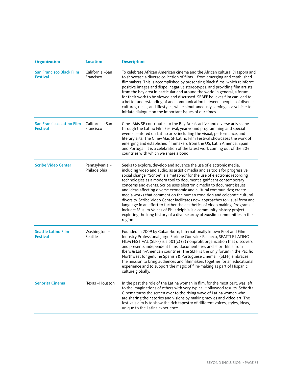| <b>Organization</b>                                | <b>Location</b>                | <b>Description</b>                                                                                                                                                                                                                                                                                                                                                                                                                                                                                                                                                                                                                                                                                                                                                                                                                                          |
|----------------------------------------------------|--------------------------------|-------------------------------------------------------------------------------------------------------------------------------------------------------------------------------------------------------------------------------------------------------------------------------------------------------------------------------------------------------------------------------------------------------------------------------------------------------------------------------------------------------------------------------------------------------------------------------------------------------------------------------------------------------------------------------------------------------------------------------------------------------------------------------------------------------------------------------------------------------------|
| <b>San Francisco Black Film</b><br><b>Festival</b> | California -San<br>Francisco   | To celebrate African American cinema and the African cultural Diaspora and<br>to showcase a diverse collection of films - from emerging and established<br>filmmakers. This is accomplished by presenting Black films, which reinforce<br>positive images and dispel negative stereotypes, and providing film artists<br>from the bay area in particular and around the world in general, a forum<br>for their work to be viewed and discussed. SFBFF believes film can lead to<br>a better understanding of and communication between, peoples of diverse<br>cultures, races, and lifestyles, while simultaneously serving as a vehicle to<br>initiate dialogue on the important issues of our times.                                                                                                                                                      |
| San Francisco Latino Film<br><b>Festival</b>       | California - San<br>Francisco  | Cine+Más SF contributes to the Bay Area's active and diverse arts scene<br>through the Latino Film Festival, year-round programming and special<br>events centered on Latino arts- including the visual, performance, and<br>literary arts. The Cine+Mas SF Latino Film Festival showcases the work of<br>emerging and established filmmakers from the US, Latin America, Spain<br>and Portugal. It is a celebration of the latest work coming out of the 20+<br>countries with which we share a bond.                                                                                                                                                                                                                                                                                                                                                      |
| <b>Scribe Video Center</b>                         | Pennsylvania -<br>Philadelphia | Seeks to explore, develop and advance the use of electronic media,<br>including video and audio, as artistic media and as tools for progressive<br>social change. "Scribe" is a metaphor for the use of electronic recording<br>technologies as a modern tool to document significant contemporary<br>concerns and events. Scribe uses electronic media to document issues<br>and ideas affecting diverse economic and cultural communities; create<br>media works that comment on the human condition and celebrate cultural<br>diversity. Scribe Video Center facilitates new approaches to visual form and<br>language in an effort to further the aesthetics of video making. Programs<br>include: Muslim Voices of Philadelphia is a community history project<br>exploring the long history of a diverse array of Muslim communities in the<br>region |
| <b>Seattle Latino Film</b><br><b>Festival</b>      | Washington $-$<br>Seattle      | Founded in 2009 by Cuban-born, Internationally known Poet and Film<br>Industry Professional Jorge Enrique Gonzalez Pacheco, SEATTLE LATINO<br>FILM FESTIVAL (SLFF) is a 501(c) (3) nonprofit organization that discovers<br>and presents independent films, documentaries and short films from<br>Ibero & Latin-American countries. The SLFF is the only forum in the Pacific<br>Northwest for genuine Spanish & Portuguese cinema (SLFF) embraces<br>the mission to bring audiences and filmmakers together for an educational<br>experience and to support the magic of film-making as part of Hispanic<br>culture globally.                                                                                                                                                                                                                              |
| Señorita Cinema                                    | Texas-Houston                  | In the past the role of the Latina woman in film, for the most part, was left<br>to the imaginations of others with very typical Hollywood results. Señorita<br>Cinema turns the screen over to the rising wave of Latina women who<br>are sharing their stories and visions by making movies and video art. The<br>festivals aim is to show the rich tapestry of different voices, styles, ideas,<br>unique to the Latina experience.                                                                                                                                                                                                                                                                                                                                                                                                                      |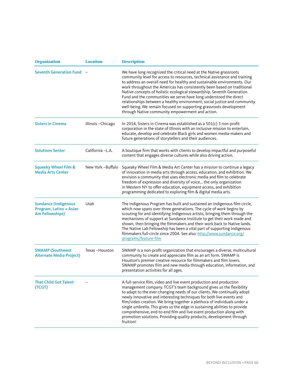| <b>Organization</b>                                                              | <b>Location</b>   | <b>Description</b>                                                                                                                                                                                                                                                                                                                                                                                                                                                                                                                                                                                                                                            |
|----------------------------------------------------------------------------------|-------------------|---------------------------------------------------------------------------------------------------------------------------------------------------------------------------------------------------------------------------------------------------------------------------------------------------------------------------------------------------------------------------------------------------------------------------------------------------------------------------------------------------------------------------------------------------------------------------------------------------------------------------------------------------------------|
| <b>Seventh Generation Fund</b>                                                   |                   | We have long recognized the critical need at the Native grassroots<br>community level for access to resources, technical assistance and training<br>to address an overall need for healthy and sustainable environments. Our<br>work throughout the Americas has consistently been based on traditional<br>Native concepts of holistic ecological stewardship. Seventh Generation<br>Fund and the communities we serve have long understood the direct<br>relationships between a healthy environment, social justice and community<br>well-being. We remain focused on supporting grassroots development<br>through Native community empowerment and action. |
| <b>Sisters in Cinema</b>                                                         | Illinois-Chicago  | In 2014, Sisters in Cinema was established as a 501(c) 3 non-profit<br>corporation in the state of Illinois with an inclusive mission to entertain,<br>educate, develop and celebrate Black girls and women media-makers and<br>future generations of storytellers and their audiences.                                                                                                                                                                                                                                                                                                                                                                       |
| <b>Solutions Senter</b>                                                          | California -L.A.  | A boutique firm that works with clients to develop impactful and purposeful<br>content that engages diverse cultures while also driving action.                                                                                                                                                                                                                                                                                                                                                                                                                                                                                                               |
| <b>Squeeky Wheel Film &amp;</b><br><b>Media Arts Center</b>                      | New York -Buffalo | Squeaky Wheel Film & Media Art Center has a mission to continue a legacy<br>of innovation in media arts through access, education, and exhibition. We<br>envision a community that uses electronic media and film to celebrate<br>freedom of expression and diversity of voice the only organization<br>in Western NY to offer education, equipment access, and exhibition<br>programming dedicated to exploring film & digital media arts.                                                                                                                                                                                                                   |
| <b>Sundance (Indigenous</b><br>Program, Latinx + Asian<br><b>Am Fellowships)</b> | Utah              | The Indigenous Program has built and sustained an Indigenous film circle,<br>which now spans over three generations. The cycle of work begins by<br>scouting for and identifying Indigenous artists, bringing them through the<br>mechanisms of support at Sundance Institute to get their work made and<br>shown, then bringing the filmmakers and their work back to Native lands.<br>The Native Lab Fellowship has been a vital part of supporting Indigenous<br>filmmakers full-circle since 2004. See also: http://www.sundance.org/<br>programs/feature-film                                                                                            |
| <b>SWAMP</b> (Southwest<br><b>Alternate Media Project)</b>                       | Texas-Houston     | SWAMP is a non-profit organization that encourages a diverse, multicultural<br>community to create and appreciate film as an art form. SWAMP is<br>Houston's premier creative resource for filmmakers and film lovers.<br>SWAMP promotes film and new media through education, information, and<br>presentation activities for all ages.                                                                                                                                                                                                                                                                                                                      |
| <b>That Child Got Talent</b><br>(TCGT)                                           |                   | A full-service film, video and live event production and production<br>management company. TCGT's team background gives us the flexibility<br>to adapt to the ever-changing needs of our clients. We continually adopt<br>newly innovative and interesting techniques for both live events and<br>film/video creation. We bring together a plethora of individuals under a<br>single umbrella. This gives us the edge in sustaining abilities to provide<br>comprehensive, end-to-end film and live event production along with<br>promotion solutions. Providing quality products, development through<br>fruition!                                          |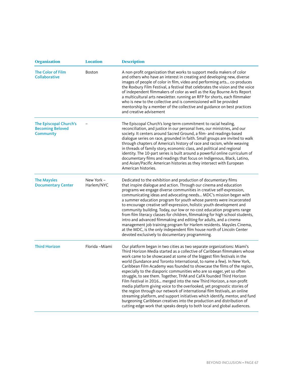| <b>Organization</b>                                            | <b>Location</b>          | <b>Description</b>                                                                                                                                                                                                                                                                                                                                                                                                                                                                                                                                                                                                                                                                                                                                                                                                                                                                                                                                                                                            |
|----------------------------------------------------------------|--------------------------|---------------------------------------------------------------------------------------------------------------------------------------------------------------------------------------------------------------------------------------------------------------------------------------------------------------------------------------------------------------------------------------------------------------------------------------------------------------------------------------------------------------------------------------------------------------------------------------------------------------------------------------------------------------------------------------------------------------------------------------------------------------------------------------------------------------------------------------------------------------------------------------------------------------------------------------------------------------------------------------------------------------|
| <b>The Color of Film</b><br><b>Collaborative</b>               | <b>Boston</b>            | A non-profit organization that works to support media makers of color<br>and others who have an interest in creating and developing new, diverse<br>images of people of color in film, video and performing arts co-produces<br>the Roxbury Film Festival, a festival that celebrates the vision and the voice<br>of independent filmmakers of color as well as the Kay Bourne Arts Report<br>a multicultural arts newsletter. running an RFP for shorts, each filmmaker<br>who is new to the collective and is commissioned will be provided<br>mentorship by a member of the collective and guidance on best practices<br>and creative advisement                                                                                                                                                                                                                                                                                                                                                           |
| The Episcopal Church's<br><b>Becoming Beloved</b><br>Community |                          | The Episcopal Church's long-term commitment to racial healing,<br>reconciliation, and justice in our personal lives, our ministries, and our<br>society. It centers around Sacred Ground, a film- and readings-based<br>dialogue series on race, grounded in faith. Small groups are invited to walk<br>through chapters of America's history of race and racism, while weaving<br>in threads of family story, economic class, and political and regional<br>identity. The 10-part series is built around a powerful online curriculum of<br>documentary films and readings that focus on Indigenous, Black, Latino,<br>and Asian/Pacific American histories as they intersect with European<br>American histories.                                                                                                                                                                                                                                                                                           |
| <b>The Maysles</b><br><b>Documentary Center</b>                | New York -<br>Harlem/NYC | Dedicated to the exhibition and production of documentary films<br>that inspire dialogue and action. Through our cinema and education<br>programs we engage diverse communities in creative self-expression,<br>communicating ideas and advocating needs MDC's mission began with<br>a summer education program for youth whose parents were incarcerated<br>to encourage creative self-expression, holistic youth development and<br>community building. Today, our low or no-cost education programs range<br>from film literacy classes for children, filmmaking for high school students,<br>intro and advanced filmmaking and editing for adults, and a cinema<br>management job training program for Harlem residents. Maysles Cinema,<br>at the MDC, is the only independent film house north of Lincoln Center<br>devoted exclusively to documentary programming.                                                                                                                                     |
| <b>Third Horizon</b>                                           | Florida - Miami          | Our platform began in two cities as two separate organizations: Miami's<br>Third Horizon Media started as a collective of Caribbean filmmakers whose<br>work came to be showcased at some of the biggest film festivals in the<br>world (Sundance and Toronto International, to name a few). In New York,<br>Caribbean Film Academy was founded to showcase the films of the region,<br>especially to the diasporic communities who are so eager, yet so often<br>struggle, to see them. Together, THM and CaFA founded Third Horizon<br>Film Festival in 2016 merged into the new Third Horizon, a non-profit<br>media platform giving voice to the overlooked, yet prognostic stories of<br>the region through our network of international film festivals, an online<br>streaming platform, and support initiatives which identify, mentor, and fund<br>burgeoning Caribbean creatives into the production and distribution of<br>cutting-edge work that speaks deeply to both local and global audiences. |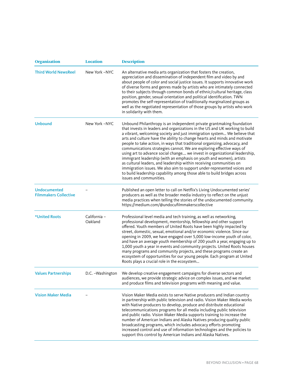| <b>Organization</b>                                 | <b>Location</b>         | <b>Description</b>                                                                                                                                                                                                                                                                                                                                                                                                                                                                                                                                                                                                                                                                                                                                                                                                                                                              |
|-----------------------------------------------------|-------------------------|---------------------------------------------------------------------------------------------------------------------------------------------------------------------------------------------------------------------------------------------------------------------------------------------------------------------------------------------------------------------------------------------------------------------------------------------------------------------------------------------------------------------------------------------------------------------------------------------------------------------------------------------------------------------------------------------------------------------------------------------------------------------------------------------------------------------------------------------------------------------------------|
| <b>Third World NewsReel</b>                         | New York -NYC           | An alternative media arts organization that fosters the creation,<br>appreciation and dissemination of independent film and video by and<br>about people of color and social justice issues. It supports innovative work<br>of diverse forms and genres made by artists who are intimately connected<br>to their subjects through common bonds of ethnic/cultural heritage, class<br>position, gender, sexual orientation and political identification. TWN<br>promotes the self-representation of traditionally marginalized groups as<br>well as the negotiated representation of those groups by artists who work<br>in solidarity with them.                                                                                                                                                                                                                                |
| <b>Unbound</b>                                      | New York -NYC           | Unbound Philanthropy is an independent private grantmaking foundation<br>that invests in leaders and organizations in the US and UK working to build<br>a vibrant, welcoming society and just immigration system We believe that<br>arts and culture have the ability to change hearts and minds and motivate<br>people to take action, in ways that traditional organizing, advocacy, and<br>communications strategies cannot. We are exploring effective ways of<br>using art to advance social change we invest in organizational leadership,<br>immigrant leadership (with an emphasis on youth and women), artists<br>as cultural leaders, and leadership within receiving communities on<br>immigration issues. We also aim to support under-represented voices and<br>to build leadership capability among those able to build bridges across<br>issues and communities. |
| <b>Undocumented</b><br><b>Filmmakers Collective</b> |                         | Published an open letter to call on Netflix's Living Undocumented series'<br>producers as well as the broader media industry to reflect on the unjust<br>media practices when telling the stories of the undocumented community.<br>https://medium.com/@undocufilmmakerscollective                                                                                                                                                                                                                                                                                                                                                                                                                                                                                                                                                                                              |
| *United Roots                                       | California -<br>Oakland | Professional level media and tech training, as well as networking,<br>professional development, mentorship, fellowship and other support<br>offered. Youth members of United Roots have been highly impacted by<br>street, domestic, sexual, emotional and/or economic violence. Since our<br>opening in 2009, we have engaged over 5,000 low-income youth of color,<br>and have an average youth membership of 200 youth a year, engaging up to<br>1,000 youth a year in events and community projects. United Roots houses<br>many programs and community projects, and these programs create an<br>ecosystem of opportunities for our young people. Each program at United<br>Roots plays a crucial role in the ecosystem                                                                                                                                                    |
| <b>Values Partnerships</b>                          | D.C. - Washington       | We develop creative engagement campaigns for diverse sectors and<br>audiences, we provide strategic advice on complex issues, and we market<br>and produce films and television programs with meaning and value.                                                                                                                                                                                                                                                                                                                                                                                                                                                                                                                                                                                                                                                                |
| <b>Vision Maker Media</b>                           |                         | Vision Maker Media exists to serve Native producers and Indian country<br>in partnership with public television and radio. Vision Maker Media works<br>with Native producers to develop, produce and distribute educational<br>telecommunications programs for all media including public television<br>and public radio. Vision Maker Media supports training to increase the<br>number of American Indians and Alaska Natives producing quality public<br>broadcasting programs, which includes advocacy efforts promoting<br>increased control and use of information technologies and the policies to<br>support this control by American Indians and Alaska Natives.                                                                                                                                                                                                       |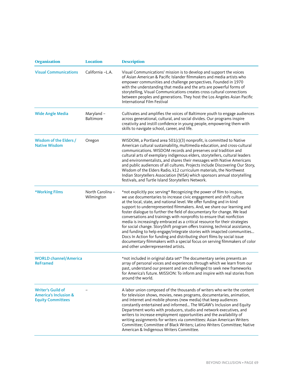| <b>Organization</b>                                                                      | <b>Location</b>                | <b>Description</b>                                                                                                                                                                                                                                                                                                                                                                                                                                                                                                                                                                                                                                                                                                                                                                                                                                                                           |
|------------------------------------------------------------------------------------------|--------------------------------|----------------------------------------------------------------------------------------------------------------------------------------------------------------------------------------------------------------------------------------------------------------------------------------------------------------------------------------------------------------------------------------------------------------------------------------------------------------------------------------------------------------------------------------------------------------------------------------------------------------------------------------------------------------------------------------------------------------------------------------------------------------------------------------------------------------------------------------------------------------------------------------------|
| <b>Visual Communications</b>                                                             | California -L.A.               | Visual Communications' mission is to develop and support the voices<br>of Asian American & Pacific Islander filmmakers and media artists who<br>empower communities and challenge perspectives. Founded in 1970<br>with the understanding that media and the arts are powerful forms of<br>storytelling, Visual Communications creates cross cultural connections<br>between peoples and generations. They host the Los Angeles Asian Pacific<br>International Film Festival                                                                                                                                                                                                                                                                                                                                                                                                                 |
| <b>Wide Angle Media</b>                                                                  | Maryland -<br><b>Baltimore</b> | Cultivates and amplifies the voices of Baltimore youth to engage audiences<br>across generational, cultural, and social divides. Our programs inspire<br>creativity and instill confidence in young people, empowering them with<br>skills to navigate school, career, and life.                                                                                                                                                                                                                                                                                                                                                                                                                                                                                                                                                                                                             |
| Wisdom of the Elders /<br><b>Native Wisdom</b>                                           | Oregon                         | WISDOM, a Portland area $501(c)(3)$ nonprofit, is committed to Native<br>American cultural sustainability, multimedia education, and cross-cultural<br>communications. WISDOM records and preserves oral tradition and<br>cultural arts of exemplary indigenous elders, storytellers, cultural leaders<br>and environmentalists, and shares their messages with Native Americans<br>and public audiences of all cultures. Projects include Discovering Our Story,<br>Wisdom of the Elders Radio, k12 curriculum materials, the Northwest<br>Indian Storytellers Association (NISA) which sponsors annual storytelling<br>festivals, and Turtle Island Storytellers Network.                                                                                                                                                                                                                  |
| *Working Films                                                                           | North Carolina -<br>Wilmington | *not explicitly poc serving* Recognizing the power of film to inspire,<br>we use documentaries to increase civic engagement and shift culture<br>at the local, state, and national level. We offer funding and in-kind<br>support to underrepresented filmmakers. And, we share our learning and<br>foster dialogue to further the field of documentary for change. We lead<br>conversations and trainings with nonprofits to ensure that nonfiction<br>media is increasingly embraced as a critical resource for their strategies<br>for social change. StoryShift program offers training, technical assistance,<br>and funding to help engage/integrate stories with imapcted communities<br>Docs In Action for funding and distributing short films by social issue<br>documentary filmmakers with a special focus on serving filmmakers of color<br>and other underrepresented artists. |
| <b>WORLD channel/America</b><br><b>ReFramed</b>                                          |                                | *not included in original data set* The documentary series presents an<br>array of personal voices and experiences through which we learn from our<br>past, understand our present and are challenged to seek new frameworks<br>for America's future. MISSION: To inform and inspire with real stories from<br>around the world.                                                                                                                                                                                                                                                                                                                                                                                                                                                                                                                                                             |
| <b>Writer's Guild of</b><br><b>America's Inclusion &amp;</b><br><b>Equity Committees</b> |                                | A labor union composed of the thousands of writers who write the content<br>for television shows, movies, news programs, documentaries, animation,<br>and Internet and mobile phones (new media) that keep audiences<br>constantly entertained and informed The WGAW's Inclusion and Equity<br>Department works with producers, studio and network executives, and<br>writers to increase employment opportunities and the availability of<br>writing assignments for writers via committees: Asian American Writers<br>Committee; Committee of Black Writers; Latino Writers Committee; Native<br>American & Indigenous Writers Committee.                                                                                                                                                                                                                                                  |